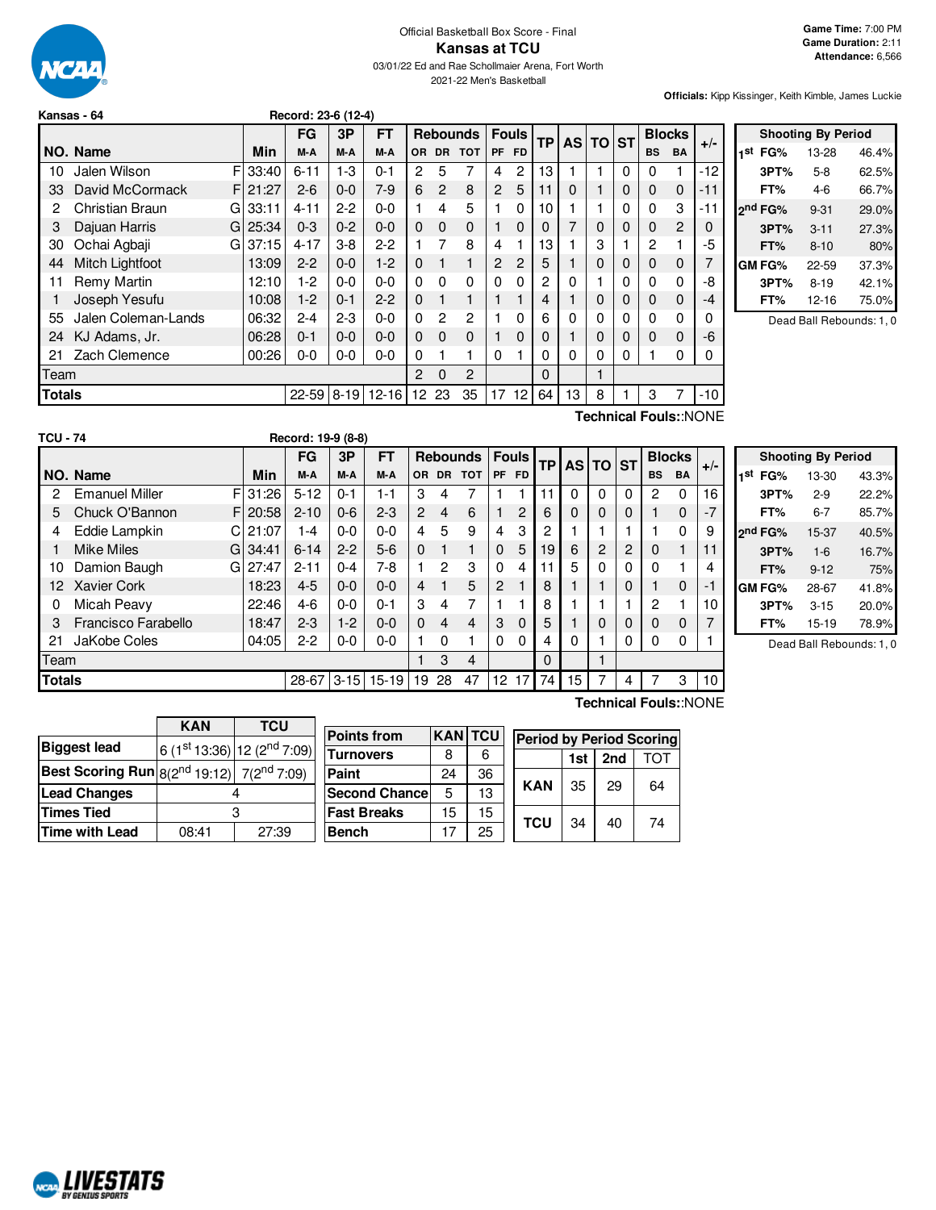

#### Official Basketball Box Score - Final **Kansas at TCU** 03/01/22 Ed and Rae Schollmaier Arena, Fort Worth 2021-22 Men's Basketball

**Officials:** Kipp Kissinger, Keith Kimble, James Luckie

| Kansas - 64 | Record: 23-6 (12-4) |
|-------------|---------------------|
|             |                     |

|        |                              |            | FG        | 3P       | FT            |          |             | <b>Rebounds</b> | <b>Fouls</b> |                | <b>TP</b> |          | AS TO ST |          | <b>Blocks</b>  |                | $+/-$ |
|--------|------------------------------|------------|-----------|----------|---------------|----------|-------------|-----------------|--------------|----------------|-----------|----------|----------|----------|----------------|----------------|-------|
|        | NO. Name                     | Min        | M-A       | M-A      | M-A           | OR.      |             | DR TOT          | <b>PF</b>    | <b>FD</b>      |           |          |          |          | <b>BS</b>      | <b>BA</b>      |       |
| 10     | Jalen Wilson                 | F 33:40    | $6 - 11$  | $1 - 3$  | $0 - 1$       | 2        | 5           | 7               | 4            | 2              | 13        |          |          | 0        | $\Omega$       | 1              | $-12$ |
| 33     | David McCormack              | F121:27    | $2-6$     | $0 - 0$  | $7-9$         | 6        | 2           | 8               | 2            | 5              | 11        | $\Omega$ |          | 0        | $\mathbf 0$    | $\mathbf 0$    | -11   |
| 2      | Christian Braun              | $GI$ 33:11 | $4 - 11$  | $2 - 2$  | $0 - 0$       |          | 4           | 5               |              | 0              | 10        |          |          | 0        | $\Omega$       | 3              | -11   |
| 3      | Dajuan Harris                | G125:34    | $0 - 3$   | $0 - 2$  | $0 - 0$       | 0        | $\mathbf 0$ | $\mathbf 0$     |              | 0              | 0         | 7        | 0        | 0        | $\Omega$       | $\overline{2}$ | 0     |
| 30     | Ochai Agbaji                 | $GI$ 37:15 | $4 - 17$  | $3-8$    | $2-2$         |          | 7           | 8               | 4            |                | 13        |          | 3        |          | $\overline{c}$ |                | -5    |
| 44     | Mitch Lightfoot              | 13:09      | $2 - 2$   | $0 - 0$  | $1-2$         | 0        | 1           | 1               | 2            | $\overline{2}$ | 5         |          | 0        | $\Omega$ | $\Omega$       | $\Omega$       |       |
| 11     | Remy Martin                  | 12:10      | $1-2$     | $0 - 0$  | $0 - 0$       | 0        | $\Omega$    | 0               | $\Omega$     | $\Omega$       | 2         | $\Omega$ |          | 0        | $\Omega$       | $\Omega$       | -8    |
|        | Joseph Yesufu                | 10:08      | $1 - 2$   | $0 - 1$  | $2 - 2$       | 0        | 1           | 1               |              |                |           |          | 0        | 0        | $\Omega$       | $\mathbf 0$    | -4    |
| 55     | Jalen Coleman-Lands          | 06:32      | $2 - 4$   | $2 - 3$  | $0 - 0$       | 0        | 2           | 2               |              | 0              | 6         | $\Omega$ | 0        | 0        | $\Omega$       | $\Omega$       | 0     |
| 24     | KJ Adams, Jr.                | 06:28      | $0 - 1$   | $0 - 0$  | $0 - 0$       | 0        | $\Omega$    | $\Omega$        |              | 0              | O         |          |          | 0        | $\Omega$       | 0              | -6    |
| 21     | Zach Clemence                | 00:26      | $0 - 0$   | $0-0$    | $0 - 0$       | 0        |             | 1               | 0            |                | ი         | 0        | 0        | 0        |                | $\Omega$       | 0     |
| Team   |                              |            |           |          | $\mathcal{P}$ | $\Omega$ | 2           |                 |              | $\Omega$       |           |          |          |          |                |                |       |
| Totals |                              |            | $22 - 59$ | $8 - 19$ | $12 - 16$     | 12       | 23          | 35              | 17           | 12             | 64        | 13       | 8        |          | 3              | 7              | -10   |
|        | <b>Technical Fouls::NONE</b> |            |           |          |               |          |             |                 |              |                |           |          |          |          |                |                |       |

|     | <b>Shooting By Period</b> |          |       |  |  |  |  |  |  |
|-----|---------------------------|----------|-------|--|--|--|--|--|--|
| 1st | FG%                       | 13-28    | 46.4% |  |  |  |  |  |  |
|     | 3PT%                      | $5-8$    | 62.5% |  |  |  |  |  |  |
|     | FT%                       | 4-6      | 66.7% |  |  |  |  |  |  |
|     | 2 <sup>nd</sup> FG%       | $9 - 31$ | 29.0% |  |  |  |  |  |  |
|     | 3PT%                      | $3 - 11$ | 27.3% |  |  |  |  |  |  |
|     | FT%                       | $8 - 10$ | 80%   |  |  |  |  |  |  |
|     | GM FG%                    | 22-59    | 37.3% |  |  |  |  |  |  |
|     | 3PT%                      | $8 - 19$ | 42.1% |  |  |  |  |  |  |
|     | FT%                       | 12-16    | 75.0% |  |  |  |  |  |  |

Dead Ball Rebounds: 1, 0

| <b>TCU - 74</b> |                             |          | Record: 19-9 (8-8) |          |           |                |                |                 |                |              |           |    |             |          |             |               |       |
|-----------------|-----------------------------|----------|--------------------|----------|-----------|----------------|----------------|-----------------|----------------|--------------|-----------|----|-------------|----------|-------------|---------------|-------|
|                 |                             |          | FG                 | 3P       | FT        |                |                | <b>Rebounds</b> |                | <b>Fouls</b> | <b>TP</b> |    | AS TO ST    |          |             | <b>Blocks</b> |       |
|                 | NO. Name                    | Min      | M-A                | M-A      | M-A       | OR.            |                | DR TOT          | <b>PF</b>      | <b>FD</b>    |           |    |             |          | <b>BS</b>   | <b>BA</b>     | $+/-$ |
| 2               | FI<br><b>Emanuel Miller</b> | 31:26    | $5 - 12$           | $0 - 1$  | 1-1       | 3              | 4              |                 |                |              | 11        | 0  | 0           | 0        | 2           | 0             | 16    |
| 5               | Chuck O'Bannon<br>F.        | 20:58    | $2 - 10$           | $0 - 6$  | $2 - 3$   | $\overline{2}$ | 4              | 6               |                | 2            | 6         | 0  | $\mathbf 0$ | 0        |             | $\Omega$      | $-7$  |
| 4               | Eddie Lampkin<br>СI         | 21:07    | $1 - 4$            | $0 - 0$  | $0 - 0$   | 4              | 5              | 9               | 4              | 3            | 2         |    |             |          |             | 0             | 9     |
|                 | <b>Mike Miles</b>           | G134:41  | $6 - 14$           | $2 - 2$  | $5-6$     | $\Omega$       | 1              | 1               | $\Omega$       | 5            | 19        | 6  | 2           | 2        | $\Omega$    |               | 11    |
| 10              | Damion Baugh                | GI 27:47 | $2 - 11$           | $0 - 4$  | 7-8       |                | $\overline{2}$ | 3               | $\Omega$       | 4            | 11        | 5  | 0           | 0        | 0           |               | 4     |
| 12.             | <b>Xavier Cork</b>          | 18:23    | $4 - 5$            | $0 - 0$  | $0 - 0$   | 4              | 1              | 5               | $\overline{c}$ |              | 8         |    | 1           | 0        |             | $\Omega$      | -1    |
| 0               | Micah Peavy                 | 22:46    | $4-6$              | $0 - 0$  | $0 - 1$   | 3              | 4              | 7               |                |              | 8         |    |             |          | 2           |               | 10    |
| 3               | Francisco Farabello         | 18:47    | $2 - 3$            | $1 - 2$  | $0 - 0$   | $\Omega$       | $\overline{4}$ | 4               | 3              | $\Omega$     | 5         |    | $\Omega$    | 0        | $\mathbf 0$ | $\mathbf 0$   | 7     |
| 21              | JaKobe Coles                | 04:05    | $2-2$              | $0-0$    | $0 - 0$   |                | $\Omega$       | 1               | 0              | $\Omega$     | 4         | 0  |             | $\Omega$ | 0           | 0             |       |
| Team            |                             |          |                    |          |           |                | 3              | 4               |                |              | 0         |    | 1           |          |             |               |       |
| Totals          |                             |          | 28-67              | $3 - 15$ | $15 - 19$ | 19             | 28             | 47              | 12             | 17           | 74        | 15 | 7           | 4        |             | 3             | 10    |

|     | <b>Shooting By Period</b> |          |       |  |  |  |  |  |
|-----|---------------------------|----------|-------|--|--|--|--|--|
| 1st | FG%                       | 13-30    | 43.3% |  |  |  |  |  |
|     | 3PT%                      | $2-9$    | 22.2% |  |  |  |  |  |
|     | FT%                       | 6-7      | 85.7% |  |  |  |  |  |
|     | 2 <sup>nd</sup> FG%       | 15-37    | 40.5% |  |  |  |  |  |
|     | 3PT%                      | $1-6$    | 16.7% |  |  |  |  |  |
|     | FT%                       | $9 - 12$ | 75%   |  |  |  |  |  |
|     | GM FG%                    | 28-67    | 41.8% |  |  |  |  |  |
|     | 3PT%                      | $3 - 15$ | 20.0% |  |  |  |  |  |
|     | FT%                       | $15-19$  | 78.9% |  |  |  |  |  |

Dead Ball Rebounds: 1, 0

|                                                              | <b>KAN</b> | <b>TCU</b>                              |  |  |  |  |
|--------------------------------------------------------------|------------|-----------------------------------------|--|--|--|--|
| <b>Biggest lead</b>                                          |            | 6 (1st 13:36) 12 (2 <sup>nd</sup> 7:09) |  |  |  |  |
| <b>Best Scoring Run</b> $8(2^{nd} 19:12)$ 7( $2^{nd} 7:09$ ) |            |                                         |  |  |  |  |
| <b>Lead Changes</b>                                          |            |                                         |  |  |  |  |
| <b>Times Tied</b>                                            |            |                                         |  |  |  |  |
| <b>Time with Lead</b>                                        | 08:41      | 27:39                                   |  |  |  |  |

**NORD LIVESTATS** 

| <b>Points from</b>    | <b>KAN</b> TCU |    | <b>Period by Period Scoring</b> |     |     |     |  |
|-----------------------|----------------|----|---------------------------------|-----|-----|-----|--|
| <b>Turnovers</b>      | 8              | 6  |                                 | 1st | 2nd | τωτ |  |
| Paint                 | 24             | 36 |                                 | 35  | 29  | 64  |  |
| <b>Second Chancel</b> | 5              | 13 | <b>KAN</b>                      |     |     |     |  |
| <b>Fast Breaks</b>    | 15             | 15 | <b>TCU</b>                      | 34  |     | 74  |  |
| <b>Bench</b>          | 17             | 25 |                                 |     | 40  |     |  |

### **Technical Fouls:**:NONE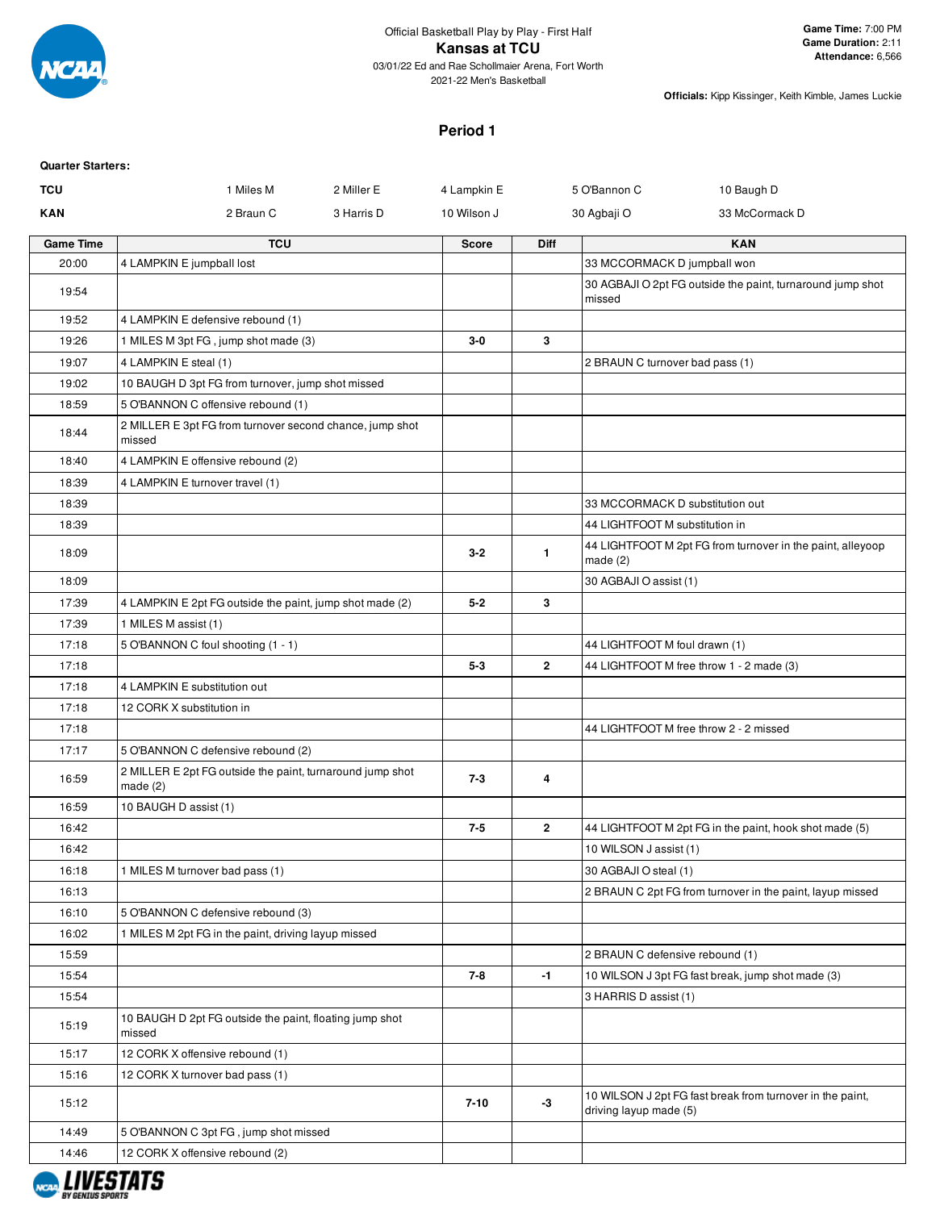

# **Period 1**

| <b>Quarter Starters:</b> |                                                                         |              |              |                                                                                     |  |
|--------------------------|-------------------------------------------------------------------------|--------------|--------------|-------------------------------------------------------------------------------------|--|
| TCU                      | 1 Miles M<br>2 Miller E                                                 | 4 Lampkin E  |              | 5 O'Bannon C<br>10 Baugh D                                                          |  |
| <b>KAN</b>               | 2 Braun C<br>3 Harris D                                                 | 10 Wilson J  |              | 30 Agbaji O<br>33 McCormack D                                                       |  |
| <b>Game Time</b>         | <b>TCU</b>                                                              | <b>Score</b> | <b>Diff</b>  | <b>KAN</b>                                                                          |  |
| 20:00                    | 4 LAMPKIN E jumpball lost                                               |              |              | 33 MCCORMACK D jumpball won                                                         |  |
| 19:54                    |                                                                         |              |              | 30 AGBAJI O 2pt FG outside the paint, turnaround jump shot<br>missed                |  |
| 19:52                    | 4 LAMPKIN E defensive rebound (1)                                       |              |              |                                                                                     |  |
| 19:26                    | 1 MILES M 3pt FG, jump shot made (3)                                    | $3-0$        | 3            |                                                                                     |  |
| 19:07                    | 4 LAMPKIN E steal (1)                                                   |              |              | 2 BRAUN C turnover bad pass (1)                                                     |  |
| 19:02                    | 10 BAUGH D 3pt FG from turnover, jump shot missed                       |              |              |                                                                                     |  |
| 18:59                    | 5 O'BANNON C offensive rebound (1)                                      |              |              |                                                                                     |  |
| 18:44                    | 2 MILLER E 3pt FG from turnover second chance, jump shot<br>missed      |              |              |                                                                                     |  |
| 18:40                    | 4 LAMPKIN E offensive rebound (2)                                       |              |              |                                                                                     |  |
| 18:39                    | 4 LAMPKIN E turnover travel (1)                                         |              |              |                                                                                     |  |
| 18:39                    |                                                                         |              |              | 33 MCCORMACK D substitution out                                                     |  |
| 18:39                    |                                                                         |              |              | 44 LIGHTFOOT M substitution in                                                      |  |
| 18:09                    |                                                                         | $3-2$        | 1.           | 44 LIGHTFOOT M 2pt FG from turnover in the paint, alleyoop<br>made $(2)$            |  |
| 18:09                    |                                                                         |              |              | 30 AGBAJI O assist (1)                                                              |  |
| 17:39                    | 4 LAMPKIN E 2pt FG outside the paint, jump shot made (2)                | $5 - 2$      | 3            |                                                                                     |  |
| 17:39                    | 1 MILES M assist (1)                                                    |              |              |                                                                                     |  |
| 17:18                    | 5 O'BANNON C foul shooting (1 - 1)                                      |              |              | 44 LIGHTFOOT M foul drawn (1)                                                       |  |
| 17:18                    |                                                                         | $5 - 3$      | $\mathbf{2}$ | 44 LIGHTFOOT M free throw 1 - 2 made (3)                                            |  |
| 17:18                    | 4 LAMPKIN E substitution out                                            |              |              |                                                                                     |  |
| 17:18                    | 12 CORK X substitution in                                               |              |              |                                                                                     |  |
| 17:18                    |                                                                         |              |              | 44 LIGHTFOOT M free throw 2 - 2 missed                                              |  |
| 17:17                    | 5 O'BANNON C defensive rebound (2)                                      |              |              |                                                                                     |  |
| 16:59                    | 2 MILLER E 2pt FG outside the paint, turnaround jump shot<br>made $(2)$ | $7 - 3$      | 4            |                                                                                     |  |
| 16:59                    | 10 BAUGH D assist (1)                                                   |              |              |                                                                                     |  |
| 16:42                    |                                                                         | $7 - 5$      | $\mathbf{2}$ | 44 LIGHTFOOT M 2pt FG in the paint, hook shot made (5)                              |  |
| 16:42                    |                                                                         |              |              | 10 WILSON J assist (1)                                                              |  |
| 16:18                    | 1 MILES M turnover bad pass (1)                                         |              |              | 30 AGBAJI O steal (1)                                                               |  |
| 16:13                    |                                                                         |              |              | 2 BRAUN C 2pt FG from turnover in the paint, layup missed                           |  |
| 16:10                    | 5 O'BANNON C defensive rebound (3)                                      |              |              |                                                                                     |  |
| 16:02                    | 1 MILES M 2pt FG in the paint, driving layup missed                     |              |              |                                                                                     |  |
| 15:59                    |                                                                         |              |              | 2 BRAUN C defensive rebound (1)                                                     |  |
| 15:54                    |                                                                         | 7-8          | $-1$         | 10 WILSON J 3pt FG fast break, jump shot made (3)                                   |  |
| 15:54                    |                                                                         |              |              | 3 HARRIS D assist (1)                                                               |  |
| 15:19                    | 10 BAUGH D 2pt FG outside the paint, floating jump shot<br>missed       |              |              |                                                                                     |  |
| 15:17                    | 12 CORK X offensive rebound (1)                                         |              |              |                                                                                     |  |
| 15:16                    | 12 CORK X turnover bad pass (1)                                         |              |              |                                                                                     |  |
| 15:12                    |                                                                         | $7 - 10$     | -3           | 10 WILSON J 2pt FG fast break from turnover in the paint,<br>driving layup made (5) |  |
| 14:49                    | 5 O'BANNON C 3pt FG, jump shot missed                                   |              |              |                                                                                     |  |
| 14:46                    | 12 CORK X offensive rebound (2)                                         |              |              |                                                                                     |  |
|                          |                                                                         |              |              |                                                                                     |  |

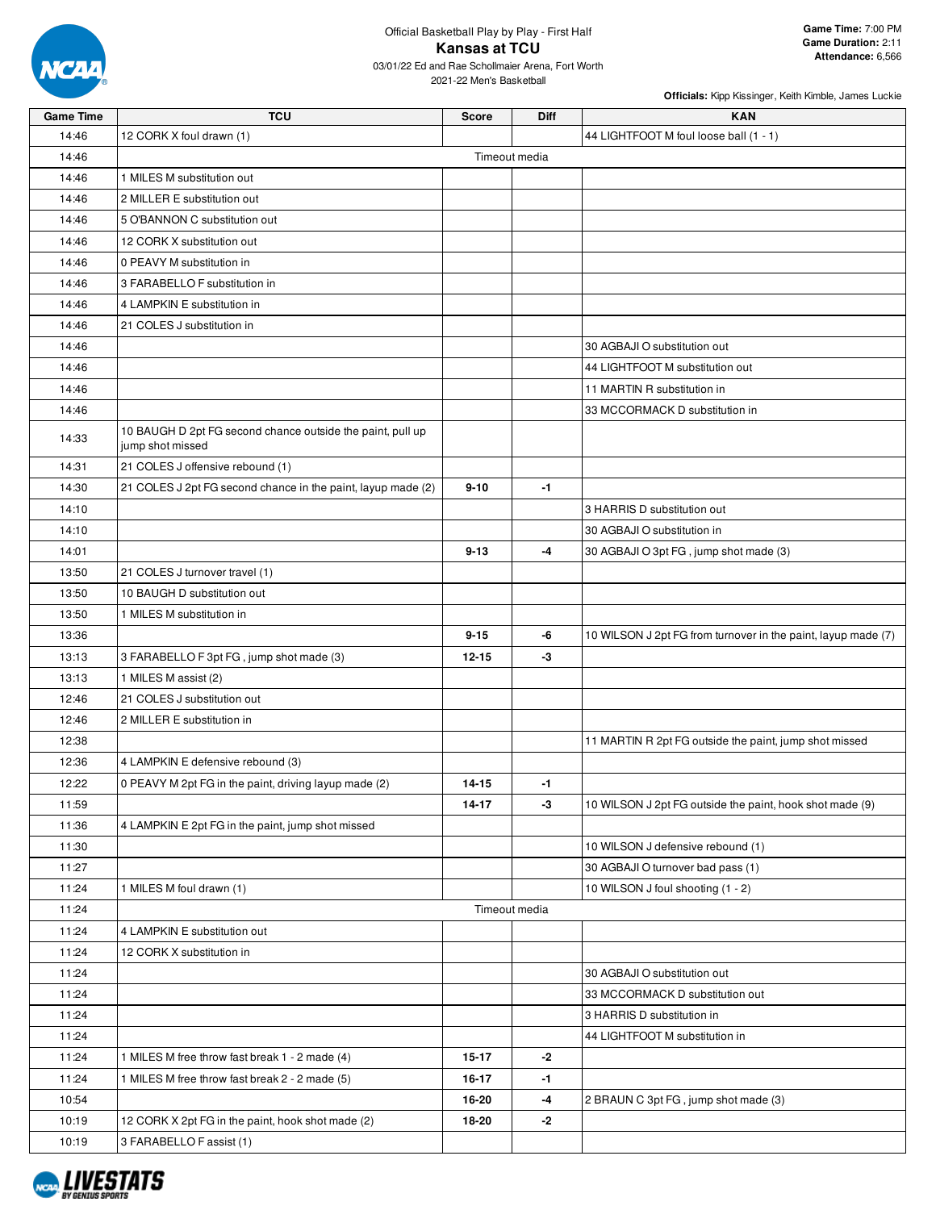

| <b>Game Time</b> | <b>TCU</b>                                                                     | <b>Score</b>  | Diff | <b>KAN</b>                                                    |
|------------------|--------------------------------------------------------------------------------|---------------|------|---------------------------------------------------------------|
| 14:46            | 12 CORK X foul drawn (1)                                                       |               |      | 44 LIGHTFOOT M foul loose ball (1 - 1)                        |
| 14:46            |                                                                                | Timeout media |      |                                                               |
| 14:46            | 1 MILES M substitution out                                                     |               |      |                                                               |
| 14:46            | 2 MILLER E substitution out                                                    |               |      |                                                               |
| 14:46            | 5 O'BANNON C substitution out                                                  |               |      |                                                               |
| 14:46            | 12 CORK X substitution out                                                     |               |      |                                                               |
| 14:46            | 0 PEAVY M substitution in                                                      |               |      |                                                               |
| 14:46            | 3 FARABELLO F substitution in                                                  |               |      |                                                               |
| 14:46            | 4 LAMPKIN E substitution in                                                    |               |      |                                                               |
| 14:46            | 21 COLES J substitution in                                                     |               |      |                                                               |
| 14:46            |                                                                                |               |      | 30 AGBAJI O substitution out                                  |
| 14:46            |                                                                                |               |      | 44 LIGHTFOOT M substitution out                               |
| 14:46            |                                                                                |               |      | 11 MARTIN R substitution in                                   |
| 14:46            |                                                                                |               |      | 33 MCCORMACK D substitution in                                |
|                  |                                                                                |               |      |                                                               |
| 14:33            | 10 BAUGH D 2pt FG second chance outside the paint, pull up<br>jump shot missed |               |      |                                                               |
| 14:31            | 21 COLES J offensive rebound (1)                                               |               |      |                                                               |
| 14:30            | 21 COLES J 2pt FG second chance in the paint, layup made (2)                   | $9 - 10$      | $-1$ |                                                               |
| 14:10            |                                                                                |               |      | 3 HARRIS D substitution out                                   |
| 14:10            |                                                                                |               |      | 30 AGBAJI O substitution in                                   |
| 14:01            |                                                                                | $9 - 13$      | -4   | 30 AGBAJI O 3pt FG, jump shot made (3)                        |
| 13:50            | 21 COLES J turnover travel (1)                                                 |               |      |                                                               |
| 13:50            | 10 BAUGH D substitution out                                                    |               |      |                                                               |
| 13:50            | 1 MILES M substitution in                                                      |               |      |                                                               |
| 13:36            |                                                                                | $9 - 15$      | -6   | 10 WILSON J 2pt FG from turnover in the paint, layup made (7) |
| 13:13            | 3 FARABELLO F 3pt FG, jump shot made (3)                                       | $12 - 15$     | -3   |                                                               |
| 13:13            | 1 MILES M assist (2)                                                           |               |      |                                                               |
| 12:46            | 21 COLES J substitution out                                                    |               |      |                                                               |
| 12:46            | 2 MILLER E substitution in                                                     |               |      |                                                               |
| 12:38            |                                                                                |               |      | 11 MARTIN R 2pt FG outside the paint, jump shot missed        |
| 12:36            | 4 LAMPKIN E defensive rebound (3)                                              |               |      |                                                               |
| 12:22            | 0 PEAVY M 2pt FG in the paint, driving layup made (2)                          | $14 - 15$     | -1   |                                                               |
| 11:59            |                                                                                | 14-17         | -3   | 10 WILSON J 2pt FG outside the paint, hook shot made (9)      |
| 11:36            | 4 LAMPKIN E 2pt FG in the paint, jump shot missed                              |               |      |                                                               |
| 11:30            |                                                                                |               |      | 10 WILSON J defensive rebound (1)                             |
| 11:27            |                                                                                |               |      | 30 AGBAJI O turnover bad pass (1)                             |
| 11:24            | 1 MILES M foul drawn (1)                                                       |               |      | 10 WILSON J foul shooting (1 - 2)                             |
| 11:24            |                                                                                | Timeout media |      |                                                               |
| 11:24            | 4 LAMPKIN E substitution out                                                   |               |      |                                                               |
|                  |                                                                                |               |      |                                                               |
| 11:24            | 12 CORK X substitution in                                                      |               |      |                                                               |
| 11:24            |                                                                                |               |      | 30 AGBAJI O substitution out                                  |
| 11:24            |                                                                                |               |      | 33 MCCORMACK D substitution out                               |
| 11:24            |                                                                                |               |      | 3 HARRIS D substitution in                                    |
| 11:24            |                                                                                |               |      | 44 LIGHTFOOT M substitution in                                |
| 11:24            | 1 MILES M free throw fast break 1 - 2 made (4)                                 | $15 - 17$     | $-2$ |                                                               |
| 11:24            | 1 MILES M free throw fast break 2 - 2 made (5)                                 | 16-17         | $-1$ |                                                               |
| 10:54            |                                                                                | 16-20         | -4   | 2 BRAUN C 3pt FG, jump shot made (3)                          |
| 10:19            | 12 CORK X 2pt FG in the paint, hook shot made (2)                              | 18-20         | -2   |                                                               |
| 10:19            | 3 FARABELLO F assist (1)                                                       |               |      |                                                               |

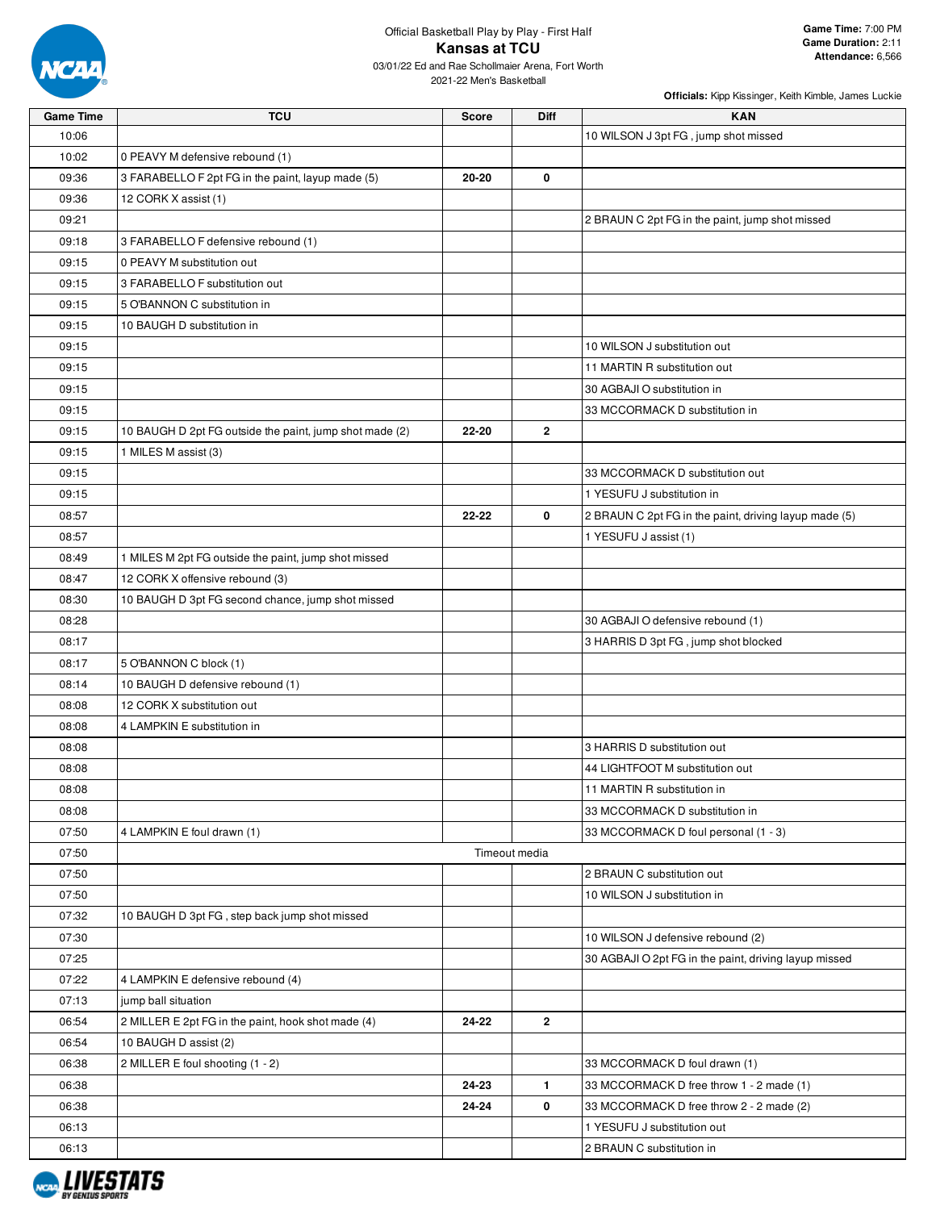

| <b>Game Time</b> | <b>TCU</b>                                              | <b>Score</b> | <b>Diff</b>   | <b>KAN</b>                                            |
|------------------|---------------------------------------------------------|--------------|---------------|-------------------------------------------------------|
| 10:06            |                                                         |              |               | 10 WILSON J 3pt FG, jump shot missed                  |
| 10:02            | 0 PEAVY M defensive rebound (1)                         |              |               |                                                       |
| 09:36            | 3 FARABELLO F 2pt FG in the paint, layup made (5)       | 20-20        | 0             |                                                       |
| 09:36            | 12 CORK X assist (1)                                    |              |               |                                                       |
| 09:21            |                                                         |              |               | 2 BRAUN C 2pt FG in the paint, jump shot missed       |
| 09:18            | 3 FARABELLO F defensive rebound (1)                     |              |               |                                                       |
| 09:15            | 0 PEAVY M substitution out                              |              |               |                                                       |
| 09:15            | 3 FARABELLO F substitution out                          |              |               |                                                       |
| 09:15            | 5 O'BANNON C substitution in                            |              |               |                                                       |
| 09:15            | 10 BAUGH D substitution in                              |              |               |                                                       |
| 09:15            |                                                         |              |               | 10 WILSON J substitution out                          |
| 09:15            |                                                         |              |               | 11 MARTIN R substitution out                          |
| 09:15            |                                                         |              |               | 30 AGBAJI O substitution in                           |
| 09:15            |                                                         |              |               | 33 MCCORMACK D substitution in                        |
| 09:15            | 10 BAUGH D 2pt FG outside the paint, jump shot made (2) | 22-20        | 2             |                                                       |
| 09:15            | 1 MILES M assist (3)                                    |              |               |                                                       |
| 09:15            |                                                         |              |               | 33 MCCORMACK D substitution out                       |
| 09:15            |                                                         |              |               | 1 YESUFU J substitution in                            |
| 08:57            |                                                         | 22-22        | 0             | 2 BRAUN C 2pt FG in the paint, driving layup made (5) |
| 08:57            |                                                         |              |               | 1 YESUFU J assist (1)                                 |
| 08:49            | 1 MILES M 2pt FG outside the paint, jump shot missed    |              |               |                                                       |
| 08:47            | 12 CORK X offensive rebound (3)                         |              |               |                                                       |
| 08:30            | 10 BAUGH D 3pt FG second chance, jump shot missed       |              |               |                                                       |
| 08:28            |                                                         |              |               | 30 AGBAJI O defensive rebound (1)                     |
| 08:17            |                                                         |              |               | 3 HARRIS D 3pt FG, jump shot blocked                  |
| 08:17            | 5 O'BANNON C block (1)                                  |              |               |                                                       |
| 08:14            | 10 BAUGH D defensive rebound (1)                        |              |               |                                                       |
| 08:08            | 12 CORK X substitution out                              |              |               |                                                       |
| 08:08            | 4 LAMPKIN E substitution in                             |              |               |                                                       |
| 08:08            |                                                         |              |               | 3 HARRIS D substitution out                           |
| 08:08            |                                                         |              |               | 44 LIGHTFOOT M substitution out                       |
| 08:08            |                                                         |              |               | 11 MARTIN R substitution in                           |
| 08:08            |                                                         |              |               | 33 MCCORMACK D substitution in                        |
| 07:50            | 4 LAMPKIN E foul drawn (1)                              |              |               | 33 MCCORMACK D foul personal (1 - 3)                  |
| 07:50            |                                                         |              | Timeout media |                                                       |
| 07:50            |                                                         |              |               | 2 BRAUN C substitution out                            |
| 07:50            |                                                         |              |               | 10 WILSON J substitution in                           |
| 07:32            | 10 BAUGH D 3pt FG, step back jump shot missed           |              |               |                                                       |
| 07:30            |                                                         |              |               | 10 WILSON J defensive rebound (2)                     |
| 07:25            |                                                         |              |               | 30 AGBAJI O 2pt FG in the paint, driving layup missed |
| 07:22            | 4 LAMPKIN E defensive rebound (4)                       |              |               |                                                       |
| 07:13            | jump ball situation                                     |              |               |                                                       |
| 06:54            | 2 MILLER E 2pt FG in the paint, hook shot made (4)      | 24-22        | $\mathbf{2}$  |                                                       |
| 06:54            | 10 BAUGH D assist (2)                                   |              |               |                                                       |
| 06:38            | 2 MILLER E foul shooting (1 - 2)                        |              |               | 33 MCCORMACK D foul drawn (1)                         |
| 06:38            |                                                         | 24-23        | $\mathbf{1}$  | 33 MCCORMACK D free throw 1 - 2 made (1)              |
| 06:38            |                                                         | 24-24        | 0             | 33 MCCORMACK D free throw 2 - 2 made (2)              |
| 06:13            |                                                         |              |               | 1 YESUFU J substitution out                           |
| 06:13            |                                                         |              |               | 2 BRAUN C substitution in                             |

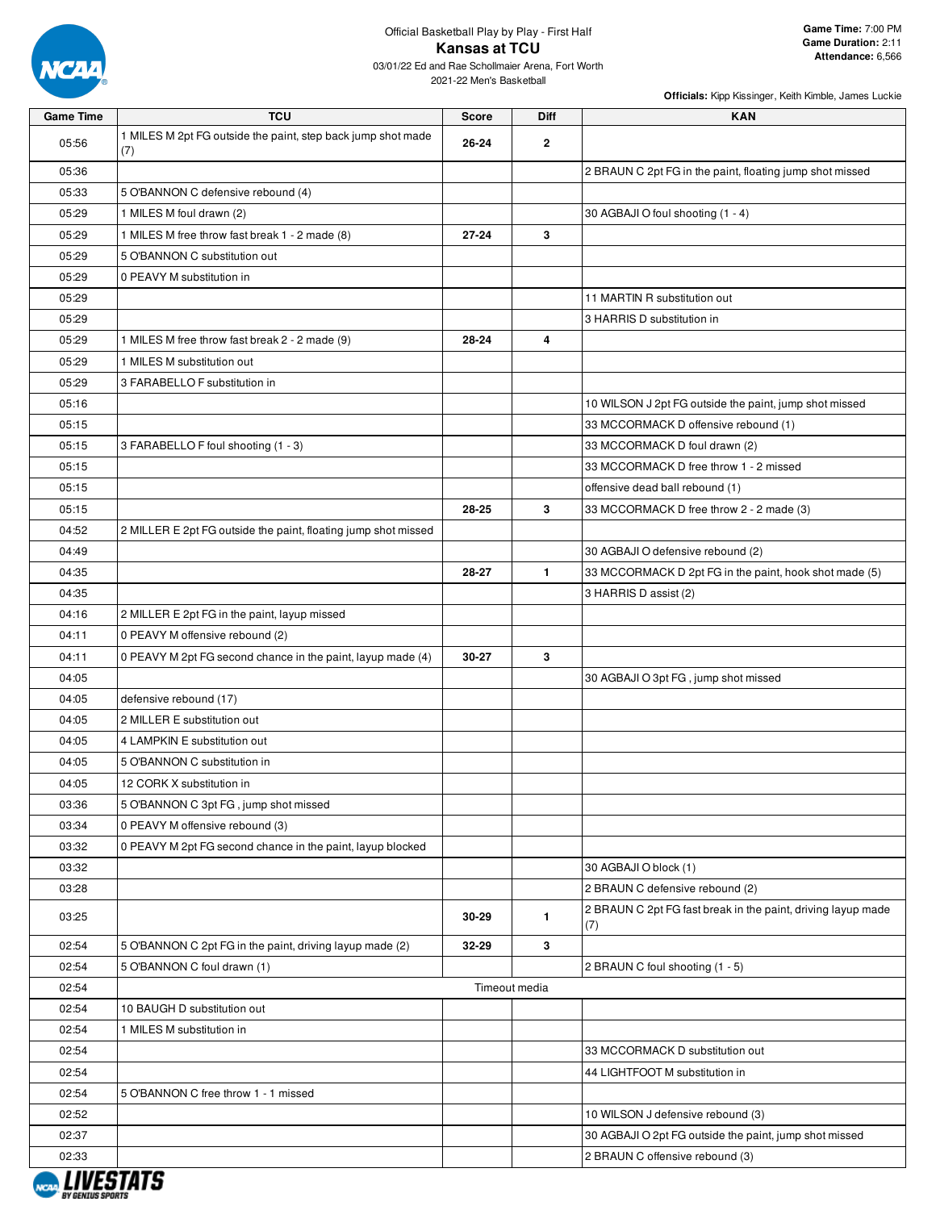

#### Official Basketball Play by Play - First Half **Kansas at TCU** 03/01/22 Ed and Rae Schollmaier Arena, Fort Worth

2021-22 Men's Basketball

| <b>Game Time</b> | <b>TCU</b>                                                          | <b>Score</b> | <b>Diff</b>   | <b>KAN</b>                                                          |
|------------------|---------------------------------------------------------------------|--------------|---------------|---------------------------------------------------------------------|
| 05:56            | 1 MILES M 2pt FG outside the paint, step back jump shot made<br>(7) | 26-24        | $\mathbf{2}$  |                                                                     |
| 05:36            |                                                                     |              |               | 2 BRAUN C 2pt FG in the paint, floating jump shot missed            |
| 05:33            | 5 O'BANNON C defensive rebound (4)                                  |              |               |                                                                     |
| 05:29            | 1 MILES M foul drawn (2)                                            |              |               | 30 AGBAJI O foul shooting (1 - 4)                                   |
| 05:29            | 1 MILES M free throw fast break 1 - 2 made (8)                      | $27 - 24$    | 3             |                                                                     |
| 05:29            | 5 O'BANNON C substitution out                                       |              |               |                                                                     |
| 05:29            | 0 PEAVY M substitution in                                           |              |               |                                                                     |
| 05:29            |                                                                     |              |               | 11 MARTIN R substitution out                                        |
| 05:29            |                                                                     |              |               | 3 HARRIS D substitution in                                          |
| 05:29            | 1 MILES M free throw fast break 2 - 2 made (9)                      | 28-24        | 4             |                                                                     |
| 05:29            | 1 MILES M substitution out                                          |              |               |                                                                     |
| 05:29            | 3 FARABELLO F substitution in                                       |              |               |                                                                     |
| 05:16            |                                                                     |              |               | 10 WILSON J 2pt FG outside the paint, jump shot missed              |
| 05:15            |                                                                     |              |               | 33 MCCORMACK D offensive rebound (1)                                |
| 05:15            | 3 FARABELLO F foul shooting (1 - 3)                                 |              |               | 33 MCCORMACK D foul drawn (2)                                       |
| 05:15            |                                                                     |              |               | 33 MCCORMACK D free throw 1 - 2 missed                              |
| 05:15            |                                                                     |              |               | offensive dead ball rebound (1)                                     |
| 05:15            |                                                                     | 28-25        | 3             | 33 MCCORMACK D free throw 2 - 2 made (3)                            |
| 04:52            | 2 MILLER E 2pt FG outside the paint, floating jump shot missed      |              |               |                                                                     |
| 04:49            |                                                                     |              |               | 30 AGBAJI O defensive rebound (2)                                   |
| 04:35            |                                                                     | 28-27        | $\mathbf{1}$  | 33 MCCORMACK D 2pt FG in the paint, hook shot made (5)              |
| 04:35            |                                                                     |              |               | 3 HARRIS D assist (2)                                               |
| 04:16            | 2 MILLER E 2pt FG in the paint, layup missed                        |              |               |                                                                     |
| 04:11            | 0 PEAVY M offensive rebound (2)                                     |              |               |                                                                     |
| 04:11            | 0 PEAVY M 2pt FG second chance in the paint, layup made (4)         | 30-27        | 3             |                                                                     |
| 04:05            |                                                                     |              |               | 30 AGBAJI O 3pt FG, jump shot missed                                |
| 04:05            | defensive rebound (17)                                              |              |               |                                                                     |
| 04:05            | 2 MILLER E substitution out                                         |              |               |                                                                     |
| 04:05            | 4 LAMPKIN E substitution out                                        |              |               |                                                                     |
| 04:05            | 5 O'BANNON C substitution in                                        |              |               |                                                                     |
| 04:05            | 12 CORK X substitution in                                           |              |               |                                                                     |
| 03:36            | 5 O'BANNON C 3pt FG, jump shot missed                               |              |               |                                                                     |
| 03:34            | 0 PEAVY M offensive rebound (3)                                     |              |               |                                                                     |
| 03:32            | 0 PEAVY M 2pt FG second chance in the paint, layup blocked          |              |               |                                                                     |
| 03:32            |                                                                     |              |               | 30 AGBAJI O block (1)                                               |
| 03:28            |                                                                     |              |               | 2 BRAUN C defensive rebound (2)                                     |
| 03:25            |                                                                     | 30-29        | $\mathbf{1}$  | 2 BRAUN C 2pt FG fast break in the paint, driving layup made<br>(7) |
| 02:54            | 5 O'BANNON C 2pt FG in the paint, driving layup made (2)            | 32-29        | 3             |                                                                     |
| 02:54            | 5 O'BANNON C foul drawn (1)                                         |              |               | 2 BRAUN C foul shooting (1 - 5)                                     |
| 02:54            |                                                                     |              | Timeout media |                                                                     |
| 02:54            | 10 BAUGH D substitution out                                         |              |               |                                                                     |
| 02:54            | 1 MILES M substitution in                                           |              |               |                                                                     |
| 02:54            |                                                                     |              |               | 33 MCCORMACK D substitution out                                     |
| 02:54            |                                                                     |              |               | 44 LIGHTFOOT M substitution in                                      |
| 02:54            | 5 O'BANNON C free throw 1 - 1 missed                                |              |               |                                                                     |
| 02:52            |                                                                     |              |               | 10 WILSON J defensive rebound (3)                                   |
| 02:37            |                                                                     |              |               | 30 AGBAJI O 2pt FG outside the paint, jump shot missed              |
| 02:33            |                                                                     |              |               | 2 BRAUN C offensive rebound (3)                                     |

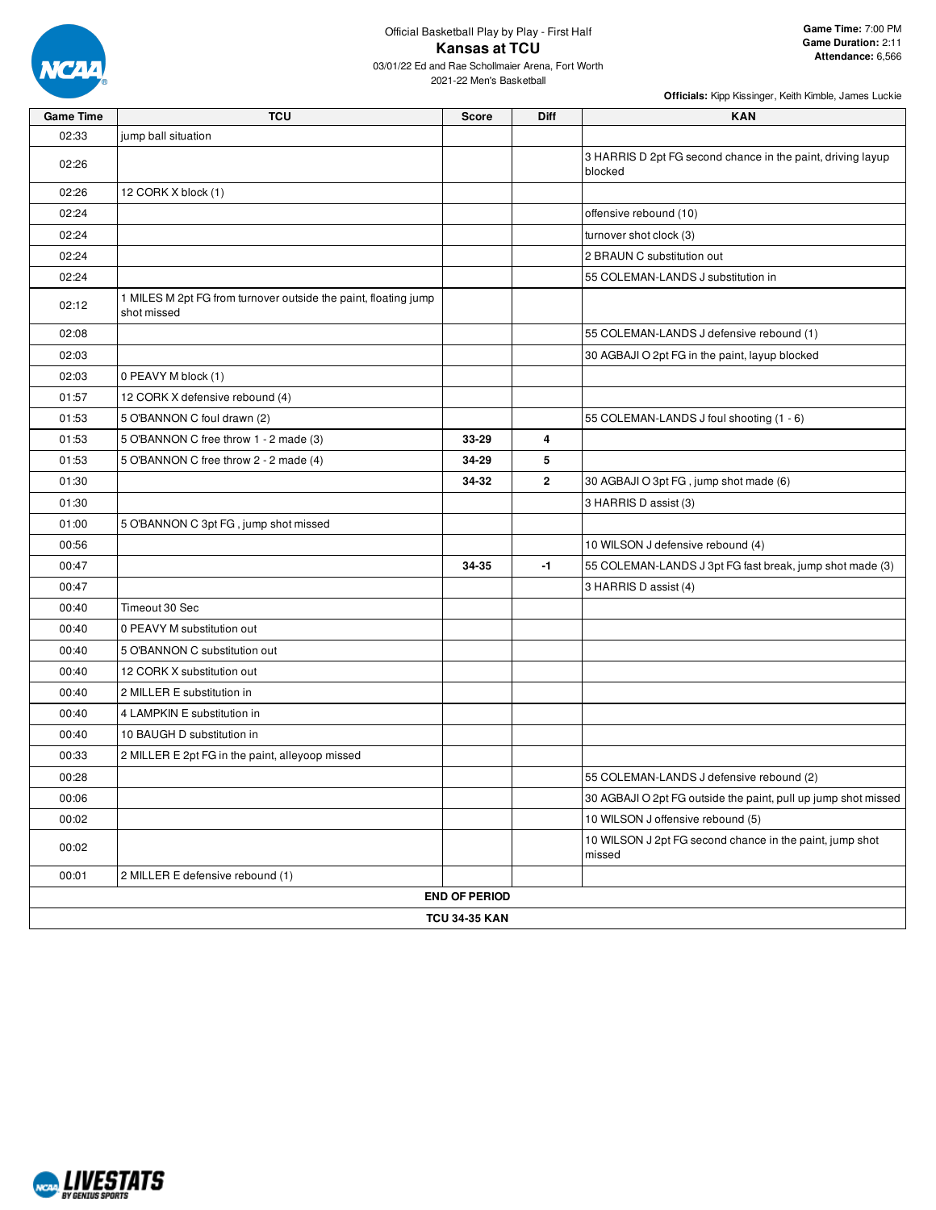

| <b>Game Time</b> | TCU                                                                            | <b>Score</b>         | <b>Diff</b>  | <b>KAN</b>                                                             |  |  |  |  |
|------------------|--------------------------------------------------------------------------------|----------------------|--------------|------------------------------------------------------------------------|--|--|--|--|
| 02:33            | jump ball situation                                                            |                      |              |                                                                        |  |  |  |  |
| 02:26            |                                                                                |                      |              | 3 HARRIS D 2pt FG second chance in the paint, driving layup<br>blocked |  |  |  |  |
| 02:26            | 12 CORK X block (1)                                                            |                      |              |                                                                        |  |  |  |  |
| 02:24            |                                                                                |                      |              | offensive rebound (10)                                                 |  |  |  |  |
| 02:24            |                                                                                |                      |              | turnover shot clock (3)                                                |  |  |  |  |
| 02:24            |                                                                                |                      |              | 2 BRAUN C substitution out                                             |  |  |  |  |
| 02:24            |                                                                                |                      |              | 55 COLEMAN-LANDS J substitution in                                     |  |  |  |  |
| 02:12            | 1 MILES M 2pt FG from turnover outside the paint, floating jump<br>shot missed |                      |              |                                                                        |  |  |  |  |
| 02:08            |                                                                                |                      |              | 55 COLEMAN-LANDS J defensive rebound (1)                               |  |  |  |  |
| 02:03            |                                                                                |                      |              | 30 AGBAJI O 2pt FG in the paint, layup blocked                         |  |  |  |  |
| 02:03            | 0 PEAVY M block (1)                                                            |                      |              |                                                                        |  |  |  |  |
| 01:57            | 12 CORK X defensive rebound (4)                                                |                      |              |                                                                        |  |  |  |  |
| 01:53            | 5 O'BANNON C foul drawn (2)                                                    |                      |              | 55 COLEMAN-LANDS J foul shooting (1 - 6)                               |  |  |  |  |
| 01:53            | 5 O'BANNON C free throw 1 - 2 made (3)                                         | 33-29                | 4            |                                                                        |  |  |  |  |
| 01:53            | 5 O'BANNON C free throw 2 - 2 made (4)                                         | 34-29                | 5            |                                                                        |  |  |  |  |
| 01:30            |                                                                                | 34-32                | $\mathbf{2}$ | 30 AGBAJI O 3pt FG, jump shot made (6)                                 |  |  |  |  |
| 01:30            |                                                                                |                      |              | 3 HARRIS D assist (3)                                                  |  |  |  |  |
| 01:00            | 5 O'BANNON C 3pt FG, jump shot missed                                          |                      |              |                                                                        |  |  |  |  |
| 00:56            |                                                                                |                      |              | 10 WILSON J defensive rebound (4)                                      |  |  |  |  |
| 00:47            |                                                                                | 34-35                | -1           | 55 COLEMAN-LANDS J 3pt FG fast break, jump shot made (3)               |  |  |  |  |
| 00:47            |                                                                                |                      |              | 3 HARRIS D assist (4)                                                  |  |  |  |  |
| 00:40            | Timeout 30 Sec                                                                 |                      |              |                                                                        |  |  |  |  |
| 00:40            | 0 PEAVY M substitution out                                                     |                      |              |                                                                        |  |  |  |  |
| 00:40            | 5 O'BANNON C substitution out                                                  |                      |              |                                                                        |  |  |  |  |
| 00:40            | 12 CORK X substitution out                                                     |                      |              |                                                                        |  |  |  |  |
| 00:40            | 2 MILLER E substitution in                                                     |                      |              |                                                                        |  |  |  |  |
| 00:40            | 4 LAMPKIN E substitution in                                                    |                      |              |                                                                        |  |  |  |  |
| 00:40            | 10 BAUGH D substitution in                                                     |                      |              |                                                                        |  |  |  |  |
| 00:33            | 2 MILLER E 2pt FG in the paint, alleyoop missed                                |                      |              |                                                                        |  |  |  |  |
| 00:28            |                                                                                |                      |              | 55 COLEMAN-LANDS J defensive rebound (2)                               |  |  |  |  |
| 00:06            |                                                                                |                      |              | 30 AGBAJI O 2pt FG outside the paint, pull up jump shot missed         |  |  |  |  |
| 00:02            |                                                                                |                      |              | 10 WILSON J offensive rebound (5)                                      |  |  |  |  |
| 00:02            |                                                                                |                      |              | 10 WILSON J 2pt FG second chance in the paint, jump shot<br>missed     |  |  |  |  |
| 00:01            | 2 MILLER E defensive rebound (1)                                               |                      |              |                                                                        |  |  |  |  |
|                  |                                                                                | <b>END OF PERIOD</b> |              |                                                                        |  |  |  |  |
|                  | <b>TCU 34-35 KAN</b>                                                           |                      |              |                                                                        |  |  |  |  |

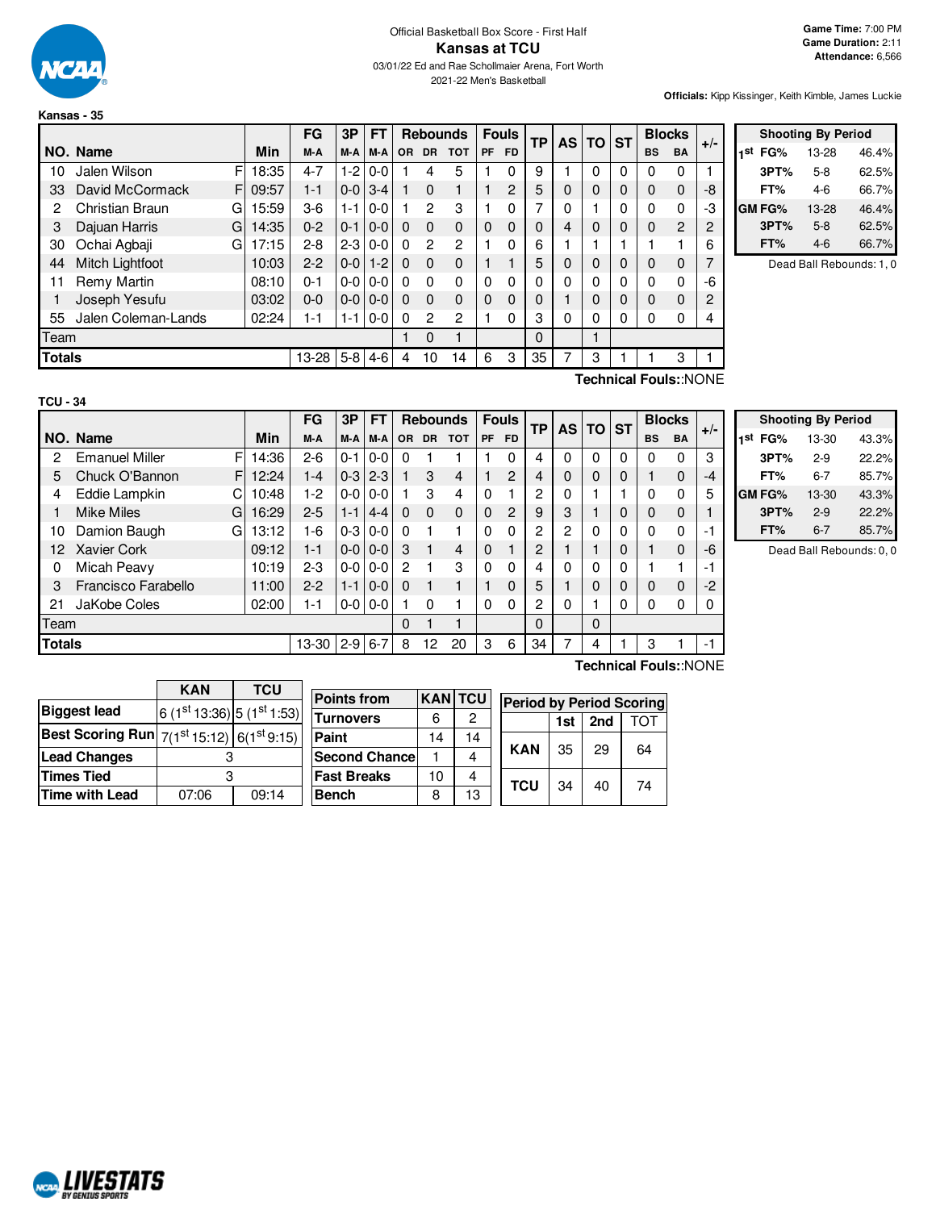

**Kansas - 35**

**Officials:** Kipp Kissinger, Keith Kimble, James Luckie

|               |                     |   |       | FG      | 3Р      | FT      |           | <b>Rebounds</b> |            |           | <b>Fouls</b>  | ТP       |   | AS TO ST |          | <b>Blocks</b> |                | $+/-$ |
|---------------|---------------------|---|-------|---------|---------|---------|-----------|-----------------|------------|-----------|---------------|----------|---|----------|----------|---------------|----------------|-------|
|               | NO. Name            |   | Min   | M-A     | M-A     | M-A     | <b>OR</b> | <b>DR</b>       | <b>TOT</b> | <b>PF</b> | <b>FD</b>     |          |   |          |          | <b>BS</b>     | <b>BA</b>      |       |
| 10            | Jalen Wilson        | F | 18:35 | $4 - 7$ | $1-2$   | $0 - 0$ |           | 4               | 5          |           | 0             | 9        |   | 0        | 0        | 0             | 0              |       |
| 33            | David McCormack     | F | 09:57 | $1 - 1$ | $0-0$   | $3 - 4$ |           | $\Omega$        |            |           | $\mathcal{P}$ | 5        | 0 | 0        | $\Omega$ | 0             | 0              | -8    |
| 2             | Christian Braun     | G | 15:59 | $3-6$   | 1-1     | $0 - 0$ |           | $\mathbf{2}$    | 3          |           | 0             | 7        | 0 |          | 0        | 0             | 0              | -3    |
| 3             | Dajuan Harris       | G | 14:35 | $0 - 2$ | $0 - 1$ | $0-0$   | $\Omega$  | $\Omega$        | 0          | 0         | $\Omega$      | $\Omega$ | 4 | $\Omega$ | $\Omega$ | 0             | $\overline{2}$ | 2     |
| 30            | Ochai Agbaji        | G | 17:15 | $2 - 8$ | $2 - 3$ | $0 - 0$ | $\Omega$  | $\overline{c}$  | 2          |           | $\Omega$      | 6        |   |          |          |               |                | 6     |
| 44            | Mitch Lightfoot     |   | 10:03 | $2 - 2$ | $0-0$   | $1 - 2$ | $\Omega$  | $\Omega$        | $\Omega$   |           |               | 5        | 0 | 0        | $\Omega$ | 0             | $\mathbf 0$    |       |
| 11            | Remy Martin         |   | 08:10 | $0 - 1$ | $0-0$   | $0-0$   | $\Omega$  | $\Omega$        | 0          |           | $\Omega$      | 0        | 0 | 0        | 0        | 0             | $\mathbf 0$    | -6    |
|               | Joseph Yesufu       |   | 03:02 | $0 - 0$ | $0-0$   | $0 - 0$ | $\Omega$  | $\Omega$        | $\Omega$   | $\Omega$  | $\Omega$      | 0        |   | 0        | $\Omega$ | 0             | $\Omega$       | 2     |
| 55            | Jalen Coleman-Lands |   | 02:24 | $1 - 1$ | 1-1     | $0-0$   | $\Omega$  | $\overline{2}$  | 2          |           | 0             | 3        | 0 | 0        | 0        | 0             | 0              |       |
| Team          |                     |   |       |         |         |         |           | $\Omega$        | 1          |           |               | 0        |   |          |          |               |                |       |
| <b>Totals</b> |                     |   |       | 13-28   | $5-8$   | $4-6$   | 4         | 10              | 14         | 6         | 3             | 35       | 7 | 3        |          |               | 3              |       |

|     | <b>Shooting By Period</b> |       |       |  |  |  |  |  |
|-----|---------------------------|-------|-------|--|--|--|--|--|
| 1st | FG%                       | 13-28 | 46.4% |  |  |  |  |  |
|     | 3PT%                      | $5-8$ | 62.5% |  |  |  |  |  |
|     | FT%                       | 4-6   | 66.7% |  |  |  |  |  |
|     | GM FG%                    | 13-28 | 46.4% |  |  |  |  |  |
|     | 3PT%                      | $5-8$ | 62.5% |  |  |  |  |  |
|     | FT%                       | 4-6   | 66.7% |  |  |  |  |  |

Dead Ball Rebounds: 1, 0

| × |
|---|
|---|

**Technical Fouls:**:NONE

|               |                            |       | FG      | 3P        | <b>FT</b>       |          | <b>Rebounds</b> |            |          | <b>Fouls</b>   | ТP |   | <b>ASITOI</b> | <b>ST</b> | <b>Blocks</b> |           | $+/-$ |
|---------------|----------------------------|-------|---------|-----------|-----------------|----------|-----------------|------------|----------|----------------|----|---|---------------|-----------|---------------|-----------|-------|
|               | NO. Name                   | Min   | M-A     | M-A       | M-A             | OR.      | <b>DR</b>       | <b>TOT</b> | PF       | FD.            |    |   |               |           | <b>BS</b>     | <b>BA</b> |       |
| 2             | F<br><b>Emanuel Miller</b> | 14:36 | $2-6$   | $0 - 1$   | $10-0$          | $\Omega$ |                 |            |          | 0              | 4  | 0 | 0             | 0         | 0             | 0         | 3     |
| 5             | Chuck O'Bannon<br>F        | 12:24 | $1 - 4$ |           | $0-3$   2-3     |          | 3               | 4          |          | $\mathfrak{p}$ | 4  | 0 | $\Omega$      | 0         |               | $\Omega$  | -4    |
| 4             | Eddie Lampkin              | 10:48 | $1-2$   |           | $0 - 0 0 - 0$   |          | 3               | 4          | 0        |                | 2  | 0 |               |           | 0             | 0         |       |
|               | <b>Mike Miles</b><br>G     | 16:29 | $2 - 5$ | $1 - 1$   | $4 - 4$         | $\Omega$ | $\Omega$        | $\Omega$   | $\Omega$ | 2              | 9  | 3 |               | 0         | 0             | 0         |       |
| 10            | Damion Baugh<br>G          | 13:12 | $1 - 6$ |           | $0-310-0$       | $\Omega$ |                 |            | $\Omega$ | $\Omega$       | 2  | 2 | $\Omega$      | 0         | 0             | 0         | -1    |
| 12            | <b>Xavier Cork</b>         | 09:12 | $1 - 1$ |           | $0 - 0 0 - 0$   | 3        |                 | 4          | $\Omega$ |                | 2  |   |               | 0         |               | $\Omega$  | -6    |
| 0             | Micah Peavy                | 10:19 | $2-3$   |           | $0 - 0 1 0 - 0$ | 2        |                 | 3          | $\Omega$ | $\Omega$       | 4  | 0 | 0             | 0         |               |           | -1    |
| 3             | Francisco Farabello        | 11:00 | $2-2$   | $1 - 1$   | $0-0$           | $\Omega$ |                 |            |          | $\Omega$       | 5  |   | 0             | 0         | 0             | $\Omega$  | $-2$  |
| 21            | JaKobe Coles               | 02:00 | $1 - 1$ |           | $0 - 0 0 - 0$   |          | 0               |            | 0        | $\Omega$       | 2  | 0 |               | 0         | 0             | 0         |       |
| Team          |                            |       |         |           |                 | $\Omega$ |                 |            |          |                | 0  |   | $\Omega$      |           |               |           |       |
| <b>Totals</b> |                            |       | 13-30   | $2-9$ 6-7 |                 | 8        | 12              | 20         | 3        | 6              | 34 |   | 4             |           | 3             |           | $-1$  |

| <b>Shooting By Period</b> |         |       |  |  |  |  |  |
|---------------------------|---------|-------|--|--|--|--|--|
| 1st<br>FG%                | 13-30   | 43.3% |  |  |  |  |  |
| 3PT%                      | $2-9$   | 22.2% |  |  |  |  |  |
| FT%                       | 6-7     | 85.7% |  |  |  |  |  |
| GM FG%                    | 13-30   | 43.3% |  |  |  |  |  |
| 3PT%                      | $2-9$   | 22.2% |  |  |  |  |  |
| FT%                       | $6 - 7$ | 85.7% |  |  |  |  |  |

Dead Ball Rebounds: 0, 0

|                                                                  | <b>KAN</b>                 | <b>TCU</b> |  |  |
|------------------------------------------------------------------|----------------------------|------------|--|--|
| <b>Biggest lead</b>                                              | $6(1st 13:36) 5(1st 1:53)$ |            |  |  |
| <b>Best Scoring Run</b> $7(1^{st}15:12)$ 6(1 <sup>st</sup> 9:15) |                            |            |  |  |
| <b>Lead Changes</b>                                              |                            |            |  |  |
| <b>Times Tied</b>                                                | 3                          |            |  |  |
| Time with Lead                                                   | 07:06                      | 09:14      |  |  |

| <b>Points from</b>    | <b>KANITCU</b> |    | <b>Period by Period Scoring</b> |     |     |    |  |  |
|-----------------------|----------------|----|---------------------------------|-----|-----|----|--|--|
| <b>Turnovers</b>      | 6              | 2  |                                 | 1st | 2nd |    |  |  |
| Paint                 | 14             | 14 |                                 | 35  | 29  |    |  |  |
| <b>Second Chancel</b> |                |    | <b>KAN</b>                      |     |     | 64 |  |  |
| <b>Fast Breaks</b>    | 10             |    | <b>TCU</b>                      |     |     |    |  |  |
| <b>Bench</b>          | 8              | 13 |                                 | 34  | 40  | 74 |  |  |

**Technical Fouls:**:NONE

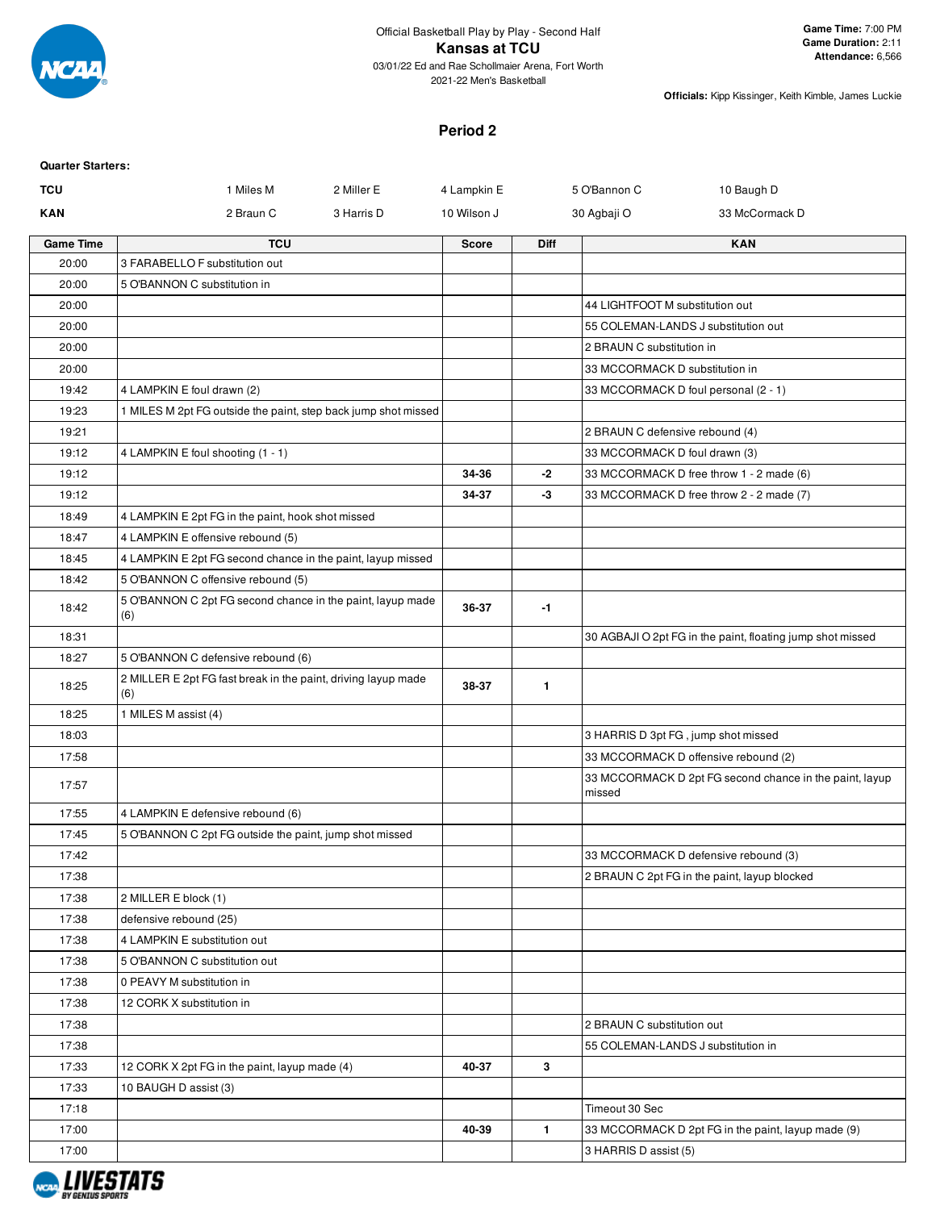

### **Period 2**

| <b>Quarter Starters:</b> |                                                                                                  |              |              |                                 |                                                            |
|--------------------------|--------------------------------------------------------------------------------------------------|--------------|--------------|---------------------------------|------------------------------------------------------------|
| <b>TCU</b>               | 2 Miller E<br>1 Miles M                                                                          | 4 Lampkin E  |              | 5 O'Bannon C                    | 10 Baugh D                                                 |
| <b>KAN</b>               | 2 Braun C<br>3 Harris D                                                                          | 10 Wilson J  |              | 30 Agbaji O                     | 33 McCormack D                                             |
| <b>Game Time</b>         | <b>TCU</b>                                                                                       | <b>Score</b> | Diff         |                                 | <b>KAN</b>                                                 |
| 20:00                    | 3 FARABELLO F substitution out                                                                   |              |              |                                 |                                                            |
| 20:00                    | 5 O'BANNON C substitution in                                                                     |              |              |                                 |                                                            |
| 20:00                    |                                                                                                  |              |              | 44 LIGHTFOOT M substitution out |                                                            |
| 20:00                    |                                                                                                  |              |              |                                 | 55 COLEMAN-LANDS J substitution out                        |
| 20:00                    |                                                                                                  |              |              | 2 BRAUN C substitution in       |                                                            |
| 20:00                    |                                                                                                  |              |              | 33 MCCORMACK D substitution in  |                                                            |
| 19:42                    | 4 LAMPKIN E foul drawn (2)                                                                       |              |              |                                 | 33 MCCORMACK D foul personal (2 - 1)                       |
| 19:23                    | 1 MILES M 2pt FG outside the paint, step back jump shot missed                                   |              |              |                                 |                                                            |
| 19:21                    |                                                                                                  |              |              | 2 BRAUN C defensive rebound (4) |                                                            |
| 19:12                    | 4 LAMPKIN E foul shooting (1 - 1)                                                                |              |              | 33 MCCORMACK D foul drawn (3)   |                                                            |
| 19:12                    |                                                                                                  | 34-36        | $-2$         |                                 | 33 MCCORMACK D free throw 1 - 2 made (6)                   |
| 19:12                    |                                                                                                  | 34-37        | -3           |                                 | 33 MCCORMACK D free throw 2 - 2 made (7)                   |
| 18:49                    | 4 LAMPKIN E 2pt FG in the paint, hook shot missed                                                |              |              |                                 |                                                            |
| 18:47<br>18:45           | 4 LAMPKIN E offensive rebound (5)<br>4 LAMPKIN E 2pt FG second chance in the paint, layup missed |              |              |                                 |                                                            |
| 18:42                    | 5 O'BANNON C offensive rebound (5)                                                               |              |              |                                 |                                                            |
|                          | 5 O'BANNON C 2pt FG second chance in the paint, layup made                                       |              |              |                                 |                                                            |
| 18:42                    | (6)                                                                                              | 36-37        | -1           |                                 |                                                            |
| 18:31                    |                                                                                                  |              |              |                                 | 30 AGBAJI O 2pt FG in the paint, floating jump shot missed |
| 18:27                    | 5 O'BANNON C defensive rebound (6)                                                               |              |              |                                 |                                                            |
| 18:25                    | 2 MILLER E 2pt FG fast break in the paint, driving layup made<br>(6)                             | 38-37        | $\mathbf{1}$ |                                 |                                                            |
| 18:25                    | 1 MILES M assist (4)                                                                             |              |              |                                 |                                                            |
| 18:03                    |                                                                                                  |              |              |                                 | 3 HARRIS D 3pt FG, jump shot missed                        |
| 17:58                    |                                                                                                  |              |              |                                 | 33 MCCORMACK D offensive rebound (2)                       |
| 17:57                    |                                                                                                  |              |              | missed                          | 33 MCCORMACK D 2pt FG second chance in the paint, layup    |
| 17:55                    | 4 LAMPKIN E defensive rebound (6)                                                                |              |              |                                 |                                                            |
| 17:45                    | 5 O'BANNON C 2pt FG outside the paint, jump shot missed                                          |              |              |                                 |                                                            |
| 17:42                    |                                                                                                  |              |              |                                 | 33 MCCORMACK D defensive rebound (3)                       |
| 17:38                    |                                                                                                  |              |              |                                 | 2 BRAUN C 2pt FG in the paint, layup blocked               |
| 17:38                    | 2 MILLER E block (1)                                                                             |              |              |                                 |                                                            |
| 17:38                    | defensive rebound (25)                                                                           |              |              |                                 |                                                            |
| 17:38                    | 4 LAMPKIN E substitution out                                                                     |              |              |                                 |                                                            |
| 17:38                    | 5 O'BANNON C substitution out                                                                    |              |              |                                 |                                                            |
| 17:38                    | 0 PEAVY M substitution in                                                                        |              |              |                                 |                                                            |
| 17:38                    | 12 CORK X substitution in                                                                        |              |              |                                 |                                                            |
| 17:38                    |                                                                                                  |              |              | 2 BRAUN C substitution out      |                                                            |
| 17:38                    |                                                                                                  |              |              |                                 | 55 COLEMAN-LANDS J substitution in                         |
| 17:33                    | 12 CORK X 2pt FG in the paint, layup made (4)                                                    | 40-37        | 3            |                                 |                                                            |
| 17:33                    | 10 BAUGH D assist (3)                                                                            |              |              |                                 |                                                            |
| 17:18                    |                                                                                                  |              |              | Timeout 30 Sec                  |                                                            |
| 17:00                    |                                                                                                  | 40-39        | $\mathbf{1}$ |                                 | 33 MCCORMACK D 2pt FG in the paint, layup made (9)         |
| 17:00                    |                                                                                                  |              |              | 3 HARRIS D assist (5)           |                                                            |

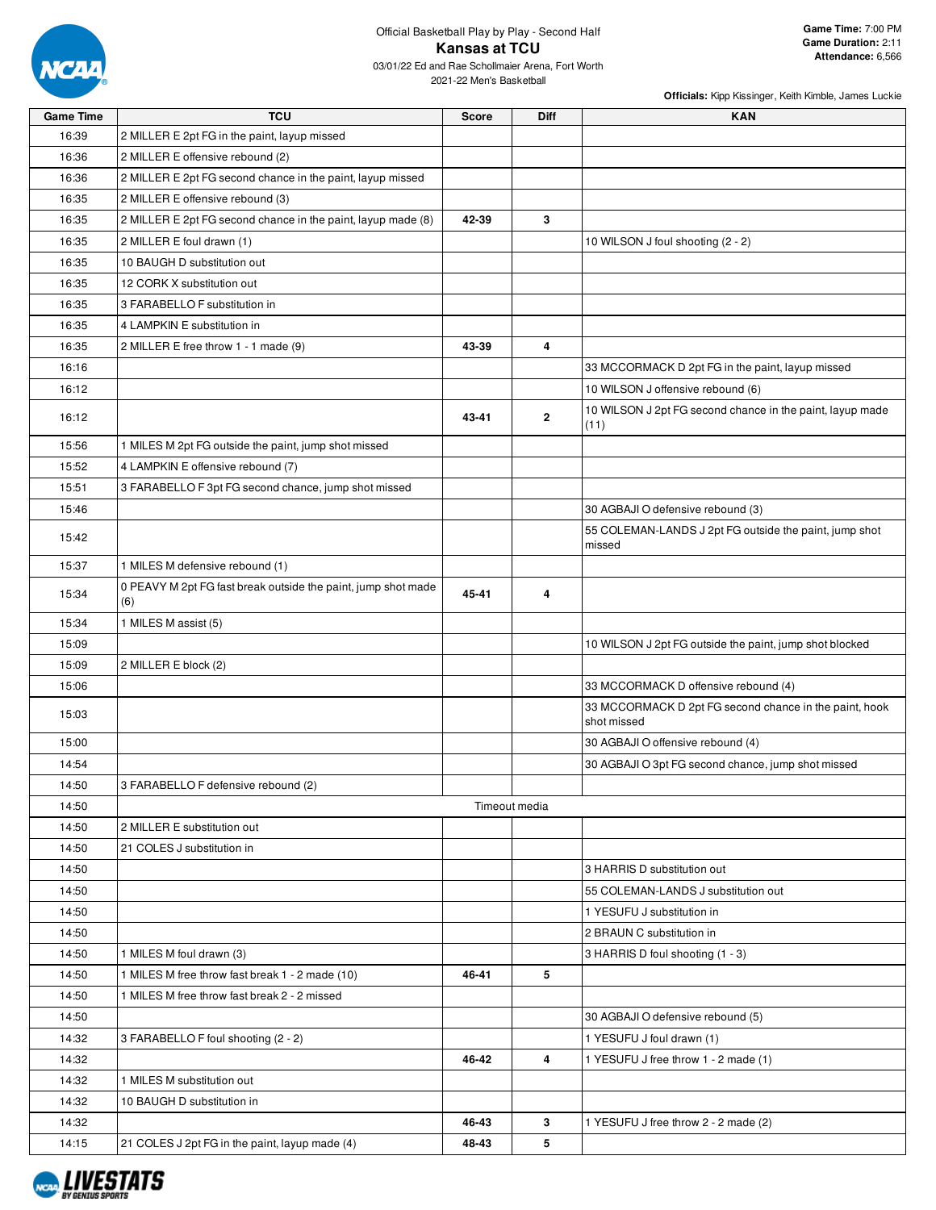

| <b>Game Time</b> | <b>TCU</b>                                                           | <b>Score</b> | <b>Diff</b>    | <b>KAN</b>                                                            |
|------------------|----------------------------------------------------------------------|--------------|----------------|-----------------------------------------------------------------------|
| 16:39            | 2 MILLER E 2pt FG in the paint, layup missed                         |              |                |                                                                       |
| 16:36            | 2 MILLER E offensive rebound (2)                                     |              |                |                                                                       |
| 16:36            | 2 MILLER E 2pt FG second chance in the paint, layup missed           |              |                |                                                                       |
| 16:35            | 2 MILLER E offensive rebound (3)                                     |              |                |                                                                       |
| 16:35            | 2 MILLER E 2pt FG second chance in the paint, layup made (8)         | 42-39        | 3              |                                                                       |
| 16:35            | 2 MILLER E foul drawn (1)                                            |              |                | 10 WILSON J foul shooting (2 - 2)                                     |
| 16:35            | 10 BAUGH D substitution out                                          |              |                |                                                                       |
| 16:35            | 12 CORK X substitution out                                           |              |                |                                                                       |
| 16:35            | 3 FARABELLO F substitution in                                        |              |                |                                                                       |
| 16:35            | 4 LAMPKIN E substitution in                                          |              |                |                                                                       |
| 16:35            | 2 MILLER E free throw 1 - 1 made (9)                                 | 43-39        | $\overline{4}$ |                                                                       |
| 16:16            |                                                                      |              |                | 33 MCCORMACK D 2pt FG in the paint, layup missed                      |
| 16:12            |                                                                      |              |                | 10 WILSON J offensive rebound (6)                                     |
| 16:12            |                                                                      | 43-41        | $\overline{2}$ | 10 WILSON J 2pt FG second chance in the paint, layup made<br>(11)     |
| 15:56            | 1 MILES M 2pt FG outside the paint, jump shot missed                 |              |                |                                                                       |
| 15:52            | 4 LAMPKIN E offensive rebound (7)                                    |              |                |                                                                       |
| 15:51            | 3 FARABELLO F 3pt FG second chance, jump shot missed                 |              |                |                                                                       |
| 15:46            |                                                                      |              |                | 30 AGBAJI O defensive rebound (3)                                     |
| 15:42            |                                                                      |              |                | 55 COLEMAN-LANDS J 2pt FG outside the paint, jump shot<br>missed      |
| 15:37            | 1 MILES M defensive rebound (1)                                      |              |                |                                                                       |
| 15:34            | 0 PEAVY M 2pt FG fast break outside the paint, jump shot made<br>(6) | 45-41        | 4              |                                                                       |
| 15:34            | 1 MILES M assist (5)                                                 |              |                |                                                                       |
| 15:09            |                                                                      |              |                | 10 WILSON J 2pt FG outside the paint, jump shot blocked               |
| 15:09            | 2 MILLER E block (2)                                                 |              |                |                                                                       |
| 15:06            |                                                                      |              |                | 33 MCCORMACK D offensive rebound (4)                                  |
| 15:03            |                                                                      |              |                | 33 MCCORMACK D 2pt FG second chance in the paint, hook<br>shot missed |
| 15:00            |                                                                      |              |                | 30 AGBAJI O offensive rebound (4)                                     |
| 14:54            |                                                                      |              |                | 30 AGBAJI O 3pt FG second chance, jump shot missed                    |
| 14:50            | 3 FARABELLO F defensive rebound (2)                                  |              |                |                                                                       |
| 14:50            |                                                                      |              | Timeout media  |                                                                       |
| 14:50            | 2 MILLER E substitution out                                          |              |                |                                                                       |
| 14:50            | 21 COLES J substitution in                                           |              |                |                                                                       |
| 14:50            |                                                                      |              |                | 3 HARRIS D substitution out                                           |
| 14:50            |                                                                      |              |                | 55 COLEMAN-LANDS J substitution out                                   |
| 14:50            |                                                                      |              |                | 1 YESUFU J substitution in                                            |
| 14:50            |                                                                      |              |                | 2 BRAUN C substitution in                                             |
| 14:50            | 1 MILES M foul drawn (3)                                             |              |                | 3 HARRIS D foul shooting (1 - 3)                                      |
| 14:50            | 1 MILES M free throw fast break 1 - 2 made (10)                      | 46-41        | 5              |                                                                       |
| 14:50            | 1 MILES M free throw fast break 2 - 2 missed                         |              |                |                                                                       |
| 14:50            |                                                                      |              |                | 30 AGBAJI O defensive rebound (5)                                     |
| 14:32            | 3 FARABELLO F foul shooting (2 - 2)                                  |              |                | 1 YESUFU J foul drawn (1)                                             |
| 14:32            |                                                                      | 46-42        | 4              | 1 YESUFU J free throw 1 - 2 made (1)                                  |
| 14:32            | 1 MILES M substitution out                                           |              |                |                                                                       |
| 14:32            | 10 BAUGH D substitution in                                           |              |                |                                                                       |
| 14:32            |                                                                      | 46-43        | $\mathbf{3}$   | 1 YESUFU J free throw 2 - 2 made (2)                                  |
| 14:15            | 21 COLES J 2pt FG in the paint, layup made (4)                       | 48-43        | 5              |                                                                       |

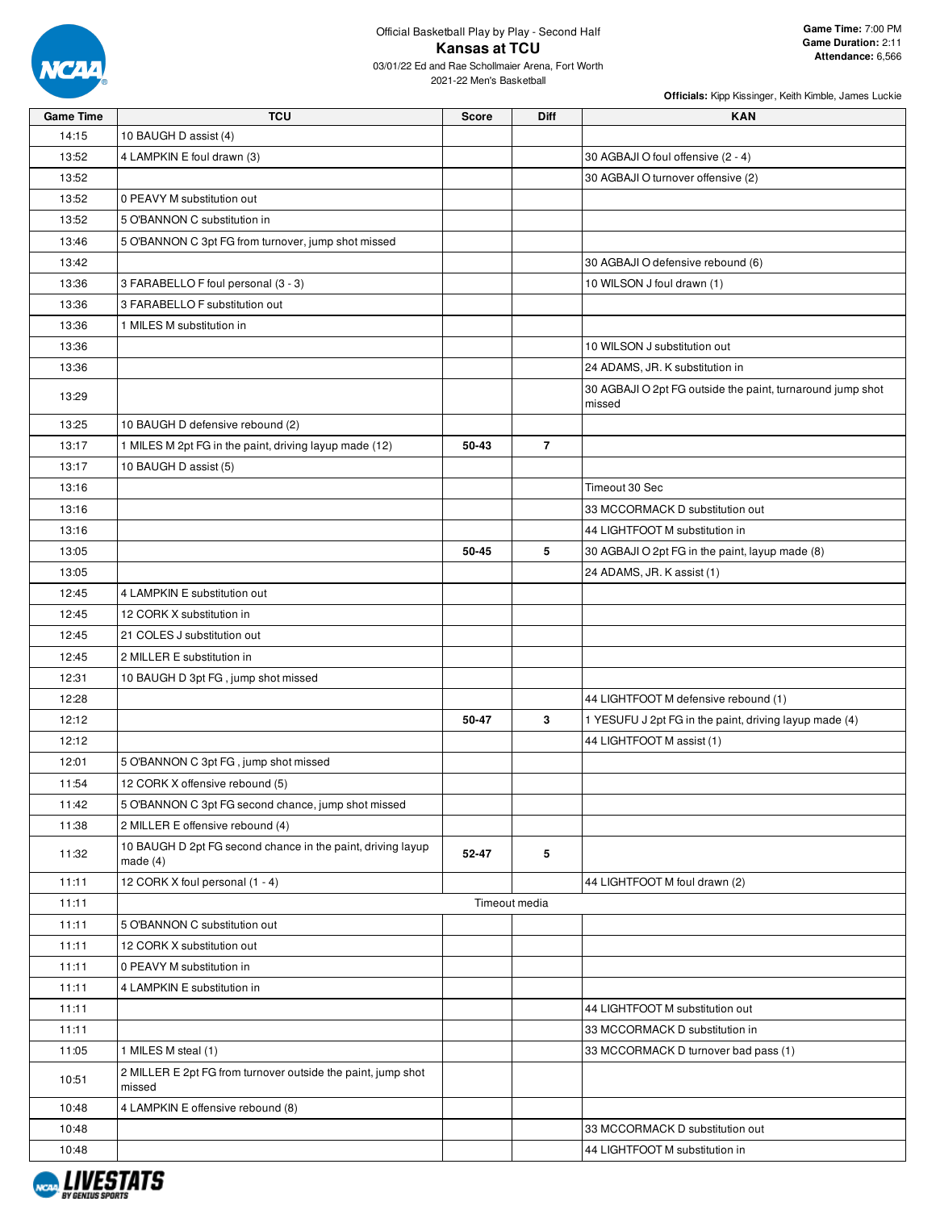

| <b>Game Time</b> | <b>TCU</b>                                                                | <b>Score</b> | Diff           | <b>KAN</b>                                                           |
|------------------|---------------------------------------------------------------------------|--------------|----------------|----------------------------------------------------------------------|
| 14:15            | 10 BAUGH D assist (4)                                                     |              |                |                                                                      |
| 13:52            | 4 LAMPKIN E foul drawn (3)                                                |              |                | 30 AGBAJI O foul offensive (2 - 4)                                   |
| 13:52            |                                                                           |              |                | 30 AGBAJI O turnover offensive (2)                                   |
| 13:52            | 0 PEAVY M substitution out                                                |              |                |                                                                      |
| 13:52            | 5 O'BANNON C substitution in                                              |              |                |                                                                      |
| 13:46            | 5 O'BANNON C 3pt FG from turnover, jump shot missed                       |              |                |                                                                      |
| 13:42            |                                                                           |              |                | 30 AGBAJI O defensive rebound (6)                                    |
| 13:36            | 3 FARABELLO F foul personal (3 - 3)                                       |              |                | 10 WILSON J foul drawn (1)                                           |
| 13:36            | 3 FARABELLO F substitution out                                            |              |                |                                                                      |
| 13:36            | 1 MILES M substitution in                                                 |              |                |                                                                      |
| 13:36            |                                                                           |              |                | 10 WILSON J substitution out                                         |
| 13:36            |                                                                           |              |                | 24 ADAMS, JR. K substitution in                                      |
| 13:29            |                                                                           |              |                | 30 AGBAJI O 2pt FG outside the paint, turnaround jump shot<br>missed |
| 13:25            | 10 BAUGH D defensive rebound (2)                                          |              |                |                                                                      |
| 13:17            | 1 MILES M 2pt FG in the paint, driving layup made (12)                    | 50-43        | $\overline{7}$ |                                                                      |
| 13:17            | 10 BAUGH D assist (5)                                                     |              |                |                                                                      |
| 13:16            |                                                                           |              |                | Timeout 30 Sec                                                       |
| 13:16            |                                                                           |              |                | 33 MCCORMACK D substitution out                                      |
| 13:16            |                                                                           |              |                | 44 LIGHTFOOT M substitution in                                       |
| 13:05            |                                                                           | 50-45        | 5              | 30 AGBAJI O 2pt FG in the paint, layup made (8)                      |
| 13:05            |                                                                           |              |                | 24 ADAMS, JR. K assist (1)                                           |
| 12:45            | 4 LAMPKIN E substitution out                                              |              |                |                                                                      |
| 12:45            | 12 CORK X substitution in                                                 |              |                |                                                                      |
| 12:45            | 21 COLES J substitution out                                               |              |                |                                                                      |
| 12:45            | 2 MILLER E substitution in                                                |              |                |                                                                      |
| 12:31            | 10 BAUGH D 3pt FG, jump shot missed                                       |              |                |                                                                      |
| 12:28            |                                                                           |              |                | 44 LIGHTFOOT M defensive rebound (1)                                 |
| 12:12            |                                                                           | 50-47        | 3              | 1 YESUFU J 2pt FG in the paint, driving layup made (4)               |
| 12:12            |                                                                           |              |                | 44 LIGHTFOOT M assist (1)                                            |
| 12:01            | 5 O'BANNON C 3pt FG, jump shot missed                                     |              |                |                                                                      |
| 11:54            | 12 CORK X offensive rebound (5)                                           |              |                |                                                                      |
| 11:42            | 5 O'BANNON C 3pt FG second chance, jump shot missed                       |              |                |                                                                      |
| 11:38            | 2 MILLER E offensive rebound (4)                                          |              |                |                                                                      |
| 11:32            | 10 BAUGH D 2pt FG second chance in the paint, driving layup<br>made $(4)$ | 52-47        | 5              |                                                                      |
| 11:11            | 12 CORK X foul personal (1 - 4)                                           |              |                | 44 LIGHTFOOT M foul drawn (2)                                        |
| 11:11            |                                                                           |              | Timeout media  |                                                                      |
| 11:11            | 5 O'BANNON C substitution out                                             |              |                |                                                                      |
| 11:11            | 12 CORK X substitution out                                                |              |                |                                                                      |
| 11:11            | 0 PEAVY M substitution in                                                 |              |                |                                                                      |
| 11:11            | 4 LAMPKIN E substitution in                                               |              |                |                                                                      |
| 11:11            |                                                                           |              |                | 44 LIGHTFOOT M substitution out                                      |
| 11:11            |                                                                           |              |                | 33 MCCORMACK D substitution in                                       |
| 11:05            | 1 MILES M steal (1)                                                       |              |                | 33 MCCORMACK D turnover bad pass (1)                                 |
| 10:51            | 2 MILLER E 2pt FG from turnover outside the paint, jump shot<br>missed    |              |                |                                                                      |
| 10:48            | 4 LAMPKIN E offensive rebound (8)                                         |              |                |                                                                      |
| 10:48            |                                                                           |              |                | 33 MCCORMACK D substitution out                                      |
| 10:48            |                                                                           |              |                | 44 LIGHTFOOT M substitution in                                       |
|                  |                                                                           |              |                |                                                                      |

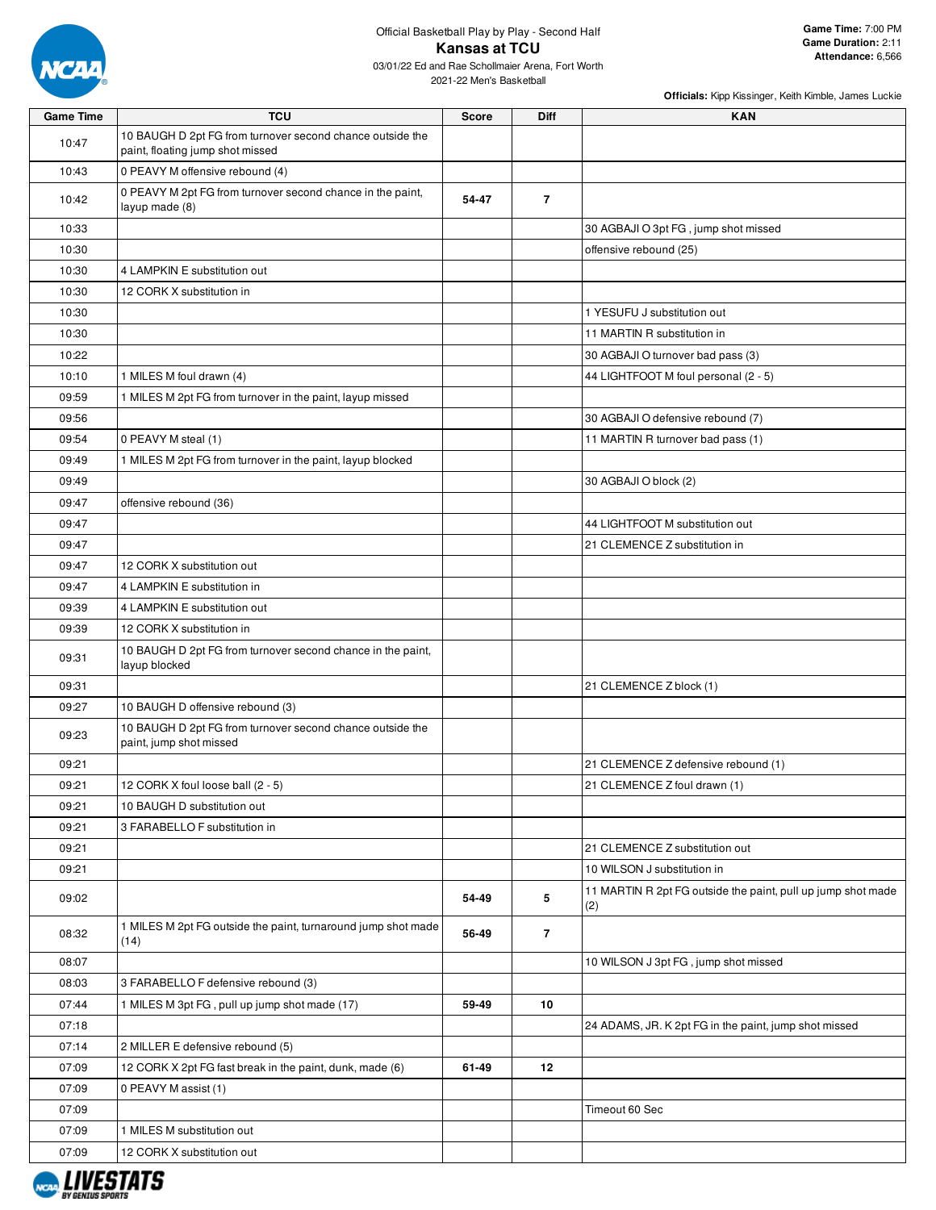

| <b>Game Time</b> | <b>TCU</b>                                                                                    | <b>Score</b> | Diff           | <b>KAN</b>                                                          |
|------------------|-----------------------------------------------------------------------------------------------|--------------|----------------|---------------------------------------------------------------------|
| 10:47            | 10 BAUGH D 2pt FG from turnover second chance outside the<br>paint, floating jump shot missed |              |                |                                                                     |
| 10:43            | 0 PEAVY M offensive rebound (4)                                                               |              |                |                                                                     |
| 10:42            | 0 PEAVY M 2pt FG from turnover second chance in the paint,<br>layup made (8)                  | 54-47        | $\overline{7}$ |                                                                     |
| 10:33            |                                                                                               |              |                | 30 AGBAJI O 3pt FG, jump shot missed                                |
| 10:30            |                                                                                               |              |                | offensive rebound (25)                                              |
| 10:30            | 4 LAMPKIN E substitution out                                                                  |              |                |                                                                     |
| 10:30            | 12 CORK X substitution in                                                                     |              |                |                                                                     |
| 10:30            |                                                                                               |              |                | 1 YESUFU J substitution out                                         |
| 10:30            |                                                                                               |              |                | 11 MARTIN R substitution in                                         |
| 10:22            |                                                                                               |              |                | 30 AGBAJI O turnover bad pass (3)                                   |
| 10:10            | 1 MILES M foul drawn (4)                                                                      |              |                | 44 LIGHTFOOT M foul personal (2 - 5)                                |
| 09:59            | 1 MILES M 2pt FG from turnover in the paint, layup missed                                     |              |                |                                                                     |
| 09:56            |                                                                                               |              |                | 30 AGBAJI O defensive rebound (7)                                   |
| 09:54            | 0 PEAVY M steal (1)                                                                           |              |                | 11 MARTIN R turnover bad pass (1)                                   |
| 09:49            | 1 MILES M 2pt FG from turnover in the paint, layup blocked                                    |              |                |                                                                     |
| 09:49            |                                                                                               |              |                | 30 AGBAJI O block (2)                                               |
| 09:47            | offensive rebound (36)                                                                        |              |                |                                                                     |
| 09:47            |                                                                                               |              |                | 44 LIGHTFOOT M substitution out                                     |
| 09:47            |                                                                                               |              |                | 21 CLEMENCE Z substitution in                                       |
| 09:47            | 12 CORK X substitution out                                                                    |              |                |                                                                     |
| 09:47            | 4 LAMPKIN E substitution in                                                                   |              |                |                                                                     |
| 09:39            | 4 LAMPKIN E substitution out                                                                  |              |                |                                                                     |
| 09:39            | 12 CORK X substitution in                                                                     |              |                |                                                                     |
| 09:31            | 10 BAUGH D 2pt FG from turnover second chance in the paint,<br>layup blocked                  |              |                |                                                                     |
| 09:31            |                                                                                               |              |                | 21 CLEMENCE Z block (1)                                             |
| 09:27            | 10 BAUGH D offensive rebound (3)                                                              |              |                |                                                                     |
| 09:23            | 10 BAUGH D 2pt FG from turnover second chance outside the<br>paint, jump shot missed          |              |                |                                                                     |
| 09:21            |                                                                                               |              |                | 21 CLEMENCE Z defensive rebound (1)                                 |
| 09:21            | 12 CORK X foul loose ball (2 - 5)                                                             |              |                | 21 CLEMENCE Z foul drawn (1)                                        |
| 09:21            | 10 BAUGH D substitution out                                                                   |              |                |                                                                     |
| 09:21            | 3 FARABELLO F substitution in                                                                 |              |                |                                                                     |
| 09:21            |                                                                                               |              |                | 21 CLEMENCE Z substitution out                                      |
| 09:21            |                                                                                               |              |                | 10 WILSON J substitution in                                         |
| 09:02            |                                                                                               | 54-49        | 5              | 11 MARTIN R 2pt FG outside the paint, pull up jump shot made<br>(2) |
| 08:32            | 1 MILES M 2pt FG outside the paint, turnaround jump shot made<br>(14)                         | 56-49        | $\overline{7}$ |                                                                     |
| 08:07            |                                                                                               |              |                | 10 WILSON J 3pt FG, jump shot missed                                |
| 08:03            | 3 FARABELLO F defensive rebound (3)                                                           |              |                |                                                                     |
| 07:44            | 1 MILES M 3pt FG, pull up jump shot made (17)                                                 | 59-49        | 10             |                                                                     |
| 07:18            |                                                                                               |              |                | 24 ADAMS, JR. K 2pt FG in the paint, jump shot missed               |
| 07:14            | 2 MILLER E defensive rebound (5)                                                              |              |                |                                                                     |
| 07:09            | 12 CORK X 2pt FG fast break in the paint, dunk, made (6)                                      | 61-49        | 12             |                                                                     |
| 07:09            | 0 PEAVY M assist (1)                                                                          |              |                |                                                                     |
| 07:09            |                                                                                               |              |                | Timeout 60 Sec                                                      |
| 07:09            | 1 MILES M substitution out                                                                    |              |                |                                                                     |
| 07:09            | 12 CORK X substitution out                                                                    |              |                |                                                                     |

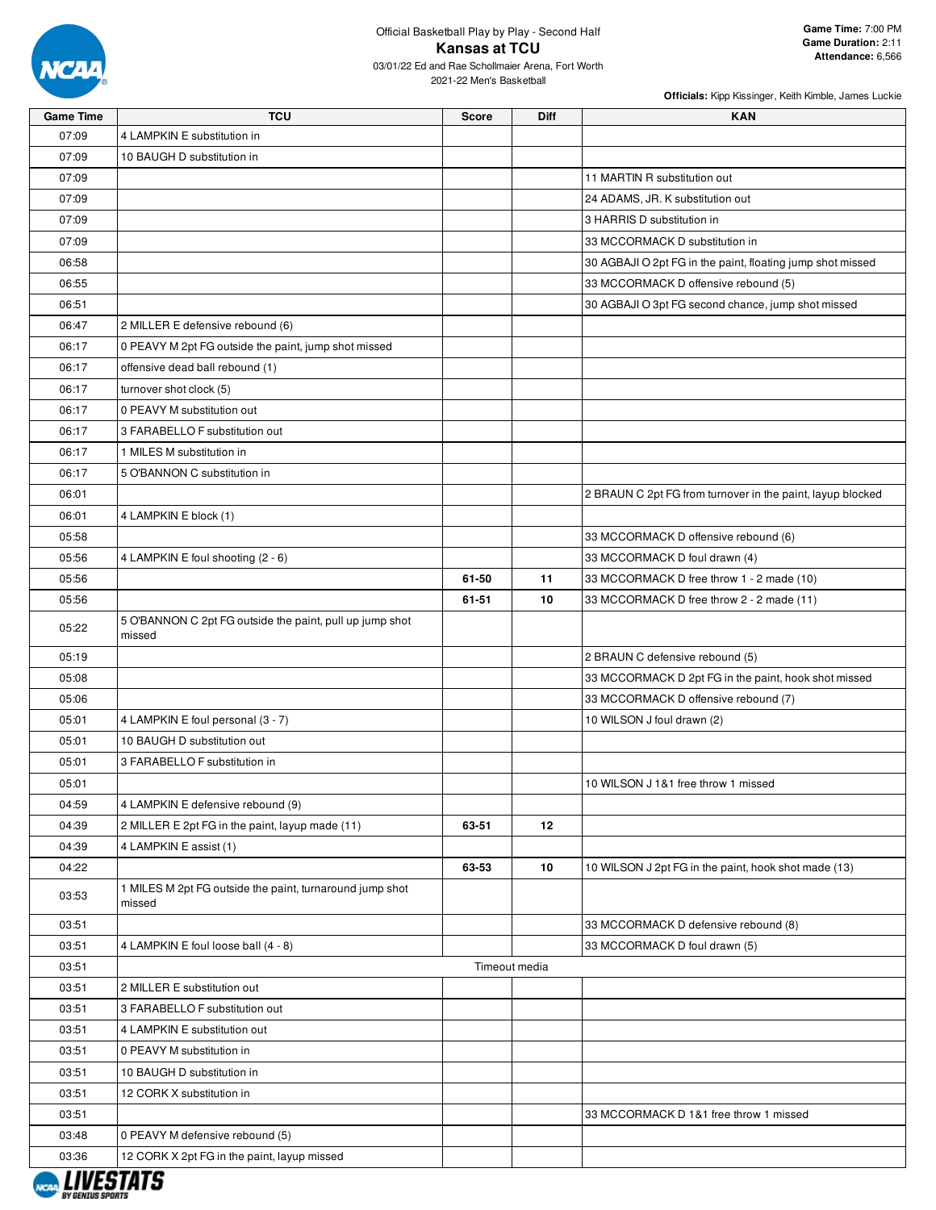

| <b>Game Time</b> | <b>TCU</b>                                                         | Score | <b>Diff</b>   | <b>KAN</b>                                                 |
|------------------|--------------------------------------------------------------------|-------|---------------|------------------------------------------------------------|
| 07:09            | 4 LAMPKIN E substitution in                                        |       |               |                                                            |
| 07:09            | 10 BAUGH D substitution in                                         |       |               |                                                            |
| 07:09            |                                                                    |       |               | 11 MARTIN R substitution out                               |
| 07:09            |                                                                    |       |               | 24 ADAMS, JR. K substitution out                           |
| 07:09            |                                                                    |       |               | 3 HARRIS D substitution in                                 |
| 07:09            |                                                                    |       |               | 33 MCCORMACK D substitution in                             |
| 06:58            |                                                                    |       |               | 30 AGBAJI O 2pt FG in the paint, floating jump shot missed |
| 06:55            |                                                                    |       |               | 33 MCCORMACK D offensive rebound (5)                       |
| 06:51            |                                                                    |       |               | 30 AGBAJI O 3pt FG second chance, jump shot missed         |
| 06:47            | 2 MILLER E defensive rebound (6)                                   |       |               |                                                            |
| 06:17            | 0 PEAVY M 2pt FG outside the paint, jump shot missed               |       |               |                                                            |
| 06:17            | offensive dead ball rebound (1)                                    |       |               |                                                            |
| 06:17            | turnover shot clock (5)                                            |       |               |                                                            |
| 06:17            | 0 PEAVY M substitution out                                         |       |               |                                                            |
| 06:17            | 3 FARABELLO F substitution out                                     |       |               |                                                            |
| 06:17            | 1 MILES M substitution in                                          |       |               |                                                            |
| 06:17            | 5 O'BANNON C substitution in                                       |       |               |                                                            |
| 06:01            |                                                                    |       |               | 2 BRAUN C 2pt FG from turnover in the paint, layup blocked |
| 06:01            | 4 LAMPKIN E block (1)                                              |       |               |                                                            |
| 05:58            |                                                                    |       |               | 33 MCCORMACK D offensive rebound (6)                       |
| 05:56            | 4 LAMPKIN E foul shooting (2 - 6)                                  |       |               | 33 MCCORMACK D foul drawn (4)                              |
| 05:56            |                                                                    | 61-50 | 11            | 33 MCCORMACK D free throw 1 - 2 made (10)                  |
| 05:56            |                                                                    | 61-51 | 10            | 33 MCCORMACK D free throw 2 - 2 made (11)                  |
|                  | 5 O'BANNON C 2pt FG outside the paint, pull up jump shot           |       |               |                                                            |
| 05:22            | missed                                                             |       |               |                                                            |
| 05:19            |                                                                    |       |               | 2 BRAUN C defensive rebound (5)                            |
| 05:08            |                                                                    |       |               | 33 MCCORMACK D 2pt FG in the paint, hook shot missed       |
| 05:06            |                                                                    |       |               | 33 MCCORMACK D offensive rebound (7)                       |
| 05:01            | 4 LAMPKIN E foul personal (3 - 7)                                  |       |               | 10 WILSON J foul drawn (2)                                 |
| 05:01            | 10 BAUGH D substitution out                                        |       |               |                                                            |
| 05:01            | 3 FARABELLO F substitution in                                      |       |               |                                                            |
| 05:01            |                                                                    |       |               | 10 WILSON J 1&1 free throw 1 missed                        |
| 04:59            | 4 LAMPKIN E defensive rebound (9)                                  |       |               |                                                            |
| 04:39            | 2 MILLER E 2pt FG in the paint, layup made (11)                    | 63-51 | 12            |                                                            |
| 04:39            | 4 LAMPKIN E assist (1)                                             |       |               |                                                            |
| 04:22            |                                                                    | 63-53 | 10            | 10 WILSON J 2pt FG in the paint, hook shot made (13)       |
| 03:53            | 1 MILES M 2pt FG outside the paint, turnaround jump shot<br>missed |       |               |                                                            |
| 03:51            |                                                                    |       |               | 33 MCCORMACK D defensive rebound (8)                       |
| 03:51            | 4 LAMPKIN E foul loose ball (4 - 8)                                |       |               | 33 MCCORMACK D foul drawn (5)                              |
| 03:51            |                                                                    |       | Timeout media |                                                            |
| 03:51            | 2 MILLER E substitution out                                        |       |               |                                                            |
| 03:51            | 3 FARABELLO F substitution out                                     |       |               |                                                            |
| 03:51            | 4 LAMPKIN E substitution out                                       |       |               |                                                            |
| 03:51            | 0 PEAVY M substitution in                                          |       |               |                                                            |
| 03:51            | 10 BAUGH D substitution in                                         |       |               |                                                            |
| 03:51            | 12 CORK X substitution in                                          |       |               |                                                            |
| 03:51            |                                                                    |       |               | 33 MCCORMACK D 1&1 free throw 1 missed                     |
| 03:48            | 0 PEAVY M defensive rebound (5)                                    |       |               |                                                            |
| 03:36            | 12 CORK X 2pt FG in the paint, layup missed                        |       |               |                                                            |
| I IIIFATATA      |                                                                    |       |               |                                                            |

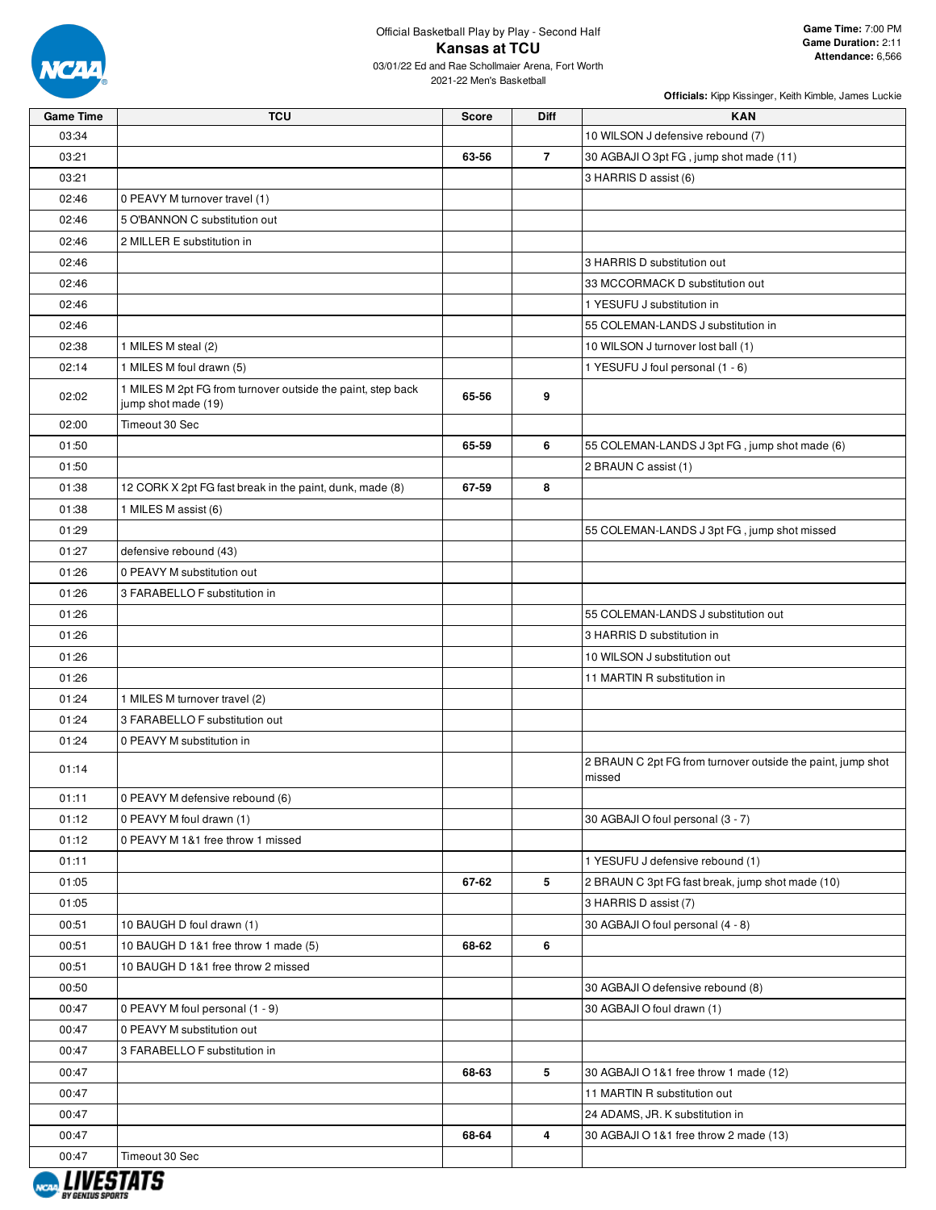

| 03:34<br>10 WILSON J defensive rebound (7)<br>$\overline{7}$<br>03:21<br>63-56<br>30 AGBAJI O 3pt FG, jump shot made (11)<br>03:21<br>3 HARRIS D assist (6)<br>02:46<br>0 PEAVY M turnover travel (1)<br>02:46<br>5 O'BANNON C substitution out<br>02:46<br>2 MILLER E substitution in<br>02:46<br>3 HARRIS D substitution out<br>02:46<br>33 MCCORMACK D substitution out<br>02:46<br>1 YESUFU J substitution in<br>55 COLEMAN-LANDS J substitution in<br>02:46<br>02:38<br>1 MILES M steal (2)<br>10 WILSON J turnover lost ball (1)<br>02:14<br>1 MILES M foul drawn (5)<br>1 YESUFU J foul personal (1 - 6)<br>1 MILES M 2pt FG from turnover outside the paint, step back<br>9<br>02:02<br>65-56<br>jump shot made (19)<br>Timeout 30 Sec<br>02:00<br>6<br>01:50<br>65-59<br>55 COLEMAN-LANDS J 3pt FG, jump shot made (6)<br>01:50<br>2 BRAUN C assist (1)<br>8<br>01:38<br>12 CORK X 2pt FG fast break in the paint, dunk, made (8)<br>67-59<br>01:38<br>1 MILES M assist (6)<br>01:29<br>55 COLEMAN-LANDS J 3pt FG, jump shot missed<br>01:27<br>defensive rebound (43)<br>01:26<br>0 PEAVY M substitution out<br>01:26<br>3 FARABELLO F substitution in<br>01:26<br>55 COLEMAN-LANDS J substitution out<br>01:26<br>3 HARRIS D substitution in<br>01:26<br>10 WILSON J substitution out<br>01:26<br>11 MARTIN R substitution in<br>01:24<br>1 MILES M turnover travel (2)<br>01:24<br>3 FARABELLO F substitution out<br>01:24<br>0 PEAVY M substitution in<br>2 BRAUN C 2pt FG from turnover outside the paint, jump shot<br>01:14<br>missed<br>0 PEAVY M defensive rebound (6)<br>01:11<br>01:12<br>0 PEAVY M foul drawn (1)<br>30 AGBAJI O foul personal (3 - 7)<br>01:12<br>0 PEAVY M 1&1 free throw 1 missed<br>01:11<br>1 YESUFU J defensive rebound (1)<br>5<br>01:05<br>67-62<br>2 BRAUN C 3pt FG fast break, jump shot made (10)<br>01:05<br>3 HARRIS D assist (7)<br>00:51<br>10 BAUGH D foul drawn (1)<br>30 AGBAJI O foul personal (4 - 8)<br>00:51<br>10 BAUGH D 1&1 free throw 1 made (5)<br>68-62<br>6<br>00:51<br>10 BAUGH D 1&1 free throw 2 missed<br>00:50<br>30 AGBAJI O defensive rebound (8)<br>00:47<br>0 PEAVY M foul personal (1 - 9)<br>30 AGBAJI O foul drawn (1)<br>00:47<br>0 PEAVY M substitution out<br>00:47<br>3 FARABELLO F substitution in<br>5<br>00:47<br>68-63<br>30 AGBAJI O 1&1 free throw 1 made (12)<br>00:47<br>11 MARTIN R substitution out<br>24 ADAMS, JR. K substitution in<br>00:47<br>$\overline{4}$<br>00:47<br>68-64<br>30 AGBAJI O 1&1 free throw 2 made (13) | <b>Game Time</b> | <b>TCU</b>     | <b>Score</b> | <b>Diff</b> | <b>KAN</b> |
|---------------------------------------------------------------------------------------------------------------------------------------------------------------------------------------------------------------------------------------------------------------------------------------------------------------------------------------------------------------------------------------------------------------------------------------------------------------------------------------------------------------------------------------------------------------------------------------------------------------------------------------------------------------------------------------------------------------------------------------------------------------------------------------------------------------------------------------------------------------------------------------------------------------------------------------------------------------------------------------------------------------------------------------------------------------------------------------------------------------------------------------------------------------------------------------------------------------------------------------------------------------------------------------------------------------------------------------------------------------------------------------------------------------------------------------------------------------------------------------------------------------------------------------------------------------------------------------------------------------------------------------------------------------------------------------------------------------------------------------------------------------------------------------------------------------------------------------------------------------------------------------------------------------------------------------------------------------------------------------------------------------------------------------------------------------------------------------------------------------------------------------------------------------------------------------------------------------------------------------------------------------------------------------------------------------------------------------------------------------------------------------------------------------------------------------------------------------------------------------------------------------------------|------------------|----------------|--------------|-------------|------------|
|                                                                                                                                                                                                                                                                                                                                                                                                                                                                                                                                                                                                                                                                                                                                                                                                                                                                                                                                                                                                                                                                                                                                                                                                                                                                                                                                                                                                                                                                                                                                                                                                                                                                                                                                                                                                                                                                                                                                                                                                                                                                                                                                                                                                                                                                                                                                                                                                                                                                                                                           |                  |                |              |             |            |
|                                                                                                                                                                                                                                                                                                                                                                                                                                                                                                                                                                                                                                                                                                                                                                                                                                                                                                                                                                                                                                                                                                                                                                                                                                                                                                                                                                                                                                                                                                                                                                                                                                                                                                                                                                                                                                                                                                                                                                                                                                                                                                                                                                                                                                                                                                                                                                                                                                                                                                                           |                  |                |              |             |            |
|                                                                                                                                                                                                                                                                                                                                                                                                                                                                                                                                                                                                                                                                                                                                                                                                                                                                                                                                                                                                                                                                                                                                                                                                                                                                                                                                                                                                                                                                                                                                                                                                                                                                                                                                                                                                                                                                                                                                                                                                                                                                                                                                                                                                                                                                                                                                                                                                                                                                                                                           |                  |                |              |             |            |
|                                                                                                                                                                                                                                                                                                                                                                                                                                                                                                                                                                                                                                                                                                                                                                                                                                                                                                                                                                                                                                                                                                                                                                                                                                                                                                                                                                                                                                                                                                                                                                                                                                                                                                                                                                                                                                                                                                                                                                                                                                                                                                                                                                                                                                                                                                                                                                                                                                                                                                                           |                  |                |              |             |            |
|                                                                                                                                                                                                                                                                                                                                                                                                                                                                                                                                                                                                                                                                                                                                                                                                                                                                                                                                                                                                                                                                                                                                                                                                                                                                                                                                                                                                                                                                                                                                                                                                                                                                                                                                                                                                                                                                                                                                                                                                                                                                                                                                                                                                                                                                                                                                                                                                                                                                                                                           |                  |                |              |             |            |
|                                                                                                                                                                                                                                                                                                                                                                                                                                                                                                                                                                                                                                                                                                                                                                                                                                                                                                                                                                                                                                                                                                                                                                                                                                                                                                                                                                                                                                                                                                                                                                                                                                                                                                                                                                                                                                                                                                                                                                                                                                                                                                                                                                                                                                                                                                                                                                                                                                                                                                                           |                  |                |              |             |            |
|                                                                                                                                                                                                                                                                                                                                                                                                                                                                                                                                                                                                                                                                                                                                                                                                                                                                                                                                                                                                                                                                                                                                                                                                                                                                                                                                                                                                                                                                                                                                                                                                                                                                                                                                                                                                                                                                                                                                                                                                                                                                                                                                                                                                                                                                                                                                                                                                                                                                                                                           |                  |                |              |             |            |
|                                                                                                                                                                                                                                                                                                                                                                                                                                                                                                                                                                                                                                                                                                                                                                                                                                                                                                                                                                                                                                                                                                                                                                                                                                                                                                                                                                                                                                                                                                                                                                                                                                                                                                                                                                                                                                                                                                                                                                                                                                                                                                                                                                                                                                                                                                                                                                                                                                                                                                                           |                  |                |              |             |            |
|                                                                                                                                                                                                                                                                                                                                                                                                                                                                                                                                                                                                                                                                                                                                                                                                                                                                                                                                                                                                                                                                                                                                                                                                                                                                                                                                                                                                                                                                                                                                                                                                                                                                                                                                                                                                                                                                                                                                                                                                                                                                                                                                                                                                                                                                                                                                                                                                                                                                                                                           |                  |                |              |             |            |
|                                                                                                                                                                                                                                                                                                                                                                                                                                                                                                                                                                                                                                                                                                                                                                                                                                                                                                                                                                                                                                                                                                                                                                                                                                                                                                                                                                                                                                                                                                                                                                                                                                                                                                                                                                                                                                                                                                                                                                                                                                                                                                                                                                                                                                                                                                                                                                                                                                                                                                                           |                  |                |              |             |            |
|                                                                                                                                                                                                                                                                                                                                                                                                                                                                                                                                                                                                                                                                                                                                                                                                                                                                                                                                                                                                                                                                                                                                                                                                                                                                                                                                                                                                                                                                                                                                                                                                                                                                                                                                                                                                                                                                                                                                                                                                                                                                                                                                                                                                                                                                                                                                                                                                                                                                                                                           |                  |                |              |             |            |
|                                                                                                                                                                                                                                                                                                                                                                                                                                                                                                                                                                                                                                                                                                                                                                                                                                                                                                                                                                                                                                                                                                                                                                                                                                                                                                                                                                                                                                                                                                                                                                                                                                                                                                                                                                                                                                                                                                                                                                                                                                                                                                                                                                                                                                                                                                                                                                                                                                                                                                                           |                  |                |              |             |            |
|                                                                                                                                                                                                                                                                                                                                                                                                                                                                                                                                                                                                                                                                                                                                                                                                                                                                                                                                                                                                                                                                                                                                                                                                                                                                                                                                                                                                                                                                                                                                                                                                                                                                                                                                                                                                                                                                                                                                                                                                                                                                                                                                                                                                                                                                                                                                                                                                                                                                                                                           |                  |                |              |             |            |
|                                                                                                                                                                                                                                                                                                                                                                                                                                                                                                                                                                                                                                                                                                                                                                                                                                                                                                                                                                                                                                                                                                                                                                                                                                                                                                                                                                                                                                                                                                                                                                                                                                                                                                                                                                                                                                                                                                                                                                                                                                                                                                                                                                                                                                                                                                                                                                                                                                                                                                                           |                  |                |              |             |            |
|                                                                                                                                                                                                                                                                                                                                                                                                                                                                                                                                                                                                                                                                                                                                                                                                                                                                                                                                                                                                                                                                                                                                                                                                                                                                                                                                                                                                                                                                                                                                                                                                                                                                                                                                                                                                                                                                                                                                                                                                                                                                                                                                                                                                                                                                                                                                                                                                                                                                                                                           |                  |                |              |             |            |
|                                                                                                                                                                                                                                                                                                                                                                                                                                                                                                                                                                                                                                                                                                                                                                                                                                                                                                                                                                                                                                                                                                                                                                                                                                                                                                                                                                                                                                                                                                                                                                                                                                                                                                                                                                                                                                                                                                                                                                                                                                                                                                                                                                                                                                                                                                                                                                                                                                                                                                                           |                  |                |              |             |            |
|                                                                                                                                                                                                                                                                                                                                                                                                                                                                                                                                                                                                                                                                                                                                                                                                                                                                                                                                                                                                                                                                                                                                                                                                                                                                                                                                                                                                                                                                                                                                                                                                                                                                                                                                                                                                                                                                                                                                                                                                                                                                                                                                                                                                                                                                                                                                                                                                                                                                                                                           |                  |                |              |             |            |
|                                                                                                                                                                                                                                                                                                                                                                                                                                                                                                                                                                                                                                                                                                                                                                                                                                                                                                                                                                                                                                                                                                                                                                                                                                                                                                                                                                                                                                                                                                                                                                                                                                                                                                                                                                                                                                                                                                                                                                                                                                                                                                                                                                                                                                                                                                                                                                                                                                                                                                                           |                  |                |              |             |            |
|                                                                                                                                                                                                                                                                                                                                                                                                                                                                                                                                                                                                                                                                                                                                                                                                                                                                                                                                                                                                                                                                                                                                                                                                                                                                                                                                                                                                                                                                                                                                                                                                                                                                                                                                                                                                                                                                                                                                                                                                                                                                                                                                                                                                                                                                                                                                                                                                                                                                                                                           |                  |                |              |             |            |
|                                                                                                                                                                                                                                                                                                                                                                                                                                                                                                                                                                                                                                                                                                                                                                                                                                                                                                                                                                                                                                                                                                                                                                                                                                                                                                                                                                                                                                                                                                                                                                                                                                                                                                                                                                                                                                                                                                                                                                                                                                                                                                                                                                                                                                                                                                                                                                                                                                                                                                                           |                  |                |              |             |            |
|                                                                                                                                                                                                                                                                                                                                                                                                                                                                                                                                                                                                                                                                                                                                                                                                                                                                                                                                                                                                                                                                                                                                                                                                                                                                                                                                                                                                                                                                                                                                                                                                                                                                                                                                                                                                                                                                                                                                                                                                                                                                                                                                                                                                                                                                                                                                                                                                                                                                                                                           |                  |                |              |             |            |
|                                                                                                                                                                                                                                                                                                                                                                                                                                                                                                                                                                                                                                                                                                                                                                                                                                                                                                                                                                                                                                                                                                                                                                                                                                                                                                                                                                                                                                                                                                                                                                                                                                                                                                                                                                                                                                                                                                                                                                                                                                                                                                                                                                                                                                                                                                                                                                                                                                                                                                                           |                  |                |              |             |            |
|                                                                                                                                                                                                                                                                                                                                                                                                                                                                                                                                                                                                                                                                                                                                                                                                                                                                                                                                                                                                                                                                                                                                                                                                                                                                                                                                                                                                                                                                                                                                                                                                                                                                                                                                                                                                                                                                                                                                                                                                                                                                                                                                                                                                                                                                                                                                                                                                                                                                                                                           |                  |                |              |             |            |
|                                                                                                                                                                                                                                                                                                                                                                                                                                                                                                                                                                                                                                                                                                                                                                                                                                                                                                                                                                                                                                                                                                                                                                                                                                                                                                                                                                                                                                                                                                                                                                                                                                                                                                                                                                                                                                                                                                                                                                                                                                                                                                                                                                                                                                                                                                                                                                                                                                                                                                                           |                  |                |              |             |            |
|                                                                                                                                                                                                                                                                                                                                                                                                                                                                                                                                                                                                                                                                                                                                                                                                                                                                                                                                                                                                                                                                                                                                                                                                                                                                                                                                                                                                                                                                                                                                                                                                                                                                                                                                                                                                                                                                                                                                                                                                                                                                                                                                                                                                                                                                                                                                                                                                                                                                                                                           |                  |                |              |             |            |
|                                                                                                                                                                                                                                                                                                                                                                                                                                                                                                                                                                                                                                                                                                                                                                                                                                                                                                                                                                                                                                                                                                                                                                                                                                                                                                                                                                                                                                                                                                                                                                                                                                                                                                                                                                                                                                                                                                                                                                                                                                                                                                                                                                                                                                                                                                                                                                                                                                                                                                                           |                  |                |              |             |            |
|                                                                                                                                                                                                                                                                                                                                                                                                                                                                                                                                                                                                                                                                                                                                                                                                                                                                                                                                                                                                                                                                                                                                                                                                                                                                                                                                                                                                                                                                                                                                                                                                                                                                                                                                                                                                                                                                                                                                                                                                                                                                                                                                                                                                                                                                                                                                                                                                                                                                                                                           |                  |                |              |             |            |
|                                                                                                                                                                                                                                                                                                                                                                                                                                                                                                                                                                                                                                                                                                                                                                                                                                                                                                                                                                                                                                                                                                                                                                                                                                                                                                                                                                                                                                                                                                                                                                                                                                                                                                                                                                                                                                                                                                                                                                                                                                                                                                                                                                                                                                                                                                                                                                                                                                                                                                                           |                  |                |              |             |            |
|                                                                                                                                                                                                                                                                                                                                                                                                                                                                                                                                                                                                                                                                                                                                                                                                                                                                                                                                                                                                                                                                                                                                                                                                                                                                                                                                                                                                                                                                                                                                                                                                                                                                                                                                                                                                                                                                                                                                                                                                                                                                                                                                                                                                                                                                                                                                                                                                                                                                                                                           |                  |                |              |             |            |
|                                                                                                                                                                                                                                                                                                                                                                                                                                                                                                                                                                                                                                                                                                                                                                                                                                                                                                                                                                                                                                                                                                                                                                                                                                                                                                                                                                                                                                                                                                                                                                                                                                                                                                                                                                                                                                                                                                                                                                                                                                                                                                                                                                                                                                                                                                                                                                                                                                                                                                                           |                  |                |              |             |            |
|                                                                                                                                                                                                                                                                                                                                                                                                                                                                                                                                                                                                                                                                                                                                                                                                                                                                                                                                                                                                                                                                                                                                                                                                                                                                                                                                                                                                                                                                                                                                                                                                                                                                                                                                                                                                                                                                                                                                                                                                                                                                                                                                                                                                                                                                                                                                                                                                                                                                                                                           |                  |                |              |             |            |
|                                                                                                                                                                                                                                                                                                                                                                                                                                                                                                                                                                                                                                                                                                                                                                                                                                                                                                                                                                                                                                                                                                                                                                                                                                                                                                                                                                                                                                                                                                                                                                                                                                                                                                                                                                                                                                                                                                                                                                                                                                                                                                                                                                                                                                                                                                                                                                                                                                                                                                                           |                  |                |              |             |            |
|                                                                                                                                                                                                                                                                                                                                                                                                                                                                                                                                                                                                                                                                                                                                                                                                                                                                                                                                                                                                                                                                                                                                                                                                                                                                                                                                                                                                                                                                                                                                                                                                                                                                                                                                                                                                                                                                                                                                                                                                                                                                                                                                                                                                                                                                                                                                                                                                                                                                                                                           |                  |                |              |             |            |
|                                                                                                                                                                                                                                                                                                                                                                                                                                                                                                                                                                                                                                                                                                                                                                                                                                                                                                                                                                                                                                                                                                                                                                                                                                                                                                                                                                                                                                                                                                                                                                                                                                                                                                                                                                                                                                                                                                                                                                                                                                                                                                                                                                                                                                                                                                                                                                                                                                                                                                                           |                  |                |              |             |            |
|                                                                                                                                                                                                                                                                                                                                                                                                                                                                                                                                                                                                                                                                                                                                                                                                                                                                                                                                                                                                                                                                                                                                                                                                                                                                                                                                                                                                                                                                                                                                                                                                                                                                                                                                                                                                                                                                                                                                                                                                                                                                                                                                                                                                                                                                                                                                                                                                                                                                                                                           |                  |                |              |             |            |
|                                                                                                                                                                                                                                                                                                                                                                                                                                                                                                                                                                                                                                                                                                                                                                                                                                                                                                                                                                                                                                                                                                                                                                                                                                                                                                                                                                                                                                                                                                                                                                                                                                                                                                                                                                                                                                                                                                                                                                                                                                                                                                                                                                                                                                                                                                                                                                                                                                                                                                                           |                  |                |              |             |            |
|                                                                                                                                                                                                                                                                                                                                                                                                                                                                                                                                                                                                                                                                                                                                                                                                                                                                                                                                                                                                                                                                                                                                                                                                                                                                                                                                                                                                                                                                                                                                                                                                                                                                                                                                                                                                                                                                                                                                                                                                                                                                                                                                                                                                                                                                                                                                                                                                                                                                                                                           |                  |                |              |             |            |
|                                                                                                                                                                                                                                                                                                                                                                                                                                                                                                                                                                                                                                                                                                                                                                                                                                                                                                                                                                                                                                                                                                                                                                                                                                                                                                                                                                                                                                                                                                                                                                                                                                                                                                                                                                                                                                                                                                                                                                                                                                                                                                                                                                                                                                                                                                                                                                                                                                                                                                                           |                  |                |              |             |            |
|                                                                                                                                                                                                                                                                                                                                                                                                                                                                                                                                                                                                                                                                                                                                                                                                                                                                                                                                                                                                                                                                                                                                                                                                                                                                                                                                                                                                                                                                                                                                                                                                                                                                                                                                                                                                                                                                                                                                                                                                                                                                                                                                                                                                                                                                                                                                                                                                                                                                                                                           |                  |                |              |             |            |
|                                                                                                                                                                                                                                                                                                                                                                                                                                                                                                                                                                                                                                                                                                                                                                                                                                                                                                                                                                                                                                                                                                                                                                                                                                                                                                                                                                                                                                                                                                                                                                                                                                                                                                                                                                                                                                                                                                                                                                                                                                                                                                                                                                                                                                                                                                                                                                                                                                                                                                                           |                  |                |              |             |            |
|                                                                                                                                                                                                                                                                                                                                                                                                                                                                                                                                                                                                                                                                                                                                                                                                                                                                                                                                                                                                                                                                                                                                                                                                                                                                                                                                                                                                                                                                                                                                                                                                                                                                                                                                                                                                                                                                                                                                                                                                                                                                                                                                                                                                                                                                                                                                                                                                                                                                                                                           |                  |                |              |             |            |
|                                                                                                                                                                                                                                                                                                                                                                                                                                                                                                                                                                                                                                                                                                                                                                                                                                                                                                                                                                                                                                                                                                                                                                                                                                                                                                                                                                                                                                                                                                                                                                                                                                                                                                                                                                                                                                                                                                                                                                                                                                                                                                                                                                                                                                                                                                                                                                                                                                                                                                                           |                  |                |              |             |            |
|                                                                                                                                                                                                                                                                                                                                                                                                                                                                                                                                                                                                                                                                                                                                                                                                                                                                                                                                                                                                                                                                                                                                                                                                                                                                                                                                                                                                                                                                                                                                                                                                                                                                                                                                                                                                                                                                                                                                                                                                                                                                                                                                                                                                                                                                                                                                                                                                                                                                                                                           |                  |                |              |             |            |
|                                                                                                                                                                                                                                                                                                                                                                                                                                                                                                                                                                                                                                                                                                                                                                                                                                                                                                                                                                                                                                                                                                                                                                                                                                                                                                                                                                                                                                                                                                                                                                                                                                                                                                                                                                                                                                                                                                                                                                                                                                                                                                                                                                                                                                                                                                                                                                                                                                                                                                                           |                  |                |              |             |            |
|                                                                                                                                                                                                                                                                                                                                                                                                                                                                                                                                                                                                                                                                                                                                                                                                                                                                                                                                                                                                                                                                                                                                                                                                                                                                                                                                                                                                                                                                                                                                                                                                                                                                                                                                                                                                                                                                                                                                                                                                                                                                                                                                                                                                                                                                                                                                                                                                                                                                                                                           |                  |                |              |             |            |
|                                                                                                                                                                                                                                                                                                                                                                                                                                                                                                                                                                                                                                                                                                                                                                                                                                                                                                                                                                                                                                                                                                                                                                                                                                                                                                                                                                                                                                                                                                                                                                                                                                                                                                                                                                                                                                                                                                                                                                                                                                                                                                                                                                                                                                                                                                                                                                                                                                                                                                                           |                  |                |              |             |            |
|                                                                                                                                                                                                                                                                                                                                                                                                                                                                                                                                                                                                                                                                                                                                                                                                                                                                                                                                                                                                                                                                                                                                                                                                                                                                                                                                                                                                                                                                                                                                                                                                                                                                                                                                                                                                                                                                                                                                                                                                                                                                                                                                                                                                                                                                                                                                                                                                                                                                                                                           |                  |                |              |             |            |
|                                                                                                                                                                                                                                                                                                                                                                                                                                                                                                                                                                                                                                                                                                                                                                                                                                                                                                                                                                                                                                                                                                                                                                                                                                                                                                                                                                                                                                                                                                                                                                                                                                                                                                                                                                                                                                                                                                                                                                                                                                                                                                                                                                                                                                                                                                                                                                                                                                                                                                                           | 00:47            | Timeout 30 Sec |              |             |            |

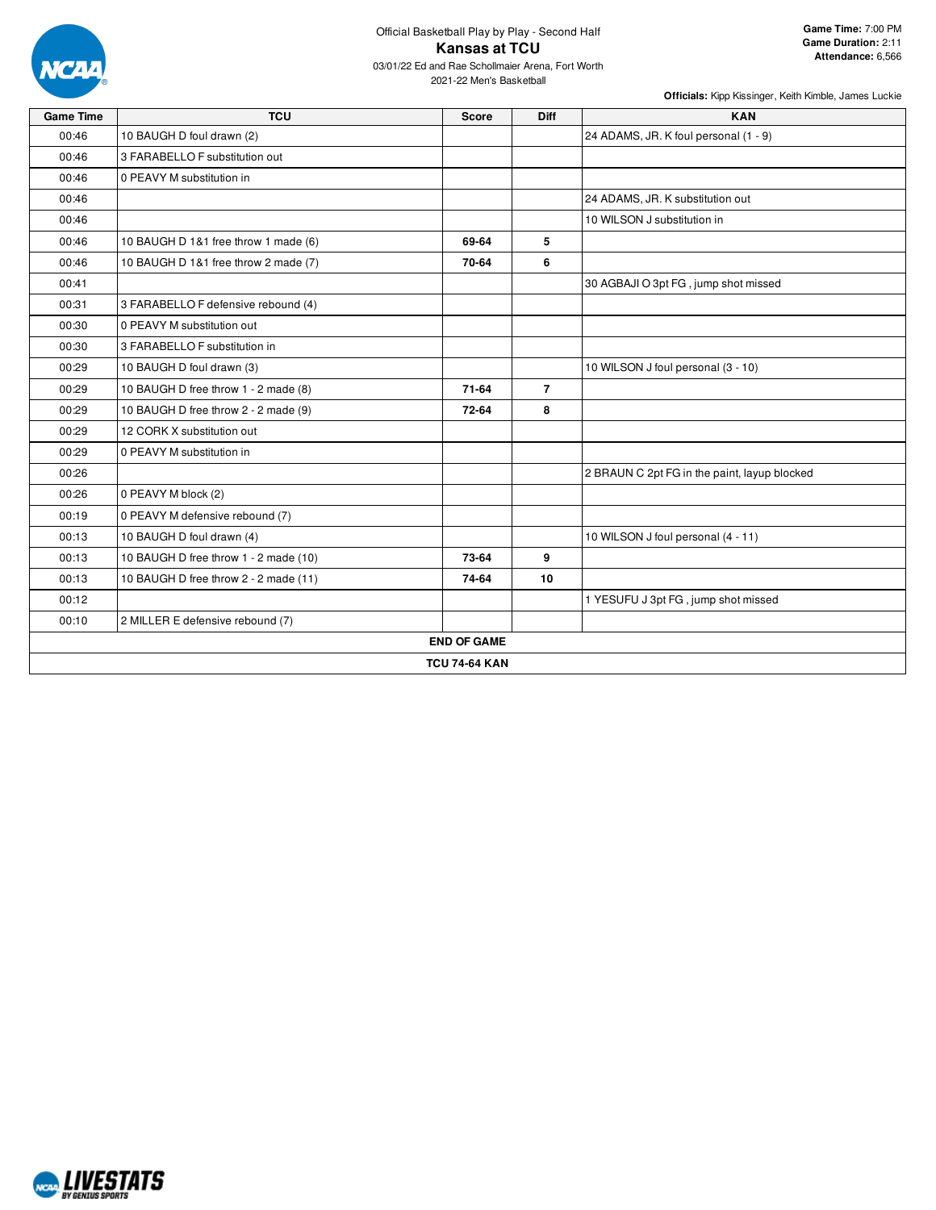

| <b>Game Time</b> | <b>TCU</b>                            | <b>Score</b>         | <b>Diff</b>    | <b>KAN</b>                                   |
|------------------|---------------------------------------|----------------------|----------------|----------------------------------------------|
| 00:46            | 10 BAUGH D foul drawn (2)             |                      |                | 24 ADAMS, JR. K foul personal (1 - 9)        |
| 00:46            | 3 FARABELLO F substitution out        |                      |                |                                              |
| 00:46            | 0 PEAVY M substitution in             |                      |                |                                              |
| 00:46            |                                       |                      |                | 24 ADAMS, JR. K substitution out             |
| 00:46            |                                       |                      |                | 10 WILSON J substitution in                  |
| 00:46            | 10 BAUGH D 1&1 free throw 1 made (6)  | 69-64                | 5              |                                              |
| 00:46            | 10 BAUGH D 1&1 free throw 2 made (7)  | 70-64                | 6              |                                              |
| 00:41            |                                       |                      |                | 30 AGBAJI O 3pt FG, jump shot missed         |
| 00:31            | 3 FARABELLO F defensive rebound (4)   |                      |                |                                              |
| 00:30            | 0 PEAVY M substitution out            |                      |                |                                              |
| 00:30            | 3 FARABELLO F substitution in         |                      |                |                                              |
| 00:29            | 10 BAUGH D foul drawn (3)             |                      |                | 10 WILSON J foul personal (3 - 10)           |
| 00:29            | 10 BAUGH D free throw 1 - 2 made (8)  | 71-64                | $\overline{7}$ |                                              |
| 00:29            | 10 BAUGH D free throw 2 - 2 made (9)  | 72-64                | 8              |                                              |
| 00:29            | 12 CORK X substitution out            |                      |                |                                              |
| 00:29            | 0 PEAVY M substitution in             |                      |                |                                              |
| 00:26            |                                       |                      |                | 2 BRAUN C 2pt FG in the paint, layup blocked |
| 00:26            | 0 PEAVY M block (2)                   |                      |                |                                              |
| 00:19            | 0 PEAVY M defensive rebound (7)       |                      |                |                                              |
| 00:13            | 10 BAUGH D foul drawn (4)             |                      |                | 10 WILSON J foul personal (4 - 11)           |
| 00:13            | 10 BAUGH D free throw 1 - 2 made (10) | 73-64                | 9              |                                              |
| 00:13            | 10 BAUGH D free throw 2 - 2 made (11) | 74-64                | 10             |                                              |
| 00:12            |                                       |                      |                | 1 YESUFU J 3pt FG, jump shot missed          |
| 00:10            | 2 MILLER E defensive rebound (7)      |                      |                |                                              |
|                  |                                       | <b>END OF GAME</b>   |                |                                              |
|                  |                                       | <b>TCU 74-64 KAN</b> |                |                                              |

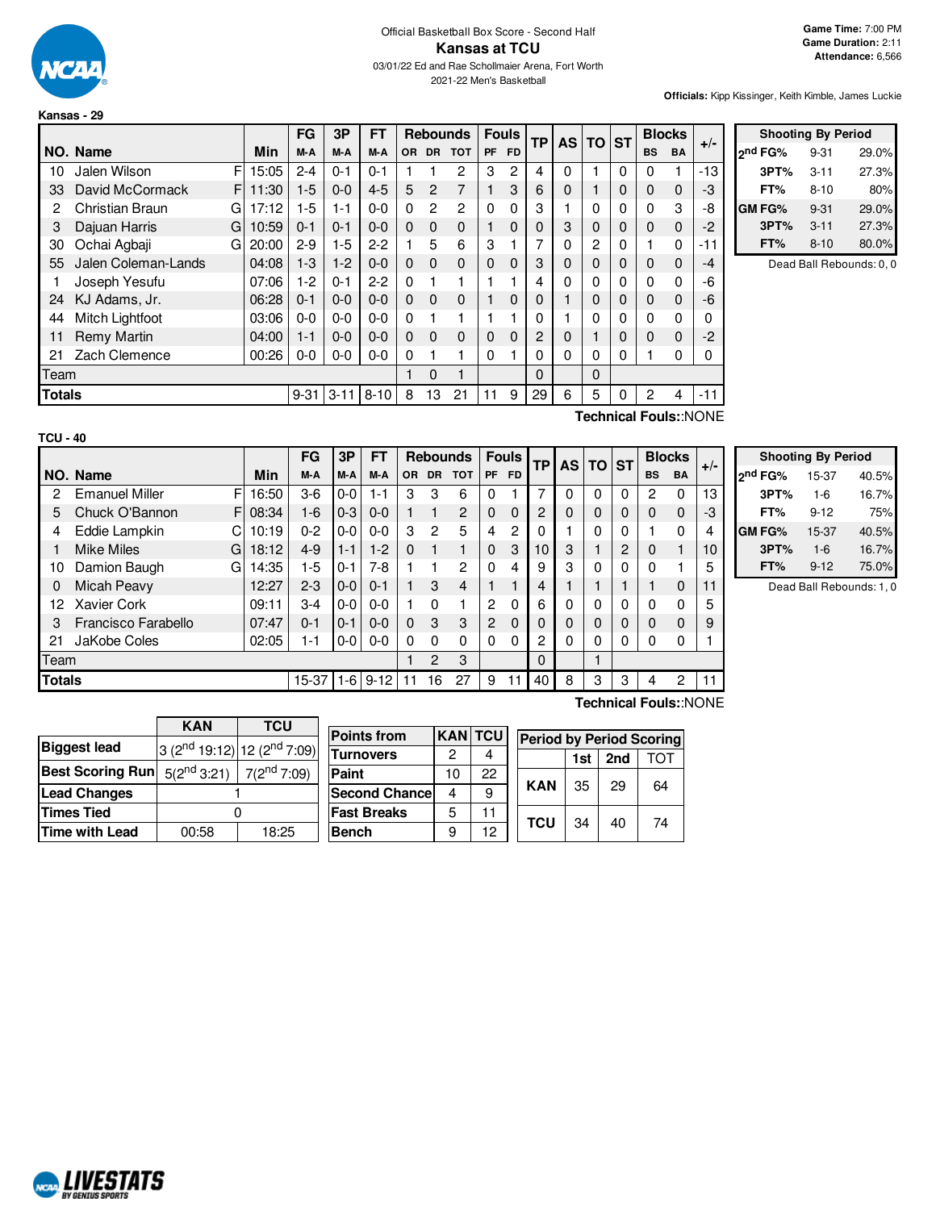

|               |                             |       | FG       | 3P       | FT       |           |               | <b>Rebounds</b> | <b>Fouls</b> |           | <b>TP</b> | <b>AS</b> | TO ST |   |             | <b>Blocks</b> | $+/-$ |
|---------------|-----------------------------|-------|----------|----------|----------|-----------|---------------|-----------------|--------------|-----------|-----------|-----------|-------|---|-------------|---------------|-------|
|               | NO. Name                    | Min   | M-A      | M-A      | M-A      | <b>OR</b> | <b>DR</b>     | <b>TOT</b>      | <b>PF</b>    | <b>FD</b> |           |           |       |   | <b>BS</b>   | <b>BA</b>     |       |
| 10            | F<br>Jalen Wilson           | 15:05 | $2 - 4$  | $0 - 1$  | $0 - 1$  |           |               | 2               | 3            | 2         | 4         | ი         |       | 0 | 0           |               | -13   |
| 33            | F<br>David McCormack        | 11:30 | $1-5$    | $0 - 0$  | $4 - 5$  | 5         | $\mathcal{P}$ | 7               |              | 3         | 6         | 0         |       | 0 | $\mathbf 0$ | $\Omega$      | -3    |
| 2             | <b>Christian Braun</b><br>G | 17:12 | $1-5$    | $1 - 1$  | $0 - 0$  | $\Omega$  | 2             | 2               | 0            | 0         | 3         |           | 0     | 0 | $\Omega$    | 3             | -8    |
| 3             | Dajuan Harris<br>G          | 10:59 | $0 - 1$  | $0 - 1$  | $0 - 0$  | $\Omega$  | $\Omega$      | $\Omega$        |              | 0         | 0         | 3         | 0     | 0 | $\Omega$    | $\Omega$      | $-2$  |
| 30            | Ochai Agbaji<br>G           | 20:00 | $2-9$    | $1-5$    | $2-2$    |           | 5             | 6               | 3            |           | 7         | 0         | 2     | 0 |             | $\Omega$      | $-11$ |
| 55            | Jalen Coleman-Lands         | 04:08 | $1-3$    | $1-2$    | $0 - 0$  | $\Omega$  | $\Omega$      | $\Omega$        | 0            | 0         | 3         | 0         | 0     | 0 | $\Omega$    | $\Omega$      | -4    |
|               | Joseph Yesufu               | 07:06 | $1-2$    | $0 - 1$  | $2-2$    | $\Omega$  |               |                 |              |           | 4         | 0         | 0     | 0 | $\Omega$    | $\Omega$      | -6    |
| 24            | KJ Adams, Jr.               | 06:28 | $0 - 1$  | $0 - 0$  | $0 - 0$  | $\Omega$  | $\Omega$      | $\Omega$        |              | 0         | 0         |           | 0     | 0 | $\Omega$    | $\Omega$      | -6    |
| 44            | Mitch Lightfoot             | 03:06 | 0-0      | $0 - 0$  | $0 - 0$  | 0         |               |                 |              |           | 0         |           | 0     | 0 | $\Omega$    | $\Omega$      | 0     |
| 11            | Remy Martin                 | 04:00 | $1 - 1$  | $0 - 0$  | $0 - 0$  | $\Omega$  | $\Omega$      | $\Omega$        | 0            | 0         | 2         | 0         |       | 0 | $\Omega$    | $\Omega$      | $-2$  |
| 21            | Zach Clemence               | 00:26 | 0-0      | $0-0$    | $0 - 0$  | 0         |               |                 | 0            |           | 0         | 0         | 0     | 0 |             | 0             | 0     |
| Team          |                             |       |          |          |          |           | $\Omega$      |                 |              |           | 0         |           | 0     |   |             |               |       |
| <b>Totals</b> |                             |       | $9 - 31$ | $3 - 11$ | $8 - 10$ | 8         | 13            | 21              | 11           | 9         | 29        | 6         | 5     | 0 | 2           | 4             | $-11$ |

|         | <b>Shooting By Period</b> |       |
|---------|---------------------------|-------|
| ond FG% | $9 - 31$                  | 29.0% |
| 3PT%    | $3 - 11$                  | 27.3% |
| FT%     | $8 - 10$                  | 80%   |
| GM FG%  | $9 - 31$                  | 29.0% |
| 3PT%    | $3 - 11$                  | 27.3% |
| FT%     | $8 - 10$                  | 80.0% |

Dead Ball Rebounds: 0, 0

**Technical Fouls:**:NONE

|               |                       |             | FG      | 3P       | <b>FT</b> |           | <b>Rebounds</b> |                | <b>Fouls</b><br><b>TP</b> |          |                | AS TO ST |              | <b>Blocks</b>  |           | $+/-$     |    |
|---------------|-----------------------|-------------|---------|----------|-----------|-----------|-----------------|----------------|---------------------------|----------|----------------|----------|--------------|----------------|-----------|-----------|----|
|               | NO. Name              | <b>Min</b>  | M-A     | M-A      | M-A       | <b>OR</b> | <b>DR</b>       | <b>TOT</b>     | <b>PF</b>                 | FD.      |                |          |              |                | <b>BS</b> | <b>BA</b> |    |
| 2             | <b>Emanuel Miller</b> | FI<br>16:50 | $3-6$   | $0-0$    | $1 - 1$   | 3         | 3               | 6              | ი                         |          | 7              | 0        | 0            | 0              | 2         | 0         | 13 |
| 5             | Chuck O'Bannon        | 08:34<br>FI | 1-6     | $0 - 3$  | $0 - 0$   |           |                 | $\overline{2}$ | $\Omega$                  | 0        | 2              | 0        | $\Omega$     | 0              | $\Omega$  | $\Omega$  | -3 |
| 4             | Eddie Lampkin         | 10:19       | $0 - 2$ | $0-0$    | $0-0$     | 3         | 2               | 5              | 4                         | 2        | 0              |          | 0            | $\Omega$       |           | O         | 4  |
|               | <b>Mike Miles</b>     | G<br>18:12  | $4 - 9$ | $1 - 1$  | $1 - 2$   | $\Omega$  |                 |                | $\Omega$                  | 3        | 10             | 3        |              | $\overline{2}$ | 0         |           | 10 |
| 10            | Damion Baugh          | 14:35<br>G  | $1-5$   | $0 - 1$  | $7-8$     |           |                 | 2              | 0                         | 4        | 9              | 3        | $\mathbf 0$  | 0              | 0         |           | 5  |
| 0             | Micah Peavy           | 12:27       | $2 - 3$ | $0 - 0$  | $0 - 1$   |           | 3               | $\overline{4}$ |                           |          | 4              |          |              |                |           | $\Omega$  | 11 |
| 12            | Xavier Cork           | 09:11       | $3-4$   | $0-0$    | $0-0$     |           | $\Omega$        |                | 2                         | $\Omega$ | 6              | $\Omega$ | $\mathbf{0}$ | 0              | $\Omega$  | O         | 5  |
| 3             | Francisco Farabello   | 07:47       | $0 - 1$ | $0 - 1$  | $0-0$     | $\Omega$  | 3               | 3              | $\overline{2}$            | $\Omega$ | $\Omega$       | 0        | $\Omega$     | 0              | $\Omega$  | $\Omega$  | 9  |
| 21            | JaKobe Coles          | 02:05       | $1 - 1$ | $0-0$    | $0-0$     | $\Omega$  | $\Omega$        | $\Omega$       | 0                         | $\Omega$ | $\overline{2}$ | 0        | 0            | 0              | 0         | 0         |    |
| Team          |                       |             |         |          |           | 2         | 3               |                |                           | $\Omega$ |                |          |              |                |           |           |    |
| <b>Totals</b> |                       | 15-37       | $1-6$   | $9 - 12$ | 11        | 16        | 27              | 9              | 11                        | 40       | 8              | З        | 3            | 4              | 2         | 11        |    |

|                     | <b>Shooting By Period</b> |       |
|---------------------|---------------------------|-------|
| 2 <sup>nd</sup> FG% | 15-37                     | 40.5% |
| 3PT%                | $1-6$                     | 16.7% |
| FT%                 | $9 - 12$                  | 75%   |
| <b>GMFG%</b>        | 15-37                     | 40.5% |
| 3PT%                | $1-6$                     | 16.7% |
| FT%                 | $9 - 12$                  | 75.0% |

Dead Ball Rebounds: 1, 0

|                         | <b>KAN</b>                        | <b>TCU</b>                         |
|-------------------------|-----------------------------------|------------------------------------|
| <b>Biggest lead</b>     |                                   | $3(2^{nd}19:12)$ 12 $(2^{nd}7:09)$ |
| <b>Best Scoring Run</b> | $5(2^{nd}3:21)$ 7( $2^{nd}7:09$ ) |                                    |
| <b>Lead Changes</b>     |                                   |                                    |
| <b>Times Tied</b>       |                                   |                                    |
| <b>Time with Lead</b>   | 00:58                             | 18:25                              |

| <b>Points from</b>    | <b>KAN TCU</b> |    | <b>Period by</b> |   |
|-----------------------|----------------|----|------------------|---|
| <b>Turnovers</b>      | 2              |    |                  | Ŀ |
| Paint                 | 10             | 22 |                  |   |
| <b>Second Chancel</b> | 4              | 9  | <b>KAN</b>       | З |
| <b>Fast Breaks</b>    | 5              | 11 | <b>TCU</b>       | З |
| <b>Bench</b>          | 9              | 12 |                  |   |

**Technical Fouls:**:NONE

 $\overline{a}$ 

| <b>Period by Period Scoring</b> |     |                 |     |
|---------------------------------|-----|-----------------|-----|
|                                 | 1st | 2 <sub>nd</sub> | TOT |
| KAN                             | 35  | 29              | 64  |
| TCU                             | 34  | 40              | 74  |

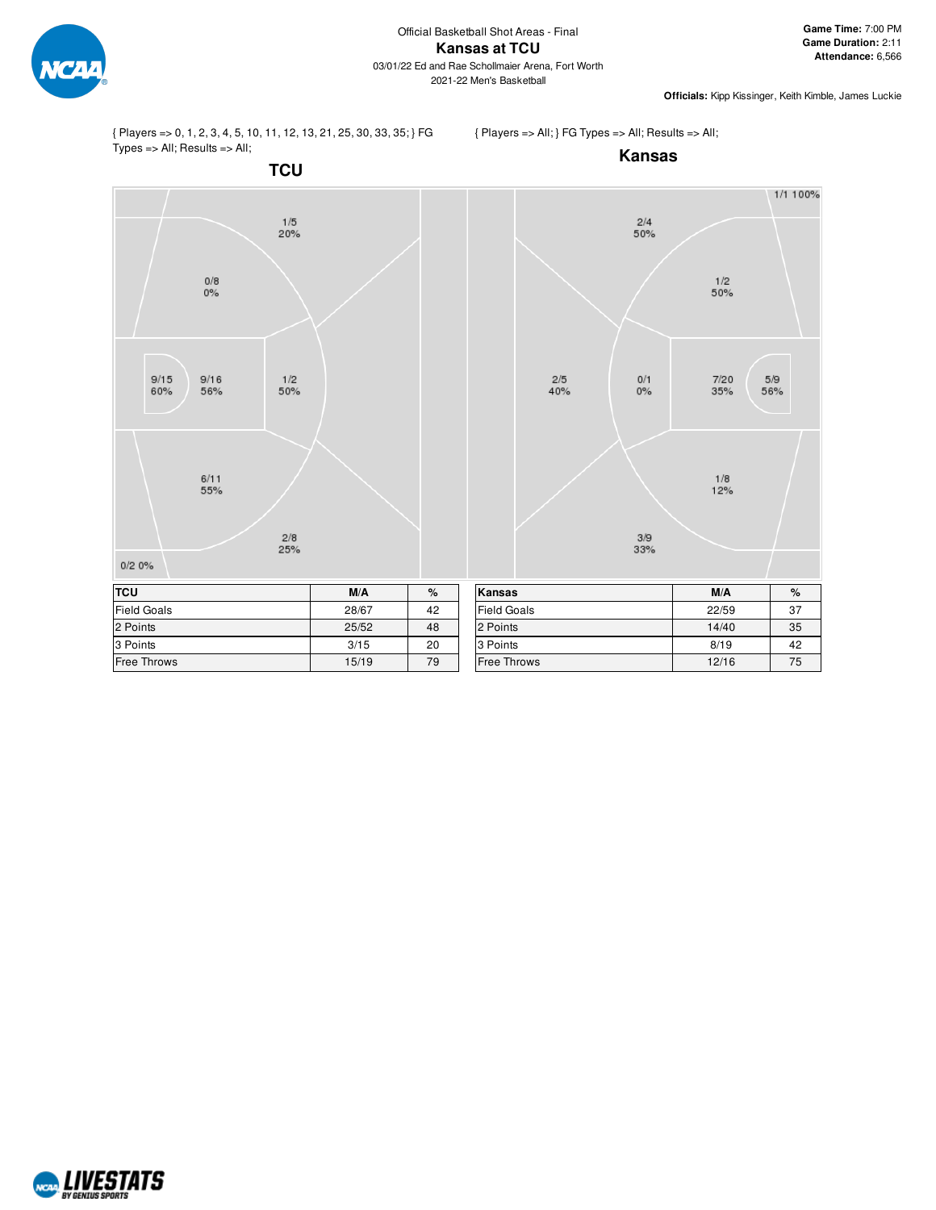

{ Players => 0, 1, 2, 3, 4, 5, 10, 11, 12, 13, 21, 25, 30, 33, 35; } FG Types => All; Results => All;

{ Players => All; } FG Types => All; Results => All;



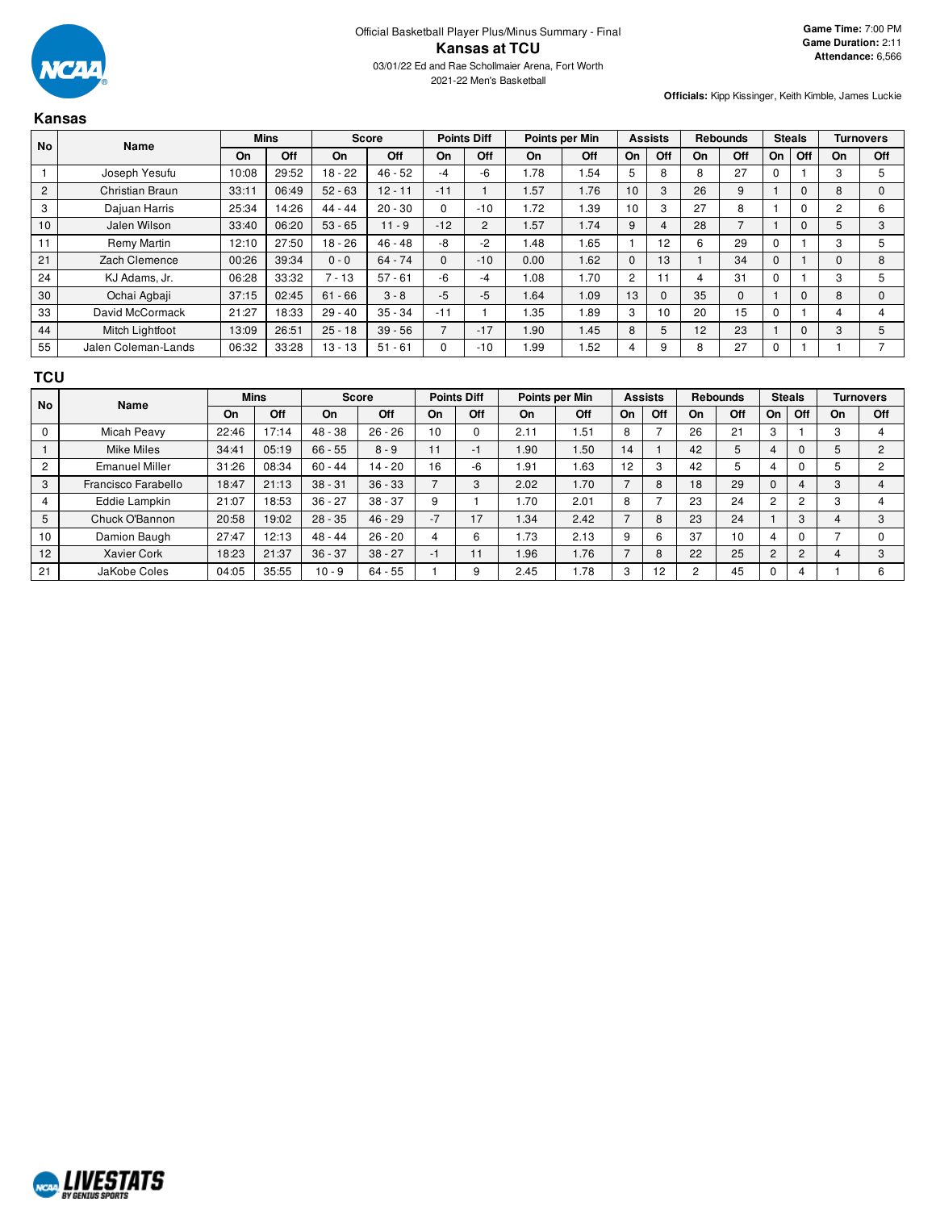

#### **Kansas**

| <b>No</b>      | Name                |       | <b>Mins</b> |           | <b>Score</b> |          | <b>Points Diff</b> |      | Points per Min |                | <b>Assists</b> |    | <b>Rebounds</b> |    | <b>Steals</b> |              | <b>Turnovers</b> |
|----------------|---------------------|-------|-------------|-----------|--------------|----------|--------------------|------|----------------|----------------|----------------|----|-----------------|----|---------------|--------------|------------------|
|                |                     | On    | Off         | On        | Off          | On       | Off                | On   | Off            | On             | Off            | On | Off             | On | Off           | On           | <b>Off</b>       |
|                | Joseph Yesufu       | 10:08 | 29:52       | $18 - 22$ | $46 - 52$    | $-4$     | -6                 | 1.78 | 1.54           | 5              | 8              | 8  | 27              |    |               | 3            |                  |
| $\overline{2}$ | Christian Braun     | 33:11 | 06:49       | $52 - 63$ | $12 - 11$    | $-11$    |                    | 1.57 | 1.76           | 10             | 3              | 26 | 9               |    | $\mathbf{0}$  | 8            |                  |
| 3              | Dajuan Harris       | 25:34 | 14:26       | $44 - 44$ | $20 - 30$    | $\Omega$ | $-10$              | 1.72 | 1.39           | 10             | 3              | 27 | 8               |    | $\Omega$      | 2            |                  |
| 10             | Jalen Wilson        | 33:40 | 06:20       | $53 - 65$ | $11 - 9$     | $-12$    | C                  | 1.57 | 1.74           | 9              | 4              | 28 |                 |    | $\Omega$      | 5            |                  |
| 11             | Remy Martin         | 12:10 | 27:50       | $18 - 26$ | $46 - 48$    | -8       | $-2$               | 1.48 | 1.65           |                | 12             | 6  | 29              |    |               | 3            |                  |
| 21             | Zach Clemence       | 00:26 | 39:34       | $0 - 0$   | $64 - 74$    | $\Omega$ | $-10$              | 0.00 | 1.62           | $\mathbf{0}$   | 13             |    | 34              |    |               | $\mathbf{0}$ |                  |
| 24             | KJ Adams, Jr.       | 06:28 | 33:32       | $7 - 13$  | $57 - 61$    | -6       | -4                 | 1.08 | 1.70           | $\overline{2}$ | 11             |    | 31              |    |               | 3            |                  |
| 30             | Ochai Agbaji        | 37:15 | 02:45       | $61 - 66$ | $3 - 8$      | $-5$     | $-5$               | 1.64 | 1.09           | 13             | $\mathbf{0}$   | 35 | $\Omega$        |    | $\Omega$      | 8            |                  |
| 33             | David McCormack     | 21:27 | 18:33       | $29 - 40$ | $35 - 34$    | $-11$    |                    | 1.35 | 1.89           | 3              | 10             | 20 | 15              |    |               | 4            |                  |
| 44             | Mitch Lightfoot     | 13:09 | 26:51       | $25 - 18$ | $39 - 56$    |          | $-17$              | 1.90 | 1.45           | 8              | 5              | 12 | 23              |    | $\Omega$      | 3            | 5                |
| 55             | Jalen Coleman-Lands | 06:32 | 33:28       | $13 - 13$ | $51 - 61$    |          | $-10$              | 1.99 | .52            | 4              | 9              | 8  | 27              |    |               |              |                  |

#### **TCU**

| <b>No</b>      | Name                  |       | <b>Mins</b> |           | <b>Score</b> |      | <b>Points Diff</b> |      | Points per Min | <b>Assists</b> |            | <b>Rebounds</b> |     | <b>Steals</b>  |                | Turnovers |         |
|----------------|-----------------------|-------|-------------|-----------|--------------|------|--------------------|------|----------------|----------------|------------|-----------------|-----|----------------|----------------|-----------|---------|
|                |                       | On    | Off         | On.       | Off          | On   | Off                | On   | Off            | On             | <b>Off</b> | On              | Off | On             | Off            | On        | Off     |
| $\mathbf 0$    | Micah Peavy           | 22:46 | 17:14       | $48 - 38$ | $26 - 26$    | 10   | $\Omega$           | 2.11 | .51            | 8              |            | 26              | 21  | 3              |                | 3         |         |
|                | <b>Mike Miles</b>     | 34:41 | 05:19       | $66 - 55$ | $8 - 9$      | 11   | -1                 | 1.90 | .50            | 14             |            | 42              | 5   | 4              |                |           | $\circ$ |
| $\overline{2}$ | <b>Emanuel Miller</b> | 31:26 | 08:34       | $60 - 44$ | $14 - 20$    | 16   | -6                 | 1.91 | .63            | 12             | 3          | 42              | 5   |                |                |           | c       |
| 3              | Francisco Farabello   | 18:47 | 21:13       | $38 - 31$ | $36 - 33$    | -    | 3                  | 2.02 | .70            |                | 8          | 18              | 29  | 0              |                | $\sim$    |         |
| 4              | Eddie Lampkin         | 21:07 | 18:53       | $36 - 27$ | $38 - 37$    | 9    |                    | .70  | 2.01           | 8              |            | 23              | 24  | 2              | 2              |           |         |
| 5              | Chuck O'Bannon        | 20:58 | 19:02       | $28 - 35$ | $46 - 29$    | $-7$ | 17                 | 1.34 | 2.42           |                | 8          | 23              | 24  |                | 3              |           | 3       |
| 10             | Damion Baugh          | 27:47 | 12:13       | $48 - 44$ | $26 - 20$    | 4    | 6                  | .73  | 2.13           | 9              | 6          | 37              | 10  |                | $\Omega$       |           |         |
| 12             | <b>Xavier Cork</b>    | 18:23 | 21:37       | $36 - 37$ | $38 - 27$    | -1   | 11                 | .96  | .76            |                | 8          | 22              | 25  | $\overline{c}$ | $\overline{2}$ |           | 3       |
| 21             | JaKobe Coles          | 04:05 | 35:55       | $10 - 9$  | $64 - 55$    |      | 9                  | 2.45 | .78            | 3              | 12         |                 | 45  |                | 4              |           | 6       |

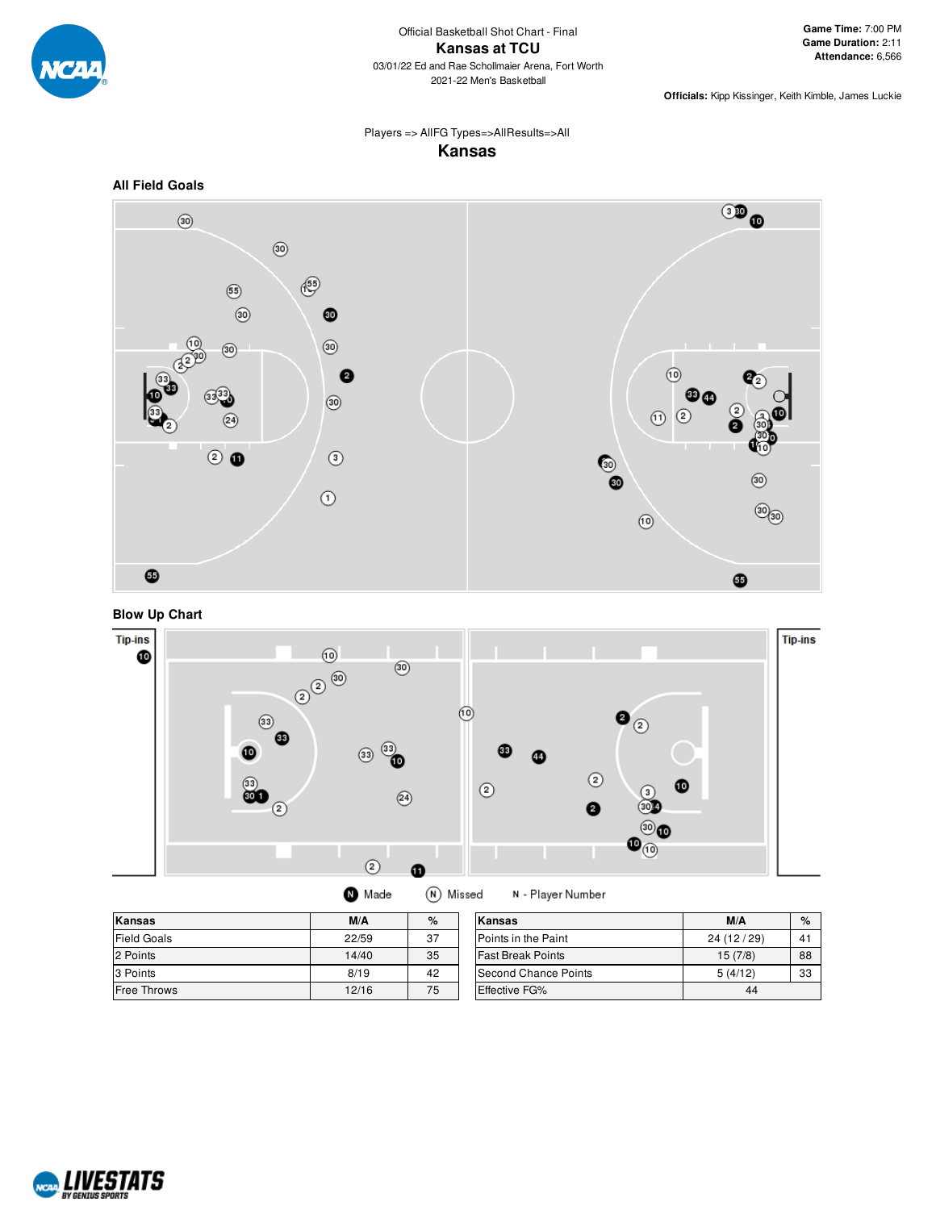

## Players => AllFG Types=>AllResults=>All **Kansas**



**Blow Up Chart**



|  | <b>m</b> Made | í٨ |
|--|---------------|----|
|--|---------------|----|

N) Missed N - Player Number

| Kansas             | M/A   | %  | Kansas                   | M/A        | $\%$ |
|--------------------|-------|----|--------------------------|------------|------|
| <b>Field Goals</b> | 22/59 | 37 | Points in the Paint      | 24 (12/29) | 41   |
| 2 Points           | 14/40 | 35 | <b>Fast Break Points</b> | 15(7/8)    | 88   |
| 3 Points           | 8/19  | 42 | Second Chance Points     | 5(4/12)    | 33   |
| <b>Free Throws</b> | 12/16 | 75 | Effective FG%            | 44         |      |

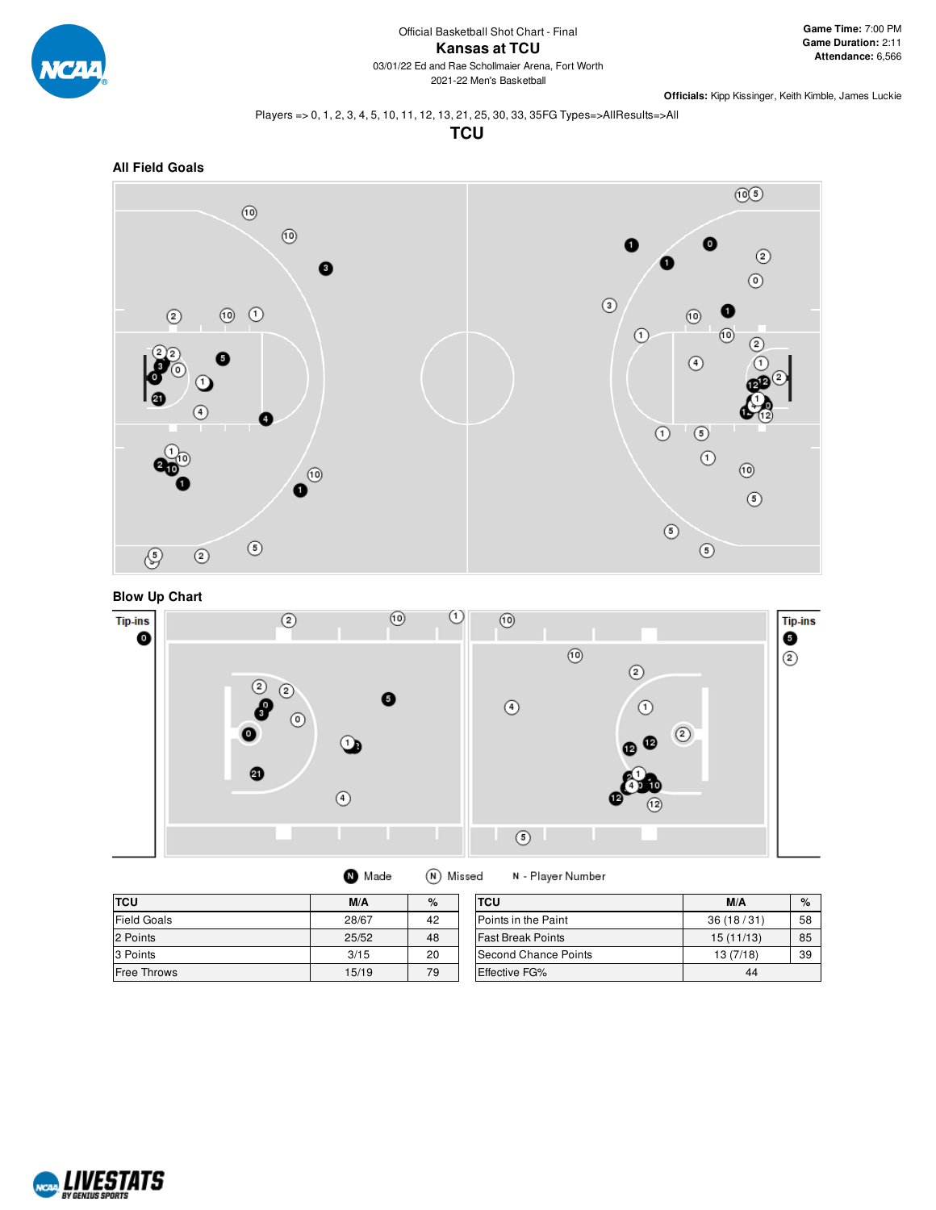

#### Players => 0, 1, 2, 3, 4, 5, 10, 11, 12, 13, 21, 25, 30, 33, 35FG Types=>AllResults=>All

**TCU**



#### **Blow Up Chart**



(N) Missed **O** Made

N - Player Number

| <b>TCU</b>  | M/A   | $\%$ | <b>TCU</b>               | M/A       | $\%$ |
|-------------|-------|------|--------------------------|-----------|------|
| Field Goals | 28/67 | 42   | Points in the Paint      | 36(18/31) | 58   |
| 2 Points    | 25/52 | 48   | <b>Fast Break Points</b> | 15(11/13) | 85   |
| 3 Points    | 3/15  | 20   | Second Chance Points     | 13(7/18)  | 39   |
| Free Throws | 15/19 | 79   | <b>Effective FG%</b>     | 44        |      |

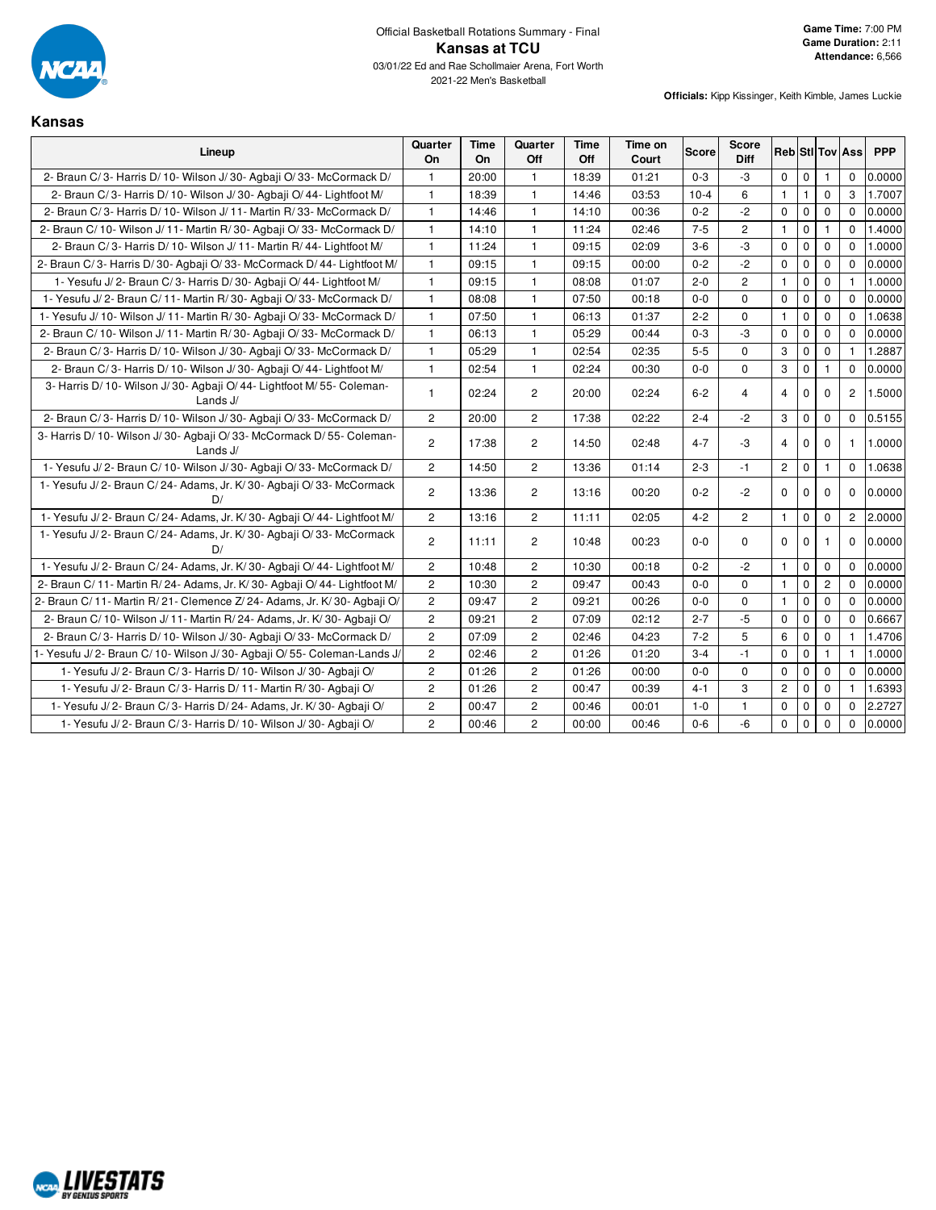

#### **Kansas**

| Lineup                                                                             | Quarter<br>On  | Time<br>On. | Quarter<br>Off | Time<br>Off | Time on<br>Court | <b>Score</b> | <b>Score</b><br>Diff |                |              |                | <b>Reb Stl Tov Ass</b> | <b>PPP</b> |
|------------------------------------------------------------------------------------|----------------|-------------|----------------|-------------|------------------|--------------|----------------------|----------------|--------------|----------------|------------------------|------------|
| 2- Braun C/3- Harris D/10- Wilson J/30- Agbaji O/33- McCormack D/                  | $\mathbf{1}$   | 20:00       | $\mathbf{1}$   | 18:39       | 01:21            | $0 - 3$      | $-3$                 | 0              | $\mathbf 0$  | $\mathbf{1}$   | $\mathbf 0$            | 0.0000     |
| 2- Braun C/3- Harris D/10- Wilson J/30- Agbaji O/44- Lightfoot M/                  | $\mathbf{1}$   | 18:39       | $\mathbf{1}$   | 14:46       | 03:53            | $10 - 4$     | 6                    | $\mathbf{1}$   | $\mathbf{1}$ | 0              | 3                      | 1.7007     |
| 2- Braun C/3- Harris D/10- Wilson J/11- Martin R/33- McCormack D/                  | $\mathbf{1}$   | 14:46       | $\mathbf{1}$   | 14:10       | 00:36            | $0 - 2$      | $-2$                 | 0              | $\mathbf 0$  | $\mathbf 0$    | $\Omega$               | 0.0000     |
| 2- Braun C/10- Wilson J/11- Martin R/30- Agbaji O/33- McCormack D/                 | $\mathbf{1}$   | 14:10       | $\mathbf{1}$   | 11:24       | 02:46            | $7 - 5$      | $\overline{c}$       | $\mathbf{1}$   | $\mathbf 0$  | $\mathbf{1}$   | $\Omega$               | 1.4000     |
| 2- Braun C/3- Harris D/10- Wilson J/11- Martin R/44- Lightfoot M/                  | $\mathbf{1}$   | 11:24       | $\mathbf{1}$   | 09:15       | 02:09            | $3-6$        | $-3$                 | 0              | $\mathbf 0$  | $\mathbf 0$    | $\Omega$               | 1.0000     |
| 2- Braun C/3- Harris D/30- Agbaji O/33- McCormack D/44- Lightfoot M/               | $\mathbf{1}$   | 09:15       | $\mathbf{1}$   | 09:15       | 00:00            | $0 - 2$      | $-2$                 | $\mathbf 0$    | $\mathbf 0$  | $\Omega$       | $\Omega$               | 0.0000     |
| 1- Yesufu J/2- Braun C/3- Harris D/30- Agbaji O/44- Lightfoot M/                   | $\mathbf{1}$   | 09:15       | $\mathbf{1}$   | 08:08       | 01:07            | $2 - 0$      | $\overline{2}$       | $\mathbf{1}$   | $\pmb{0}$    | $\mathbf 0$    | $\mathbf{1}$           | 1.0000     |
| 1- Yesufu J/2- Braun C/11- Martin R/30- Agbaji O/33- McCormack D/                  | $\mathbf{1}$   | 08:08       | $\mathbf{1}$   | 07:50       | 00:18            | $0-0$        | 0                    | 0              | $\mathbf 0$  | $\mathbf 0$    | $\Omega$               | 0.0000     |
| 1- Yesufu J/ 10- Wilson J/ 11- Martin R/ 30- Agbaji O/ 33- McCormack D/            | $\mathbf{1}$   | 07:50       | $\mathbf{1}$   | 06:13       | 01:37            | $2 - 2$      | 0                    | $\mathbf{1}$   | $\mathbf 0$  | $\mathbf 0$    | $\Omega$               | 1.0638     |
| 2- Braun C/ 10- Wilson J/ 11- Martin R/ 30- Agbaji O/ 33- McCormack D/             | $\mathbf{1}$   | 06:13       | $\mathbf{1}$   | 05:29       | 00:44            | $0 - 3$      | $-3$                 | $\mathbf 0$    | $\mathbf 0$  | $\mathbf 0$    | $\Omega$               | 0.0000     |
| 2- Braun C/3- Harris D/10- Wilson J/30- Agbaji O/33- McCormack D/                  | $\mathbf{1}$   | 05:29       | $\mathbf{1}$   | 02:54       | 02:35            | $5-5$        | 0                    | 3              | $\mathbf 0$  | 0              | $\mathbf{1}$           | 1.2887     |
| 2- Braun C/3- Harris D/10- Wilson J/30- Agbaji O/44- Lightfoot M/                  | $\mathbf{1}$   | 02:54       | $\mathbf{1}$   | 02:24       | 00:30            | $0-0$        | 0                    | 3              | $\mathbf 0$  | $\mathbf{1}$   | $\mathbf 0$            | 0.0000     |
| 3- Harris D/ 10- Wilson J/ 30- Agbaji O/ 44- Lightfoot M/ 55- Coleman-<br>Lands J/ | $\mathbf{1}$   | 02:24       | $\mathbf{2}$   | 20:00       | 02:24            | $6 - 2$      | $\overline{4}$       | $\overline{4}$ | $\mathbf 0$  | 0              | $\overline{2}$         | 1.5000     |
| 2- Braun C/3- Harris D/10- Wilson J/30- Agbaii O/33- McCormack D/                  | $\overline{2}$ | 20:00       | $\overline{2}$ | 17:38       | 02:22            | $2 - 4$      | $-2$                 | 3              | $\mathbf 0$  | $\mathbf 0$    | $\mathbf 0$            | 0.5155     |
| 3- Harris D/ 10- Wilson J/ 30- Agbaji O/ 33- McCormack D/ 55- Coleman-<br>Lands J/ | $\mathbf{2}$   | 17:38       | $\overline{2}$ | 14:50       | 02:48            | $4 - 7$      | $-3$                 | $\overline{4}$ | $\mathbf 0$  | 0              | 1                      | 1.0000     |
| 1- Yesufu J/2- Braun C/10- Wilson J/30- Agbaji O/33- McCormack D/                  | $\overline{c}$ | 14:50       | $\overline{2}$ | 13:36       | 01:14            | $2 - 3$      | $-1$                 | $\overline{2}$ | $\mathbf 0$  | 1              | $\Omega$               | 1.0638     |
| 1- Yesufu J/2- Braun C/24- Adams, Jr. K/30- Agbaji O/33- McCormack<br>D/           | $\overline{c}$ | 13:36       | $\mathbf{2}$   | 13:16       | 00:20            | $0 - 2$      | $-2$                 | $\mathbf 0$    | 0            | $\mathbf 0$    | $\mathbf 0$            | 0.0000     |
| 1- Yesufu J/2- Braun C/24- Adams, Jr. K/30- Agbaji O/44- Lightfoot M/              | $\mathbf{2}$   | 13:16       | $\overline{2}$ | 11:11       | 02:05            | $4 - 2$      | $\overline{2}$       | $\mathbf{1}$   | $\mathbf 0$  | $\mathbf{0}$   | 2                      | 2.0000     |
| 1- Yesufu J/2- Braun C/24- Adams, Jr. K/30- Agbaji O/33- McCormack<br>D/           | $\overline{c}$ | 11:11       | $\overline{2}$ | 10:48       | 00:23            | $0-0$        | 0                    | $\mathbf 0$    | $\mathbf 0$  | 1              | $\mathbf 0$            | 0.0000     |
| 1- Yesufu J/2- Braun C/24- Adams, Jr. K/30- Agbaji O/44- Lightfoot M/              | $\overline{2}$ | 10:48       | $\overline{2}$ | 10:30       | 00:18            | $0 - 2$      | $-2$                 | $\mathbf{1}$   | $\mathbf 0$  | $\mathbf 0$    | $\Omega$               | 0.0000     |
| 2- Braun C/ 11- Martin R/ 24- Adams, Jr. K/ 30- Agbaji O/ 44- Lightfoot M/         | $\overline{c}$ | 10:30       | $\overline{c}$ | 09:47       | 00:43            | $0-0$        | 0                    | $\mathbf{1}$   | $\mathbf 0$  | $\overline{c}$ | $\Omega$               | 0.0000     |
| 2- Braun C/ 11- Martin R/ 21- Clemence Z/ 24- Adams, Jr. K/ 30- Agbaji O/          | $\overline{c}$ | 09:47       | $\overline{2}$ | 09:21       | 00:26            | $0-0$        | $\mathbf 0$          | $\mathbf{1}$   | $\mathbf 0$  | $\mathbf 0$    | $\Omega$               | 0.0000     |
| 2- Braun C/10- Wilson J/11- Martin R/24- Adams, Jr. K/30- Agbaji O/                | $\overline{c}$ | 09:21       | $\overline{c}$ | 07:09       | 02:12            | $2 - 7$      | $-5$                 | 0              | $\mathbf 0$  | $\mathbf 0$    | $\Omega$               | 0.6667     |
| 2- Braun C/3- Harris D/10- Wilson J/30- Agbaji O/33- McCormack D/                  | 2              | 07:09       | $\overline{2}$ | 02:46       | 04:23            | $7 - 2$      | 5                    | 6              | $\mathbf 0$  | $\mathbf 0$    | $\mathbf{1}$           | 1.4706     |
| 1- Yesufu J/2- Braun C/10- Wilson J/30- Agbaji O/55- Coleman-Lands J/              | $\mathbf{2}$   | 02:46       | $\overline{2}$ | 01:26       | 01:20            | $3 - 4$      | $-1$                 | 0              | $\mathbf 0$  | $\mathbf{1}$   | $\mathbf{1}$           | 1.0000     |
| 1- Yesufu J/2- Braun C/3- Harris D/10- Wilson J/30- Agbaji O/                      | $\mathbf{2}$   | 01:26       | $\overline{2}$ | 01:26       | 00:00            | $0 - 0$      | $\Omega$             | $\mathbf 0$    | $\mathbf 0$  | $\mathbf 0$    | $\Omega$               | 0.0000     |
| 1- Yesufu J/2- Braun C/3- Harris D/11- Martin R/30- Agbaji O/                      | $\mathbf{2}$   | 01:26       | $\overline{c}$ | 00:47       | 00:39            | $4 - 1$      | 3                    | $\overline{c}$ | $\mathbf 0$  | 0              | $\mathbf{1}$           | 1.6393     |
| 1- Yesufu J/2- Braun C/3- Harris D/24- Adams, Jr. K/30- Agbaji O/                  | $\overline{c}$ | 00:47       | $\overline{c}$ | 00:46       | 00:01            | $1-0$        | 1                    | 0              | $\mathbf 0$  | $\mathbf 0$    | $\Omega$               | 2.2727     |
| 1- Yesufu J/2- Braun C/3- Harris D/10- Wilson J/30- Agbaji O/                      | $\overline{c}$ | 00:46       | $\overline{2}$ | 00:00       | 00:46            | $0-6$        | $-6$                 | $\mathbf 0$    | $\mathbf 0$  | $\mathbf 0$    | $\mathbf 0$            | 0.0000     |

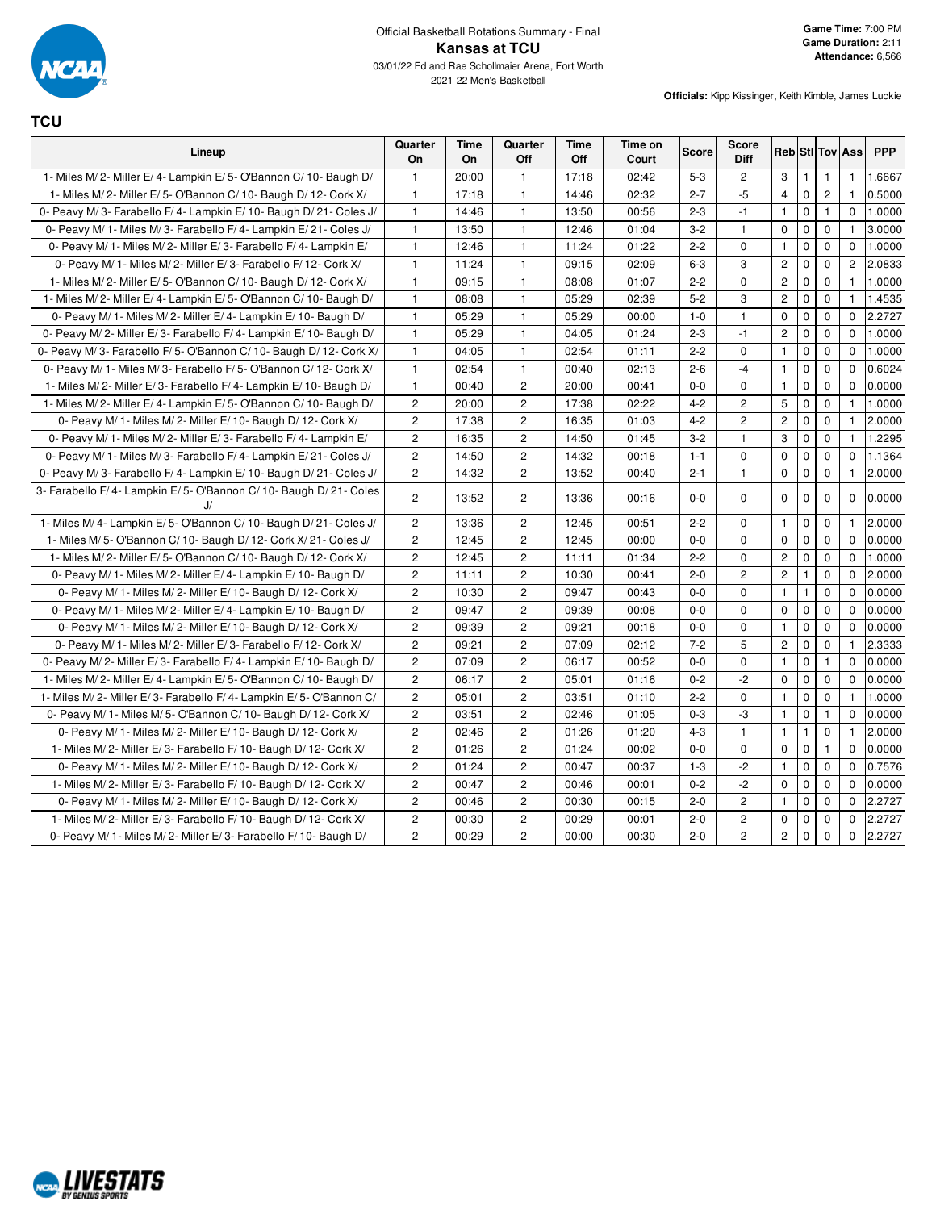

**TCU**

| Lineup                                                                | Quarter<br>On  | <b>Time</b><br>On | Quarter<br>Off | <b>Time</b><br>Off | Time on<br>Court | <b>Score</b> | <b>Score</b><br><b>Diff</b> |                |              |                | <b>Reb StilTov Ass</b> | <b>PPP</b> |
|-----------------------------------------------------------------------|----------------|-------------------|----------------|--------------------|------------------|--------------|-----------------------------|----------------|--------------|----------------|------------------------|------------|
| 1- Miles M/2- Miller E/4- Lampkin E/5- O'Bannon C/10- Baugh D/        | $\overline{1}$ | 20:00             | $\mathbf{1}$   | 17:18              | 02:42            | $5-3$        | $\overline{2}$              | 3              | $\mathbf{1}$ | $\mathbf{1}$   | $\mathbf{1}$           | 1.6667     |
| 1- Miles M/2- Miller E/5- O'Bannon C/10- Baugh D/12- Cork X/          | $\overline{1}$ | 17:18             | $\mathbf{1}$   | 14:46              | 02:32            | $2 - 7$      | $-5$                        | $\overline{4}$ | $\mathbf 0$  | $\overline{c}$ | $\mathbf{1}$           | 0.5000     |
| 0- Peavy M/3- Farabello F/4- Lampkin E/10- Baugh D/21- Coles J/       | $\overline{1}$ | 14:46             | 1              | 13:50              | 00:56            | $2 - 3$      | $-1$                        | $\mathbf{1}$   | $\mathbf 0$  | $\mathbf{1}$   | $\mathbf 0$            | 1.0000     |
| 0- Peavy M/ 1- Miles M/ 3- Farabello F/ 4- Lampkin E/ 21- Coles J/    | $\overline{1}$ | 13:50             | $\mathbf{1}$   | 12:46              | 01:04            | $3 - 2$      | $\mathbf{1}$                | $\mathbf 0$    | $\mathbf 0$  | $\mathbf 0$    | $\mathbf{1}$           | 3.0000     |
| 0- Peavy M/ 1- Miles M/ 2- Miller E/ 3- Farabello F/ 4- Lampkin E/    | $\overline{1}$ | 12:46             | $\mathbf{1}$   | 11:24              | 01:22            | $2 - 2$      | $\mathbf 0$                 | 1              | 0            | $\mathbf 0$    | 0                      | 1.0000     |
| 0- Peavy M/ 1- Miles M/ 2- Miller E/ 3- Farabello F/ 12- Cork X/      | $\overline{1}$ | 11:24             | $\mathbf{1}$   | 09:15              | 02:09            | $6 - 3$      | 3                           | $\mathbf{2}$   | $\pmb{0}$    | $\Omega$       | $\mathbf{2}^{\prime}$  | 2.0833     |
| 1- Miles M/2- Miller E/5- O'Bannon C/10- Baugh D/12- Cork X/          | $\overline{1}$ | 09:15             | $\mathbf{1}$   | 08:08              | 01:07            | $2 - 2$      | $\mathbf 0$                 | $\overline{c}$ | $\pmb{0}$    | $\Omega$       | $\mathbf{1}$           | 1.0000     |
| 1- Miles M/2- Miller E/4- Lampkin E/5- O'Bannon C/10- Baugh D/        | $\overline{1}$ | 08:08             | $\mathbf{1}$   | 05:29              | 02:39            | $5 - 2$      | 3                           | $\overline{c}$ | $\pmb{0}$    | $\mathbf 0$    | $\mathbf{1}$           | 1.4535     |
| 0- Peavy M/ 1- Miles M/ 2- Miller E/ 4- Lampkin E/ 10- Baugh D/       | $\overline{1}$ | 05:29             | $\mathbf{1}$   | 05:29              | 00:00            | $1 - 0$      | $\mathbf{1}$                | $\mathbf 0$    | $\mathbf 0$  | $\mathbf 0$    | $\Omega$               | 2.2727     |
| 0- Peavy M/2- Miller E/3- Farabello F/4- Lampkin E/10- Baugh D/       | $\overline{1}$ | 05:29             | $\mathbf{1}$   | 04:05              | 01:24            | $2 - 3$      | $-1$                        | $\overline{c}$ | $\pmb{0}$    | $\mathbf 0$    | 0                      | 1.0000     |
| 0- Peavy M/3- Farabello F/5- O'Bannon C/10- Baugh D/12- Cork X/       | $\overline{1}$ | 04:05             | $\mathbf{1}$   | 02:54              | 01:11            | $2 - 2$      | $\mathbf 0$                 | $\mathbf{1}$   | $\pmb{0}$    | $\mathbf 0$    | $\Omega$               | 1.0000     |
| 0- Peavy M/ 1- Miles M/ 3- Farabello F/ 5- O'Bannon C/ 12- Cork X/    | $\overline{1}$ | 02:54             | $\mathbf{1}$   | 00:40              | 02:13            | $2 - 6$      | $-4$                        | $\mathbf{1}$   | $\mathbf 0$  | $\mathbf 0$    | $\Omega$               | 0.6024     |
| 1- Miles M/2- Miller E/3- Farabello F/4- Lampkin E/10- Baugh D/       | $\overline{1}$ | 00:40             | $\overline{c}$ | 20:00              | 00:41            | $0 - 0$      | $\Omega$                    | $\mathbf{1}$   | $\pmb{0}$    | $\Omega$       | $\Omega$               | 0.0000     |
| 1- Miles M/2- Miller E/4- Lampkin E/5- O'Bannon C/10- Baugh D/        | $\overline{c}$ | 20:00             | $\overline{c}$ | 17:38              | 02:22            | $4 - 2$      | $\overline{2}$              | 5              | $\pmb{0}$    | $\mathbf 0$    | $\mathbf{1}$           | 1.0000     |
| 0- Peavy M/ 1- Miles M/ 2- Miller E/ 10- Baugh D/ 12- Cork X/         | $\overline{c}$ | 17:38             | $\overline{c}$ | 16:35              | 01:03            | $4 - 2$      | $\overline{c}$              | $\overline{2}$ | $\mathbf 0$  | $\mathbf 0$    | $\mathbf{1}$           | 2.0000     |
| 0- Peavy M/ 1- Miles M/ 2- Miller E/ 3- Farabello F/ 4- Lampkin E/    | $\overline{2}$ | 16:35             | $\overline{2}$ | 14:50              | 01:45            | $3 - 2$      | $\mathbf{1}$                | 3              | $\mathbf 0$  | $\mathbf 0$    | $\mathbf{1}$           | 1.2295     |
| 0- Peavy M/ 1- Miles M/ 3- Farabello F/ 4- Lampkin E/ 21- Coles J/    | $\overline{c}$ | 14:50             | $\mathbf{2}$   | 14:32              | 00:18            | $1 - 1$      | $\mathbf 0$                 | $\mathbf 0$    | $\pmb{0}$    | $\mathbf 0$    | 0                      | 1.1364     |
| 0- Peavy M/3- Farabello F/4- Lampkin E/10- Baugh D/21- Coles J/       | $\overline{c}$ | 14:32             | $\overline{c}$ | 13:52              | 00:40            | $2 - 1$      | $\mathbf{1}$                | $\mathbf 0$    | $\pmb{0}$    | $\mathbf 0$    | $\mathbf{1}$           | 2.0000     |
| 3- Farabello F/4- Lampkin E/5- O'Bannon C/10- Baugh D/21- Coles<br>J/ | $\overline{2}$ | 13:52             | 2              | 13:36              | 00:16            | $0 - 0$      | $\mathbf 0$                 | 0              | $\mathbf 0$  | 0              | 0                      | 0.0000     |
| 1- Miles M/4- Lampkin E/5- O'Bannon C/10- Baugh D/21- Coles J/        | $\overline{2}$ | 13:36             | $\mathbf{2}$   | 12:45              | 00:51            | $2 - 2$      | $\mathbf 0$                 | $\mathbf{1}$   | $\pmb{0}$    | $\mathbf 0$    | $\mathbf{1}$           | 2.0000     |
| 1- Miles M/5- O'Bannon C/10- Baugh D/12- Cork X/21- Coles J/          | $\overline{2}$ | 12:45             | $\overline{c}$ | 12:45              | 00:00            | $0 - 0$      | $\Omega$                    | $\mathbf 0$    | $\pmb{0}$    | $\mathbf 0$    | $\Omega$               | 0.0000     |
| 1- Miles M/2- Miller E/5- O'Bannon C/10- Baugh D/12- Cork X/          | $\overline{2}$ | 12:45             | 2              | 11:11              | 01:34            | $2 - 2$      | $\Omega$                    | $\overline{c}$ | $\mathbf 0$  | $\mathbf 0$    | $\Omega$               | 1.0000     |
| 0- Peavy M/ 1- Miles M/ 2- Miller E/ 4- Lampkin E/ 10- Baugh D/       | $\overline{c}$ | 11:11             | $\overline{c}$ | 10:30              | 00:41            | $2 - 0$      | $\overline{c}$              | $\overline{c}$ | $\mathbf{1}$ | $\mathbf 0$    | $\Omega$               | 2.0000     |
| 0- Peavy M/ 1- Miles M/ 2- Miller E/ 10- Baugh D/ 12- Cork X/         | $\overline{c}$ | 10:30             | $\overline{c}$ | 09:47              | 00:43            | $0 - 0$      | $\mathbf 0$                 | $\mathbf{1}$   | $\mathbf{1}$ | $\mathbf 0$    | 0                      | 0.0000     |
| 0- Peavy M/ 1- Miles M/ 2- Miller E/ 4- Lampkin E/ 10- Baugh D/       | $\overline{2}$ | 09:47             | $\overline{c}$ | 09:39              | 00:08            | $0 - 0$      | $\Omega$                    | $\mathbf 0$    | $\mathbf 0$  | $\mathbf 0$    | $\Omega$               | 0.0000     |
| 0- Peavy M/ 1- Miles M/ 2- Miller E/ 10- Baugh D/ 12- Cork X/         | $\overline{2}$ | 09:39             | 2              | 09:21              | 00:18            | $0 - 0$      | $\mathbf 0$                 | $\overline{1}$ | $\mathbf 0$  | $\mathbf 0$    | $\mathbf 0$            | 0.0000     |
| 0- Peavy M/ 1- Miles M/ 2- Miller E/ 3- Farabello F/ 12- Cork X/      | $\overline{c}$ | 09:21             | $\overline{c}$ | 07:09              | 02:12            | $7 - 2$      | 5                           | $\sqrt{2}$     | $\pmb{0}$    | $\mathbf 0$    | $\mathbf{1}$           | 2.3333     |
| 0- Peavy M/2- Miller E/3- Farabello F/4- Lampkin E/10- Baugh D/       | $\overline{2}$ | 07:09             | $\mathbf{2}$   | 06:17              | 00:52            | $0-0$        | $\mathbf 0$                 | $\mathbf{1}$   | $\pmb{0}$    | $\mathbf{1}$   | $\Omega$               | 0.0000     |
| 1- Miles M/2- Miller E/4- Lampkin E/5- O'Bannon C/10- Baugh D/        | $\overline{2}$ | 06:17             | $\overline{2}$ | 05:01              | 01:16            | $0 - 2$      | $-2$                        | $\mathbf 0$    | $\mathbf 0$  | $\mathbf 0$    | $\Omega$               | 0.0000     |
| 1- Miles M/2- Miller E/3- Farabello F/4- Lampkin E/5- O'Bannon C/     | $\overline{c}$ | 05:01             | $\overline{c}$ | 03:51              | 01:10            | $2 - 2$      | $\mathbf 0$                 | $\mathbf{1}$   | $\mathbf 0$  | $\mathbf 0$    | $\mathbf{1}$           | 1.0000     |
| 0- Peavy M/ 1- Miles M/ 5- O'Bannon C/ 10- Baugh D/ 12- Cork X/       | $\overline{c}$ | 03:51             | $\overline{c}$ | 02:46              | 01:05            | $0 - 3$      | $-3$                        | $\mathbf{1}$   | $\pmb{0}$    | $\mathbf{1}$   | 0                      | 0.0000     |
| 0- Peavy M/ 1- Miles M/ 2- Miller E/ 10- Baugh D/ 12- Cork X/         | $\overline{c}$ | 02:46             | $\overline{c}$ | 01:26              | 01:20            | $4 - 3$      | $\mathbf{1}$                | $\mathbf{1}$   | $\mathbf{1}$ | $\Omega$       | $\mathbf{1}$           | 2.0000     |
| 1- Miles M/2- Miller E/3- Farabello F/10- Baugh D/12- Cork X/         | $\overline{2}$ | 01:26             | 2              | 01:24              | 00:02            | $0 - 0$      | $\mathbf 0$                 | $\mathbf 0$    | $\mathbf 0$  | $\mathbf{1}$   | $\Omega$               | 0.0000     |
| 0- Peavy M/ 1- Miles M/ 2- Miller E/ 10- Baugh D/ 12- Cork X/         | $\overline{2}$ | 01:24             | $\mathbf{2}$   | 00:47              | 00:37            | $1 - 3$      | $-2$                        | $\mathbf{1}$   | $\pmb{0}$    | $\mathbf 0$    | $\mathbf 0$            | 0.7576     |
| 1- Miles M/2- Miller E/3- Farabello F/10- Baugh D/12- Cork X/         | $\overline{2}$ | 00:47             | $\overline{c}$ | 00:46              | 00:01            | $0 - 2$      | $-2$                        | $\mathbf 0$    | $\pmb{0}$    | $\mathbf 0$    | $\Omega$               | 0.0000     |
| 0- Peavy M/ 1- Miles M/ 2- Miller E/ 10- Baugh D/ 12- Cork X/         | $\overline{2}$ | 00:46             | 2              | 00:30              | 00:15            | $2 - 0$      | $\overline{2}$              | $\mathbf{1}$   | $\pmb{0}$    | $\mathbf 0$    | $\Omega$               | 2.2727     |
| 1- Miles M/2- Miller E/3- Farabello F/10- Baugh D/12- Cork X/         | $\overline{c}$ | 00:30             | $\mathbf{2}$   | 00:29              | 00:01            | $2 - 0$      | $\mathbf{2}$                | $\mathbf 0$    | $\pmb{0}$    | $\mathbf 0$    | $\Omega$               | 2.2727     |
| 0- Peavy M/ 1- Miles M/ 2- Miller E/ 3- Farabello F/ 10- Baugh D/     | $\overline{c}$ | 00:29             | $\overline{c}$ | 00:00              | 00:30            | $2 - 0$      | $\overline{2}$              | $\overline{c}$ | $\mathbf 0$  | $\mathbf 0$    | $\mathbf 0$            | 2.2727     |

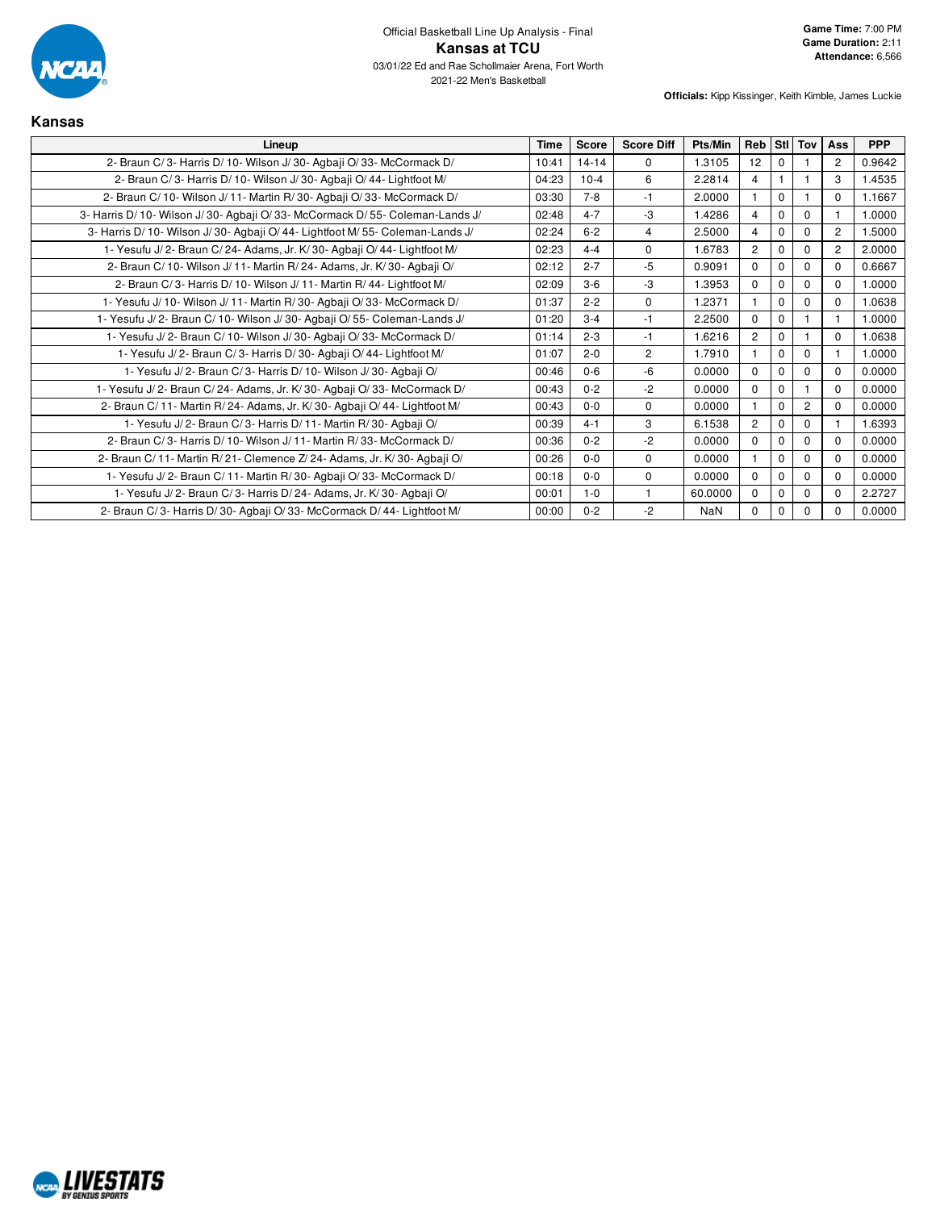

| Kansas                                                                         |             |              |                   |            |                |          |                |                |            |
|--------------------------------------------------------------------------------|-------------|--------------|-------------------|------------|----------------|----------|----------------|----------------|------------|
| Lineup                                                                         | <b>Time</b> | <b>Score</b> | <b>Score Diff</b> | Pts/Min    | Reb            |          | Stl Tov        | Ass            | <b>PPP</b> |
| 2- Braun C/3- Harris D/10- Wilson J/30- Agbaji O/33- McCormack D/              | 10:41       | $14 - 14$    | $\Omega$          | 1.3105     | 12             | $\Omega$ |                | $\overline{2}$ | 0.9642     |
| 2- Braun C/3- Harris D/10- Wilson J/30- Agbaji O/44- Lightfoot M/              | 04:23       | $10-4$       | 6                 | 2.2814     | 4              |          |                | 3              | 1.4535     |
| 2- Braun C/10- Wilson J/11- Martin R/30- Agbaji O/33- McCormack D/             | 03:30       | $7 - 8$      | $-1$              | 2.0000     |                | $\Omega$ |                | 0              | 1.1667     |
| 3- Harris D/ 10- Wilson J/ 30- Agbaji O/ 33- McCormack D/ 55- Coleman-Lands J/ | 02:48       | $4 - 7$      | -3                | 1.4286     | 4              | $\Omega$ | $\Omega$       |                | 1.0000     |
| 3- Harris D/10- Wilson J/30- Agbaji O/44- Lightfoot M/55- Coleman-Lands J/     | 02:24       | $6 - 2$      | $\overline{4}$    | 2.5000     | 4              | $\Omega$ | $\Omega$       | $\overline{c}$ | 1.5000     |
| 1- Yesufu J/2- Braun C/24- Adams, Jr. K/30- Agbaji O/44- Lightfoot M/          | 02:23       | $4 - 4$      | $\mathbf 0$       | 1.6783     | 2              | $\Omega$ | $\mathbf 0$    | $\overline{2}$ | 2.0000     |
| 2- Braun C/ 10- Wilson J/ 11- Martin R/ 24- Adams, Jr. K/ 30- Agbaji O/        | 02:12       | $2 - 7$      | $-5$              | 0.9091     | $\Omega$       | $\Omega$ | $\Omega$       | $\Omega$       | 0.6667     |
| 2- Braun C/3- Harris D/10- Wilson J/11- Martin R/44- Lightfoot M/              | 02:09       | $3-6$        | -3                | 1.3953     | $\Omega$       | 0        | $\Omega$       | 0              | 1.0000     |
| 1- Yesufu J/ 10- Wilson J/ 11- Martin R/ 30- Agbaji O/ 33- McCormack D/        | 01:37       | $2 - 2$      | $\Omega$          | 1.2371     |                | 0        | $\mathbf 0$    | $\Omega$       | 1.0638     |
| 1- Yesufu J/2- Braun C/10- Wilson J/30- Agbaji O/55- Coleman-Lands J/          | 01:20       | $3 - 4$      | $-1$              | 2.2500     | $\Omega$       | $\Omega$ |                |                | 1.0000     |
| 1- Yesufu J/2- Braun C/10- Wilson J/30- Agbaji O/33- McCormack D/              | 01:14       | $2 - 3$      | $-1$              | 1.6216     | 2              | $\Omega$ |                | 0              | 1.0638     |
| 1- Yesufu J/2- Braun C/3- Harris D/30- Agbaji O/44- Lightfoot M/               | 01:07       | $2 - 0$      | $\overline{2}$    | 1.7910     |                | $\Omega$ | $\Omega$       |                | 1.0000     |
| 1- Yesufu J/2- Braun C/3- Harris D/10- Wilson J/30- Agbaji O/                  | 00:46       | $0-6$        | -6                | 0.0000     | $\Omega$       | 0        | $\Omega$       | 0              | 0.0000     |
| 1- Yesufu J/2- Braun C/24- Adams, Jr. K/30- Agbaji O/33- McCormack D/          | 00:43       | $0 - 2$      | $-2$              | 0.0000     | $\mathbf{0}$   | $\Omega$ |                | $\Omega$       | 0.0000     |
| 2- Braun C/ 11- Martin R/ 24- Adams, Jr. K/ 30- Agbaji O/ 44- Lightfoot M/     | 00:43       | $0 - 0$      | $\Omega$          | 0.0000     |                | $\Omega$ | $\overline{2}$ | $\Omega$       | 0.0000     |
| 1- Yesufu J/2- Braun C/3- Harris D/11- Martin R/30- Agbaji O/                  | 00:39       | $4 - 1$      | 3                 | 6.1538     | $\overline{2}$ | $\Omega$ | $\Omega$       |                | 1.6393     |
| 2- Braun C/3- Harris D/10- Wilson J/11- Martin R/33- McCormack D/              | 00:36       | $0 - 2$      | $-2$              | 0.0000     | $\Omega$       | $\Omega$ | $\mathbf 0$    | $\Omega$       | 0.0000     |
| 2- Braun C/ 11- Martin R/ 21- Clemence Z/ 24- Adams, Jr. K/ 30- Agbaji O/      | 00:26       | $0 - 0$      | $\Omega$          | 0.0000     |                | $\Omega$ | $\Omega$       | <sup>0</sup>   | 0.0000     |
| 1- Yesufu J/2- Braun C/11- Martin R/30- Agbaji O/33- McCormack D/              | 00:18       | $0 - 0$      | $\Omega$          | 0.0000     | $\Omega$       | $\Omega$ | $\mathbf 0$    | $\Omega$       | 0.0000     |
| 1- Yesufu J/2- Braun C/3- Harris D/24- Adams, Jr. K/30- Agbaji O/              | 00:01       | $1 - 0$      |                   | 60.0000    | $\Omega$       | 0        | $\mathbf 0$    | 0              | 2.2727     |
| 2- Braun C/3- Harris D/30- Agbaji O/33- McCormack D/44- Lightfoot M/           | 00:00       | $0 - 2$      | $-2$              | <b>NaN</b> | $\Omega$       | 0        | $\Omega$       | 0              | 0.0000     |